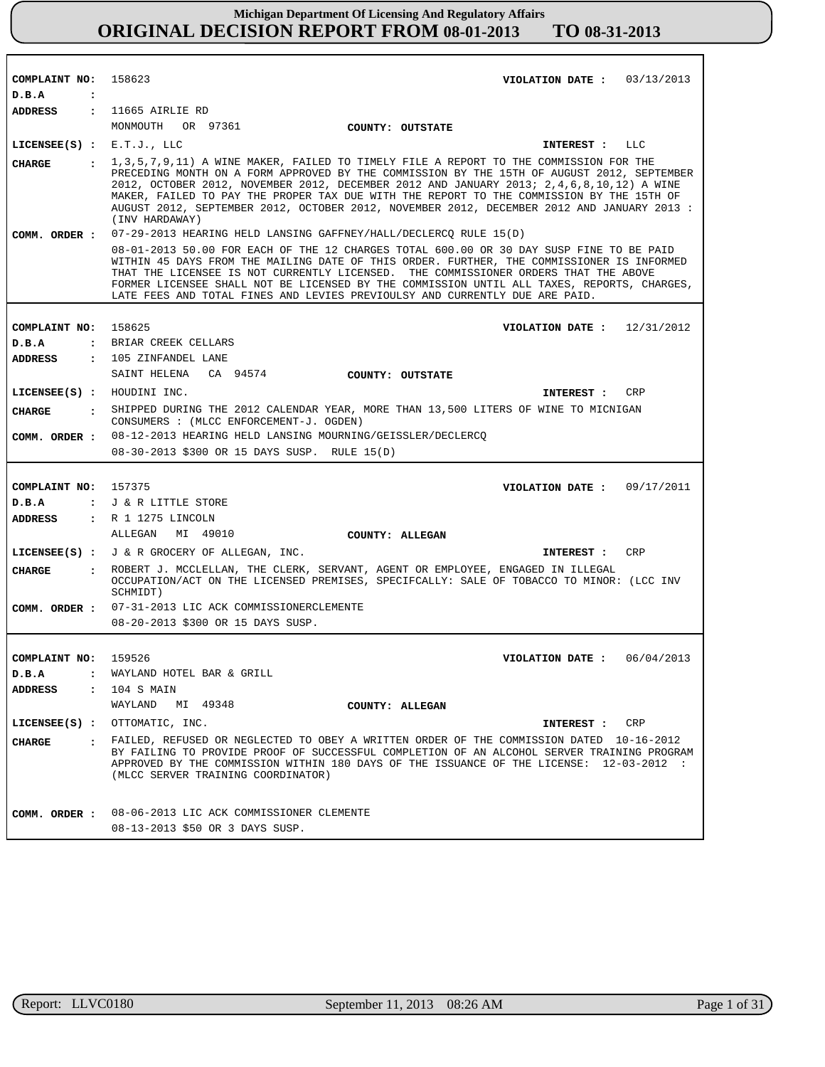| COMPLAINT NO: 158623          | VIOLATION DATE: $03/13/2013$                                                                                                                                                                                                                                                                                                                                                                                                                                                                      |
|-------------------------------|---------------------------------------------------------------------------------------------------------------------------------------------------------------------------------------------------------------------------------------------------------------------------------------------------------------------------------------------------------------------------------------------------------------------------------------------------------------------------------------------------|
| D.B.A<br>$\ddot{\cdot}$       |                                                                                                                                                                                                                                                                                                                                                                                                                                                                                                   |
| ADDRESS                       | : 11665 AIRLIE RD                                                                                                                                                                                                                                                                                                                                                                                                                                                                                 |
|                               |                                                                                                                                                                                                                                                                                                                                                                                                                                                                                                   |
|                               | MONMOUTH OR 97361 COUNTY: OUTSTATE                                                                                                                                                                                                                                                                                                                                                                                                                                                                |
| LICENSEE $(S)$ : E.T.J., LLC  | INTEREST : LLC                                                                                                                                                                                                                                                                                                                                                                                                                                                                                    |
| CHARGE                        | : 1,3,5,7,9,11) A WINE MAKER, FAILED TO TIMELY FILE A REPORT TO THE COMMISSION FOR THE<br>PRECEDING MONTH ON A FORM APPROVED BY THE COMMISSION BY THE 15TH OF AUGUST 2012, SEPTEMBER<br>2012, OCTOBER 2012, NOVEMBER 2012, DECEMBER 2012 AND JANUARY 2013; 2, 4, 6, 8, 10, 12) A WINE<br>MAKER, FAILED TO PAY THE PROPER TAX DUE WITH THE REPORT TO THE COMMISSION BY THE 15TH OF<br>AUGUST 2012, SEPTEMBER 2012, OCTOBER 2012, NOVEMBER 2012, DECEMBER 2012 AND JANUARY 2013 :<br>(INV HARDAWAY) |
| COMM. ORDER :                 | 07-29-2013 HEARING HELD LANSING GAFFNEY/HALL/DECLERCQ RULE 15(D)                                                                                                                                                                                                                                                                                                                                                                                                                                  |
|                               | 08-01-2013 50.00 FOR EACH OF THE 12 CHARGES TOTAL 600.00 OR 30 DAY SUSP FINE TO BE PAID<br>WITHIN 45 DAYS FROM THE MAILING DATE OF THIS ORDER. FURTHER, THE COMMISSIONER IS INFORMED<br>THAT THE LICENSEE IS NOT CURRENTLY LICENSED. THE COMMISSIONER ORDERS THAT THE ABOVE<br>FORMER LICENSEE SHALL NOT BE LICENSED BY THE COMMISSION UNTIL ALL TAXES, REPORTS, CHARGES,<br>LATE FEES AND TOTAL FINES AND LEVIES PREVIOULSY AND CURRENTLY DUE ARE PAID.                                          |
|                               |                                                                                                                                                                                                                                                                                                                                                                                                                                                                                                   |
| COMPLAINT NO: 158625          | VIOLATION DATE : $12/31/2012$                                                                                                                                                                                                                                                                                                                                                                                                                                                                     |
| D.B.A                         | : BRIAR CREEK CELLARS                                                                                                                                                                                                                                                                                                                                                                                                                                                                             |
| ADDRESS                       | : 105 ZINFANDEL LANE                                                                                                                                                                                                                                                                                                                                                                                                                                                                              |
|                               | SAINT HELENA CA 94574<br>COUNTY: OUTSTATE                                                                                                                                                                                                                                                                                                                                                                                                                                                         |
| LICENSEE(S) : HOUDINI INC.    | CRP<br>INTEREST :                                                                                                                                                                                                                                                                                                                                                                                                                                                                                 |
| CHARGE                        | : SHIPPED DURING THE 2012 CALENDAR YEAR, MORE THAN 13,500 LITERS OF WINE TO MICNIGAN<br>CONSUMERS : (MLCC ENFORCEMENT-J. OGDEN)                                                                                                                                                                                                                                                                                                                                                                   |
|                               | COMM. ORDER : 08-12-2013 HEARING HELD LANSING MOURNING/GEISSLER/DECLERCO                                                                                                                                                                                                                                                                                                                                                                                                                          |
|                               | 08-30-2013 \$300 OR 15 DAYS SUSP. RULE 15(D)                                                                                                                                                                                                                                                                                                                                                                                                                                                      |
|                               |                                                                                                                                                                                                                                                                                                                                                                                                                                                                                                   |
| COMPLAINT NO: 157375          | VIOLATION DATE: $09/17/2011$                                                                                                                                                                                                                                                                                                                                                                                                                                                                      |
| D.B.A                         | : J & R LITTLE STORE                                                                                                                                                                                                                                                                                                                                                                                                                                                                              |
| <b>ADDRESS</b>                | : R 1 1275 LINCOLN                                                                                                                                                                                                                                                                                                                                                                                                                                                                                |
|                               | ALLEGAN MI 49010<br>COUNTY: ALLEGAN                                                                                                                                                                                                                                                                                                                                                                                                                                                               |
|                               | LICENSEE(S) : J & R GROCERY OF ALLEGAN, INC.<br>INTEREST : CRP                                                                                                                                                                                                                                                                                                                                                                                                                                    |
| <b>CHARGE</b>                 | : ROBERT J. MCCLELLAN, THE CLERK, SERVANT, AGENT OR EMPLOYEE, ENGAGED IN ILLEGAL<br>OCCUPATION/ACT ON THE LICENSED PREMISES, SPECIFCALLY: SALE OF TOBACCO TO MINOR: (LCC INV<br>SCHMIDT)                                                                                                                                                                                                                                                                                                          |
|                               | COMM. ORDER : 07-31-2013 LIC ACK COMMISSIONERCLEMENTE                                                                                                                                                                                                                                                                                                                                                                                                                                             |
|                               | 08-20-2013 \$300 OR 15 DAYS SUSP.                                                                                                                                                                                                                                                                                                                                                                                                                                                                 |
|                               |                                                                                                                                                                                                                                                                                                                                                                                                                                                                                                   |
| COMPLAINT NO:                 | 159526<br>VIOLATION DATE: $06/04/2013$                                                                                                                                                                                                                                                                                                                                                                                                                                                            |
| D.B.A<br>$\ddot{\phantom{a}}$ | WAYLAND HOTEL BAR & GRILL                                                                                                                                                                                                                                                                                                                                                                                                                                                                         |
| <b>ADDRESS</b>                | $: 104$ S MAIN                                                                                                                                                                                                                                                                                                                                                                                                                                                                                    |
|                               | WAYLAND MI 49348<br>COUNTY: ALLEGAN                                                                                                                                                                                                                                                                                                                                                                                                                                                               |
|                               | LICENSEE(S) : OTTOMATIC, INC.<br>INTEREST : CRP                                                                                                                                                                                                                                                                                                                                                                                                                                                   |
| CHARGE                        | : FAILED, REFUSED OR NEGLECTED TO OBEY A WRITTEN ORDER OF THE COMMISSION DATED 10-16-2012<br>BY FAILING TO PROVIDE PROOF OF SUCCESSFUL COMPLETION OF AN ALCOHOL SERVER TRAINING PROGRAM<br>APPROVED BY THE COMMISSION WITHIN 180 DAYS OF THE ISSUANCE OF THE LICENSE: 12-03-2012 :<br>(MLCC SERVER TRAINING COORDINATOR)                                                                                                                                                                          |
|                               |                                                                                                                                                                                                                                                                                                                                                                                                                                                                                                   |
|                               |                                                                                                                                                                                                                                                                                                                                                                                                                                                                                                   |
| COMM. ORDER :                 | 08-06-2013 LIC ACK COMMISSIONER CLEMENTE<br>08-13-2013 \$50 OR 3 DAYS SUSP.                                                                                                                                                                                                                                                                                                                                                                                                                       |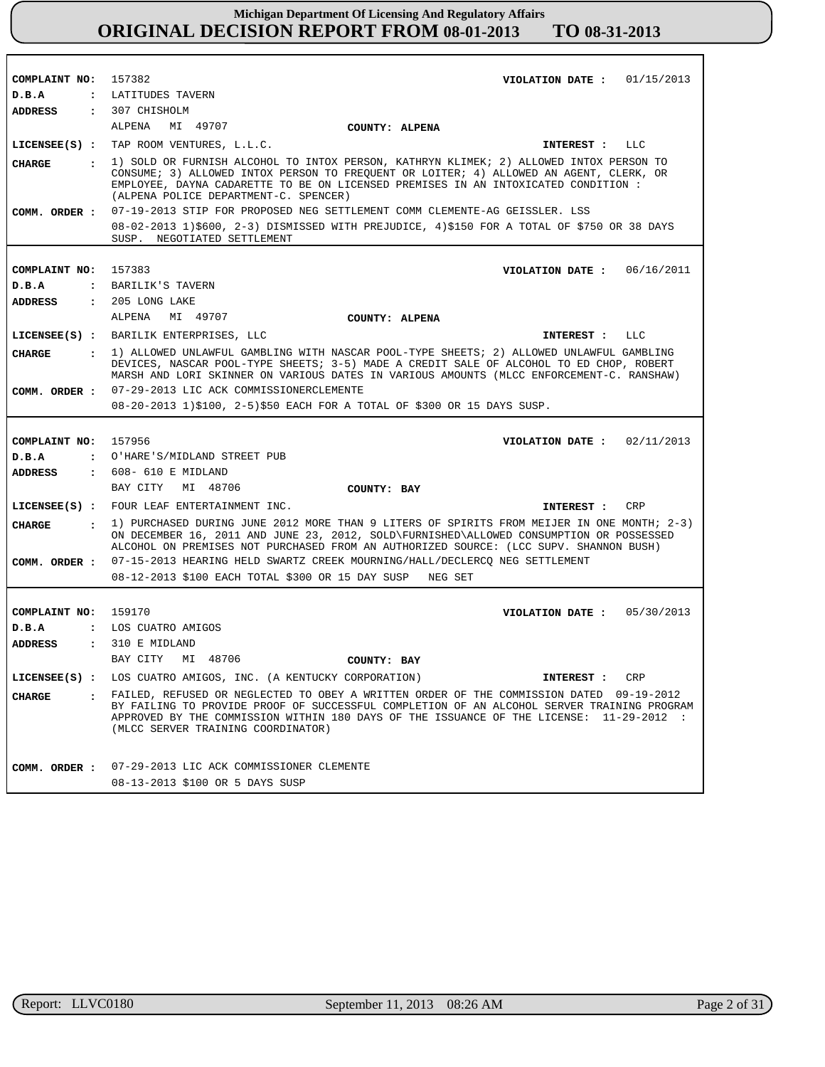| COMPLAINT NO: 157382 |              | VIOLATION DATE: $01/15/2013$                                                                                                                                                                                                                                                                                             |
|----------------------|--------------|--------------------------------------------------------------------------------------------------------------------------------------------------------------------------------------------------------------------------------------------------------------------------------------------------------------------------|
| D.B.A                |              | : LATITUDES TAVERN                                                                                                                                                                                                                                                                                                       |
| ADDRESS              |              | $: 307$ CHISHOLM                                                                                                                                                                                                                                                                                                         |
|                      |              | ALPENA<br>MI 49707<br>COUNTY: ALPENA                                                                                                                                                                                                                                                                                     |
|                      |              | LICENSEE(S) : TAP ROOM VENTURES, L.L.C.<br>LLC<br>INTEREST :                                                                                                                                                                                                                                                             |
| <b>CHARGE</b>        |              | : 1) SOLD OR FURNISH ALCOHOL TO INTOX PERSON, KATHRYN KLIMEK; 2) ALLOWED INTOX PERSON TO<br>CONSUME; 3) ALLOWED INTOX PERSON TO FREQUENT OR LOITER; 4) ALLOWED AN AGENT, CLERK, OR<br>EMPLOYEE, DAYNA CADARETTE TO BE ON LICENSED PREMISES IN AN INTOXICATED CONDITION :<br>(ALPENA POLICE DEPARTMENT-C. SPENCER)        |
|                      |              | COMM. ORDER: 07-19-2013 STIP FOR PROPOSED NEG SETTLEMENT COMM CLEMENTE-AG GEISSLER. LSS                                                                                                                                                                                                                                  |
|                      |              | 08-02-2013 1)\$600, 2-3) DISMISSED WITH PREJUDICE, 4)\$150 FOR A TOTAL OF \$750 OR 38 DAYS<br>SUSP. NEGOTIATED SETTLEMENT                                                                                                                                                                                                |
|                      |              |                                                                                                                                                                                                                                                                                                                          |
| COMPLAINT NO:        |              | 157383<br>VIOLATION DATE: $06/16/2011$                                                                                                                                                                                                                                                                                   |
| D.B.A                |              | : BARILIK'S TAVERN                                                                                                                                                                                                                                                                                                       |
| <b>ADDRESS</b>       |              | $: 205$ LONG LAKE<br>ALPENA<br>MI 49707                                                                                                                                                                                                                                                                                  |
|                      |              | COUNTY: ALPENA                                                                                                                                                                                                                                                                                                           |
|                      |              | LICENSEE(S) : BARILIK ENTERPRISES, LLC<br>LLC<br>INTEREST :                                                                                                                                                                                                                                                              |
| <b>CHARGE</b>        |              | : 1) ALLOWED UNLAWFUL GAMBLING WITH NASCAR POOL-TYPE SHEETS; 2) ALLOWED UNLAWFUL GAMBLING<br>DEVICES, NASCAR POOL-TYPE SHEETS; 3-5) MADE A CREDIT SALE OF ALCOHOL TO ED CHOP, ROBERT<br>MARSH AND LORI SKINNER ON VARIOUS DATES IN VARIOUS AMOUNTS (MLCC ENFORCEMENT-C. RANSHAW)                                         |
|                      |              | COMM. ORDER : 07-29-2013 LIC ACK COMMISSIONERCLEMENTE                                                                                                                                                                                                                                                                    |
|                      |              | 08-20-2013 1)\$100, 2-5)\$50 EACH FOR A TOTAL OF \$300 OR 15 DAYS SUSP.                                                                                                                                                                                                                                                  |
|                      |              |                                                                                                                                                                                                                                                                                                                          |
|                      |              |                                                                                                                                                                                                                                                                                                                          |
| COMPLAINT NO:        |              | 157956<br>VIOLATION DATE : $02/11/2013$                                                                                                                                                                                                                                                                                  |
| D.B.A                |              | : O'HARE'S/MIDLAND STREET PUB                                                                                                                                                                                                                                                                                            |
| <b>ADDRESS</b>       |              | : 608- 610 E MIDLAND                                                                                                                                                                                                                                                                                                     |
|                      |              | MI 48706<br>BAY CITY<br>COUNTY: BAY                                                                                                                                                                                                                                                                                      |
|                      |              | LICENSEE(S) : FOUR LEAF ENTERTAINMENT INC.<br>CRP<br>INTEREST :                                                                                                                                                                                                                                                          |
| <b>CHARGE</b>        | $\mathbf{r}$ | 1) PURCHASED DURING JUNE 2012 MORE THAN 9 LITERS OF SPIRITS FROM MEIJER IN ONE MONTH; 2-3)<br>ON DECEMBER 16, 2011 AND JUNE 23, 2012, SOLD\FURNISHED\ALLOWED CONSUMPTION OR POSSESSED<br>ALCOHOL ON PREMISES NOT PURCHASED FROM AN AUTHORIZED SOURCE: (LCC SUPV. SHANNON BUSH)                                           |
| COMM. ORDER :        |              | 07-15-2013 HEARING HELD SWARTZ CREEK MOURNING/HALL/DECLERCQ NEG SETTLEMENT                                                                                                                                                                                                                                               |
|                      |              | 08-12-2013 \$100 EACH TOTAL \$300 OR 15 DAY SUSP NEG SET                                                                                                                                                                                                                                                                 |
|                      |              |                                                                                                                                                                                                                                                                                                                          |
| COMPLAINT NO: 159170 |              | VIOLATION DATE: $05/30/2013$                                                                                                                                                                                                                                                                                             |
| D.B.A                |              | : LOS CUATRO AMIGOS                                                                                                                                                                                                                                                                                                      |
| ADDRESS              |              | : 310 E MIDLAND                                                                                                                                                                                                                                                                                                          |
|                      |              | BAY CITY<br>MI 48706<br>COUNTY: BAY                                                                                                                                                                                                                                                                                      |
| $LICENSEE(S)$ :      |              | LOS CUATRO AMIGOS, INC. (A KENTUCKY CORPORATION)<br>INTEREST :<br>CRP                                                                                                                                                                                                                                                    |
| <b>CHARGE</b>        |              | . FAILED, REFUSED OR NEGLECTED TO OBEY A WRITTEN ORDER OF THE COMMISSION DATED 09-19-2012<br>BY FAILING TO PROVIDE PROOF OF SUCCESSFUL COMPLETION OF AN ALCOHOL SERVER TRAINING PROGRAM<br>APPROVED BY THE COMMISSION WITHIN 180 DAYS OF THE ISSUANCE OF THE LICENSE: 11-29-2012 :<br>(MLCC SERVER TRAINING COORDINATOR) |
| COMM. ORDER :        |              | 07-29-2013 LIC ACK COMMISSIONER CLEMENTE                                                                                                                                                                                                                                                                                 |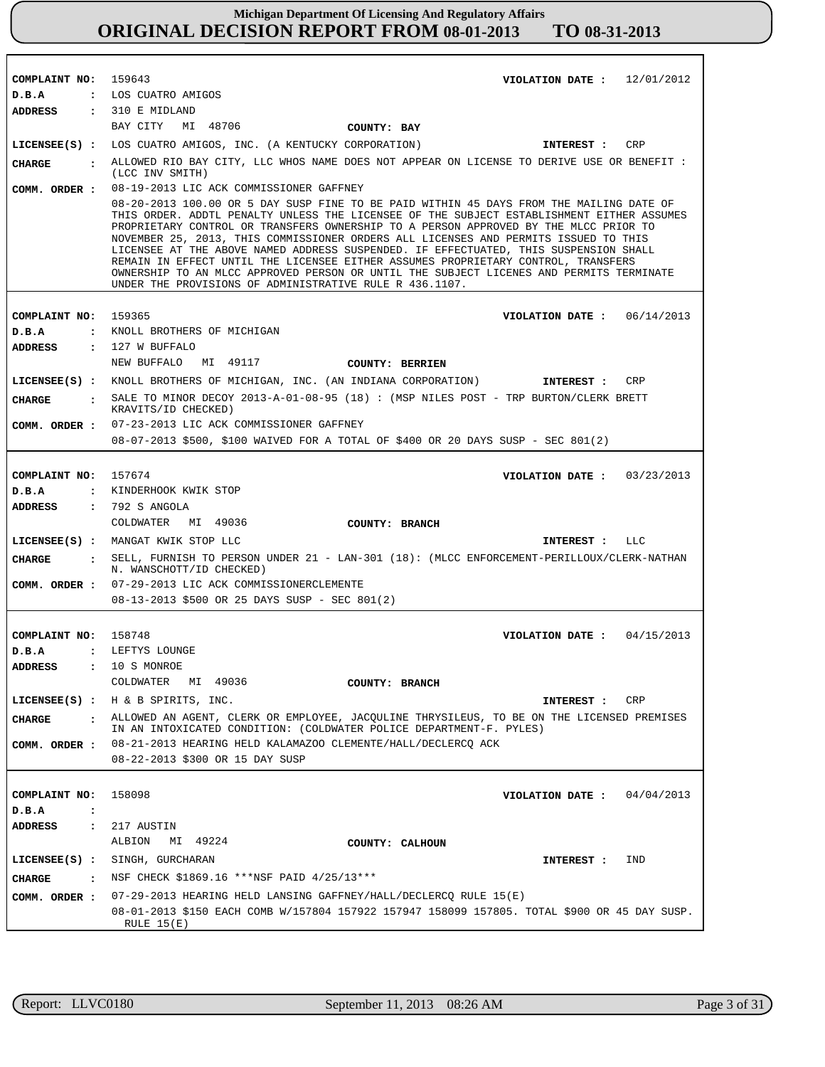| COMPLAINT NO: 159643<br>D.B.A   | VIOLATION DATE: $12/01/2012$<br>: LOS CUATRO AMIGOS                                                                                                                                                                                                                                                                                                                                                                                                                                                                                                                                                                                                                                                    |
|---------------------------------|--------------------------------------------------------------------------------------------------------------------------------------------------------------------------------------------------------------------------------------------------------------------------------------------------------------------------------------------------------------------------------------------------------------------------------------------------------------------------------------------------------------------------------------------------------------------------------------------------------------------------------------------------------------------------------------------------------|
| ADDRESS                         | : 310 E MIDLAND                                                                                                                                                                                                                                                                                                                                                                                                                                                                                                                                                                                                                                                                                        |
|                                 | BAY CITY<br>MI 48706<br>COUNTY: BAY                                                                                                                                                                                                                                                                                                                                                                                                                                                                                                                                                                                                                                                                    |
|                                 | LICENSEE(S) : LOS CUATRO AMIGOS, INC. (A KENTUCKY CORPORATION)<br><b>CRP</b><br>INTEREST :                                                                                                                                                                                                                                                                                                                                                                                                                                                                                                                                                                                                             |
| <b>CHARGE</b>                   | . ALLOWED RIO BAY CITY, LLC WHOS NAME DOES NOT APPEAR ON LICENSE TO DERIVE USE OR BENEFIT :<br>(LCC INV SMITH)                                                                                                                                                                                                                                                                                                                                                                                                                                                                                                                                                                                         |
| COMM. ORDER :                   | 08-19-2013 LIC ACK COMMISSIONER GAFFNEY                                                                                                                                                                                                                                                                                                                                                                                                                                                                                                                                                                                                                                                                |
|                                 | 08-20-2013 100.00 OR 5 DAY SUSP FINE TO BE PAID WITHIN 45 DAYS FROM THE MAILING DATE OF<br>THIS ORDER. ADDTL PENALTY UNLESS THE LICENSEE OF THE SUBJECT ESTABLISHMENT EITHER ASSUMES<br>PROPRIETARY CONTROL OR TRANSFERS OWNERSHIP TO A PERSON APPROVED BY THE MLCC PRIOR TO<br>NOVEMBER 25, 2013, THIS COMMISSIONER ORDERS ALL LICENSES AND PERMITS ISSUED TO THIS<br>LICENSEE AT THE ABOVE NAMED ADDRESS SUSPENDED. IF EFFECTUATED, THIS SUSPENSION SHALL<br>REMAIN IN EFFECT UNTIL THE LICENSEE EITHER ASSUMES PROPRIETARY CONTROL, TRANSFERS<br>OWNERSHIP TO AN MLCC APPROVED PERSON OR UNTIL THE SUBJECT LICENES AND PERMITS TERMINATE<br>UNDER THE PROVISIONS OF ADMINISTRATIVE RULE R 436.1107. |
|                                 |                                                                                                                                                                                                                                                                                                                                                                                                                                                                                                                                                                                                                                                                                                        |
| COMPLAINT NO:                   | 159365<br>VIOLATION DATE: $06/14/2013$                                                                                                                                                                                                                                                                                                                                                                                                                                                                                                                                                                                                                                                                 |
| D.B.A                           | : KNOLL BROTHERS OF MICHIGAN<br>$: 127$ W BUFFALO                                                                                                                                                                                                                                                                                                                                                                                                                                                                                                                                                                                                                                                      |
| ADDRESS                         | MI 49117<br>NEW BUFFALO<br><b>COUNTY: BERRIEN</b>                                                                                                                                                                                                                                                                                                                                                                                                                                                                                                                                                                                                                                                      |
|                                 | LICENSEE(S) : KNOLL BROTHERS OF MICHIGAN, INC. (AN INDIANA CORPORATION)<br>CRP<br>INTEREST :                                                                                                                                                                                                                                                                                                                                                                                                                                                                                                                                                                                                           |
| <b>CHARGE</b><br>$\mathbf{r}$   | SALE TO MINOR DECOY 2013-A-01-08-95 (18) : (MSP NILES POST - TRP BURTON/CLERK BRETT                                                                                                                                                                                                                                                                                                                                                                                                                                                                                                                                                                                                                    |
|                                 | KRAVITS/ID CHECKED)                                                                                                                                                                                                                                                                                                                                                                                                                                                                                                                                                                                                                                                                                    |
| COMM. ORDER :                   | 07-23-2013 LIC ACK COMMISSIONER GAFFNEY                                                                                                                                                                                                                                                                                                                                                                                                                                                                                                                                                                                                                                                                |
|                                 | 08-07-2013 \$500, \$100 WAIVED FOR A TOTAL OF \$400 OR 20 DAYS SUSP - SEC 801(2)                                                                                                                                                                                                                                                                                                                                                                                                                                                                                                                                                                                                                       |
|                                 |                                                                                                                                                                                                                                                                                                                                                                                                                                                                                                                                                                                                                                                                                                        |
| COMPLAINT NO: 157674<br>D.B.A   | VIOLATION DATE: $03/23/2013$<br>: KINDERHOOK KWIK STOP                                                                                                                                                                                                                                                                                                                                                                                                                                                                                                                                                                                                                                                 |
| ADDRESS                         | : 792 S ANGOLA                                                                                                                                                                                                                                                                                                                                                                                                                                                                                                                                                                                                                                                                                         |
|                                 | COLDWATER MI 49036<br>COUNTY: BRANCH                                                                                                                                                                                                                                                                                                                                                                                                                                                                                                                                                                                                                                                                   |
|                                 | LICENSEE(S) : MANGAT KWIK STOP LLC<br>INTEREST : LLC                                                                                                                                                                                                                                                                                                                                                                                                                                                                                                                                                                                                                                                   |
| <b>CHARGE</b><br>$\mathbf{r}$   | SELL, FURNISH TO PERSON UNDER 21 - LAN-301 (18): (MLCC ENFORCEMENT-PERILLOUX/CLERK-NATHAN                                                                                                                                                                                                                                                                                                                                                                                                                                                                                                                                                                                                              |
|                                 | N. WANSCHOTT/ID CHECKED)                                                                                                                                                                                                                                                                                                                                                                                                                                                                                                                                                                                                                                                                               |
| COMM. ORDER :                   | 07-29-2013 LIC ACK COMMISSIONERCLEMENTE<br>08-13-2013 \$500 OR 25 DAYS SUSP - SEC 801(2)                                                                                                                                                                                                                                                                                                                                                                                                                                                                                                                                                                                                               |
|                                 |                                                                                                                                                                                                                                                                                                                                                                                                                                                                                                                                                                                                                                                                                                        |
| COMPLAINT NO: 158748            | VIOLATION DATE: $04/15/2013$                                                                                                                                                                                                                                                                                                                                                                                                                                                                                                                                                                                                                                                                           |
| D.B.A                           | : LEFTYS LOUNGE                                                                                                                                                                                                                                                                                                                                                                                                                                                                                                                                                                                                                                                                                        |
| ADDRESS                         | : 10 S MONROE                                                                                                                                                                                                                                                                                                                                                                                                                                                                                                                                                                                                                                                                                          |
|                                 | COLDWATER<br>MI 49036<br>COUNTY: BRANCH                                                                                                                                                                                                                                                                                                                                                                                                                                                                                                                                                                                                                                                                |
|                                 | LICENSEE(S) : $H \& B$ SPIRITS, INC.<br>INTEREST :<br>CRP                                                                                                                                                                                                                                                                                                                                                                                                                                                                                                                                                                                                                                              |
| <b>CHARGE</b><br>$\mathbf{r}$   | ALLOWED AN AGENT, CLERK OR EMPLOYEE, JACQULINE THRYSILEUS, TO BE ON THE LICENSED PREMISES                                                                                                                                                                                                                                                                                                                                                                                                                                                                                                                                                                                                              |
| COMM. ORDER :                   | IN AN INTOXICATED CONDITION: (COLDWATER POLICE DEPARTMENT-F. PYLES)<br>08-21-2013 HEARING HELD KALAMAZOO CLEMENTE/HALL/DECLERCQ ACK                                                                                                                                                                                                                                                                                                                                                                                                                                                                                                                                                                    |
|                                 | 08-22-2013 \$300 OR 15 DAY SUSP                                                                                                                                                                                                                                                                                                                                                                                                                                                                                                                                                                                                                                                                        |
|                                 |                                                                                                                                                                                                                                                                                                                                                                                                                                                                                                                                                                                                                                                                                                        |
| COMPLAINT NO:                   | 158098<br>VIOLATION DATE: $04/04/2013$                                                                                                                                                                                                                                                                                                                                                                                                                                                                                                                                                                                                                                                                 |
| D.B.A<br>$\ddot{\cdot}$         |                                                                                                                                                                                                                                                                                                                                                                                                                                                                                                                                                                                                                                                                                                        |
| ADDRESS<br>$\ddot{\phantom{a}}$ | 217 AUSTIN                                                                                                                                                                                                                                                                                                                                                                                                                                                                                                                                                                                                                                                                                             |
|                                 | MI 49224<br>ALBION<br>COUNTY: CALHOUN                                                                                                                                                                                                                                                                                                                                                                                                                                                                                                                                                                                                                                                                  |
| $LICENSEE(S)$ :                 | SINGH, GURCHARAN<br>IND<br>INTEREST :                                                                                                                                                                                                                                                                                                                                                                                                                                                                                                                                                                                                                                                                  |
| <b>CHARGE</b><br>$\mathbf{r}$   | NSF CHECK \$1869.16 ***NSF PAID 4/25/13***                                                                                                                                                                                                                                                                                                                                                                                                                                                                                                                                                                                                                                                             |
| COMM. ORDER :                   | 07-29-2013 HEARING HELD LANSING GAFFNEY/HALL/DECLERCQ RULE 15(E)                                                                                                                                                                                                                                                                                                                                                                                                                                                                                                                                                                                                                                       |
|                                 | 08-01-2013 \$150 EACH COMB W/157804 157922 157947 158099 157805. TOTAL \$900 OR 45 DAY SUSP.<br>RULE $15(E)$                                                                                                                                                                                                                                                                                                                                                                                                                                                                                                                                                                                           |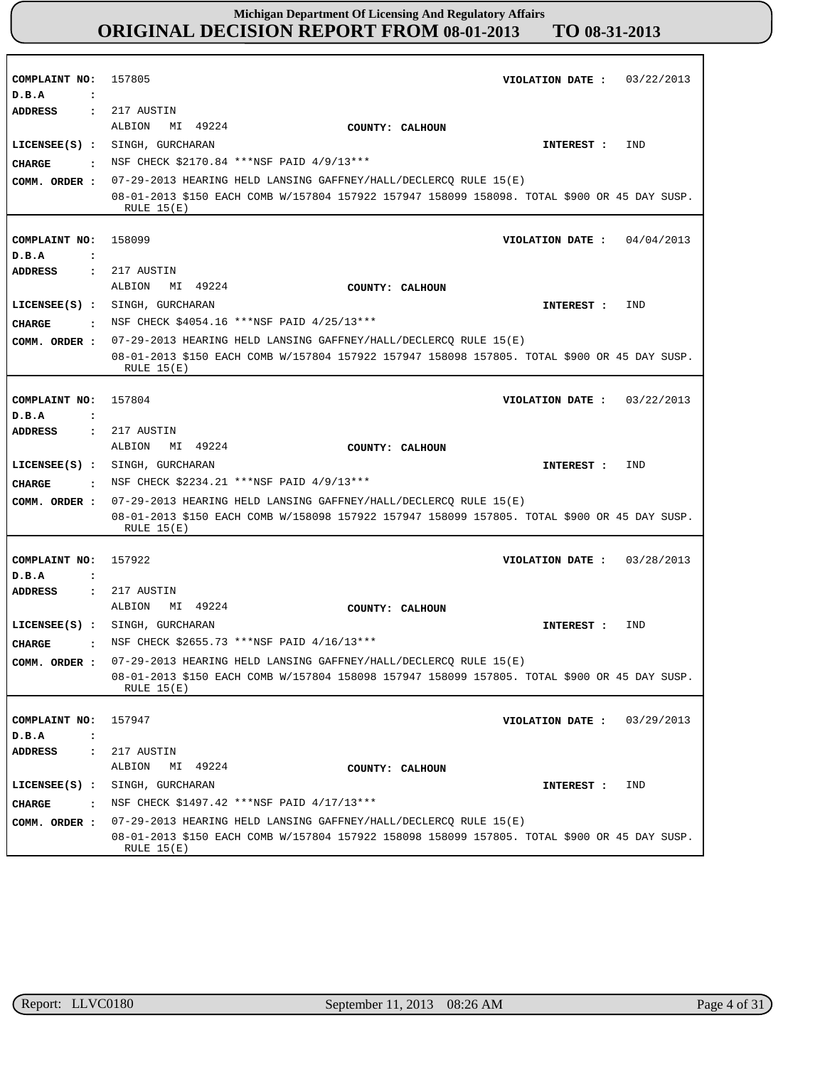| COMPLAINT NO:                          | 157805<br>03/22/2013<br>VIOLATION DATE :                                                                     |
|----------------------------------------|--------------------------------------------------------------------------------------------------------------|
| D.B.A<br>$\ddot{\cdot}$                |                                                                                                              |
| ADDRESS<br>$\ddot{\cdot}$              | 217 AUSTIN                                                                                                   |
|                                        | ALBION                                                                                                       |
|                                        | MI 49224<br>COUNTY: CALHOUN                                                                                  |
| $LICENSEE(S)$ :                        | SINGH, GURCHARAN<br>IND<br>INTEREST :                                                                        |
| <b>CHARGE</b><br>$\sim$ $\sim$         | NSF CHECK \$2170.84 ***NSF PAID 4/9/13***                                                                    |
| COMM. ORDER :                          | 07-29-2013 HEARING HELD LANSING GAFFNEY/HALL/DECLERCQ RULE 15(E)                                             |
|                                        | 08-01-2013 \$150 EACH COMB W/157804 157922 157947 158099 158098. TOTAL \$900 OR 45 DAY SUSP.                 |
|                                        | RULE $15(E)$                                                                                                 |
|                                        |                                                                                                              |
| COMPLAINT NO:                          | 158099<br>04/04/2013<br>VIOLATION DATE :                                                                     |
| D.B.A<br>$\ddot{\cdot}$                |                                                                                                              |
| ADDRESS                                | 217 AUSTIN<br>$\ddot{\phantom{a}}$                                                                           |
|                                        | MI 49224<br>ALBION<br>COUNTY: CALHOUN                                                                        |
| $LICENSEE(S)$ :                        | SINGH, GURCHARAN<br>IND<br>INTEREST :                                                                        |
| <b>CHARGE</b><br>$\ddot{\phantom{a}}$  | NSF CHECK \$4054.16 *** NSF PAID 4/25/13 ***                                                                 |
| COMM. ORDER :                          | 07-29-2013 HEARING HELD LANSING GAFFNEY/HALL/DECLERCQ RULE 15(E)                                             |
|                                        | 08-01-2013 \$150 EACH COMB W/157804 157922 157947 158098 157805. TOTAL \$900 OR 45 DAY SUSP.                 |
|                                        | RULE $15(E)$                                                                                                 |
|                                        |                                                                                                              |
| COMPLAINT NO:                          | 157804<br>VIOLATION DATE: $03/22/2013$                                                                       |
| D.B.A<br>$\ddot{\cdot}$                |                                                                                                              |
| <b>ADDRESS</b>                         | 217 AUSTIN<br>$\ddot{\cdot}$                                                                                 |
|                                        | MI 49224<br>ALBION<br>COUNTY: CALHOUN                                                                        |
| $LICENSEE(S)$ :                        | SINGH, GURCHARAN<br>IND<br>INTEREST :                                                                        |
| <b>CIIARGE</b><br>$\ddot{\phantom{a}}$ | NSF CHECK \$2234.21 ***NSF PAID 4/9/13***                                                                    |
| COMM. ORDER :                          | 07-29-2013 HEARING HELD LANSING GAFFNEY/HALL/DECLERCQ RULE 15(E)                                             |
|                                        | 08-01-2013 \$150 EACH COMB W/158098 157922 157947 158099 157805. TOTAL \$900 OR 45 DAY SUSP.                 |
|                                        | RULE $15(E)$                                                                                                 |
|                                        |                                                                                                              |
| COMPLAINT NO:                          | 157922<br>VIOLATION DATE :<br>03/28/2013                                                                     |
| D.B.A<br>$\ddot{\cdot}$                |                                                                                                              |
| <b>ADDRESS</b><br>$\ddot{\cdot}$       | 217 AUSTIN                                                                                                   |
|                                        | MI 49224<br>ALBION<br>COUNTY: CALHOUN                                                                        |
| $LICENSEE(S)$ :                        | SINGH, GURCHARAN<br>IND<br>INTEREST :                                                                        |
| <b>CHARGE</b><br>$\ddot{\cdot}$        | NSF CHECK \$2655.73 ***NSF PAID 4/16/13***                                                                   |
|                                        | 07-29-2013 HEARING HELD LANSING GAFFNEY/HALL/DECLERCQ RULE 15(E)                                             |
| COMM. ORDER :                          | 08-01-2013 \$150 EACH COMB W/157804 158098 157947 158099 157805. TOTAL \$900 OR 45 DAY SUSP.                 |
|                                        | RULE $15(E)$                                                                                                 |
|                                        |                                                                                                              |
| COMPLAINT NO:                          | 157947<br>VIOLATION DATE :<br>03/29/2013                                                                     |
| D.B.A<br>$\ddot{\cdot}$                |                                                                                                              |
| <b>ADDRESS</b><br>$\ddot{\cdot}$       | 217 AUSTIN                                                                                                   |
|                                        | ALBION<br>MI 49224<br>COUNTY: CALHOUN                                                                        |
|                                        |                                                                                                              |
| $LICENSEE(S)$ :                        | SINGH, GURCHARAN<br>IND<br>INTEREST :                                                                        |
| <b>CHARGE</b><br>$\cdot$               | NSF CHECK \$1497.42 *** NSF PAID 4/17/13 ***                                                                 |
| COMM. ORDER :                          | 07-29-2013 HEARING HELD LANSING GAFFNEY/HALL/DECLERCQ RULE 15(E)                                             |
|                                        | 08-01-2013 \$150 EACH COMB W/157804 157922 158098 158099 157805. TOTAL \$900 OR 45 DAY SUSP.<br>RULE $15(E)$ |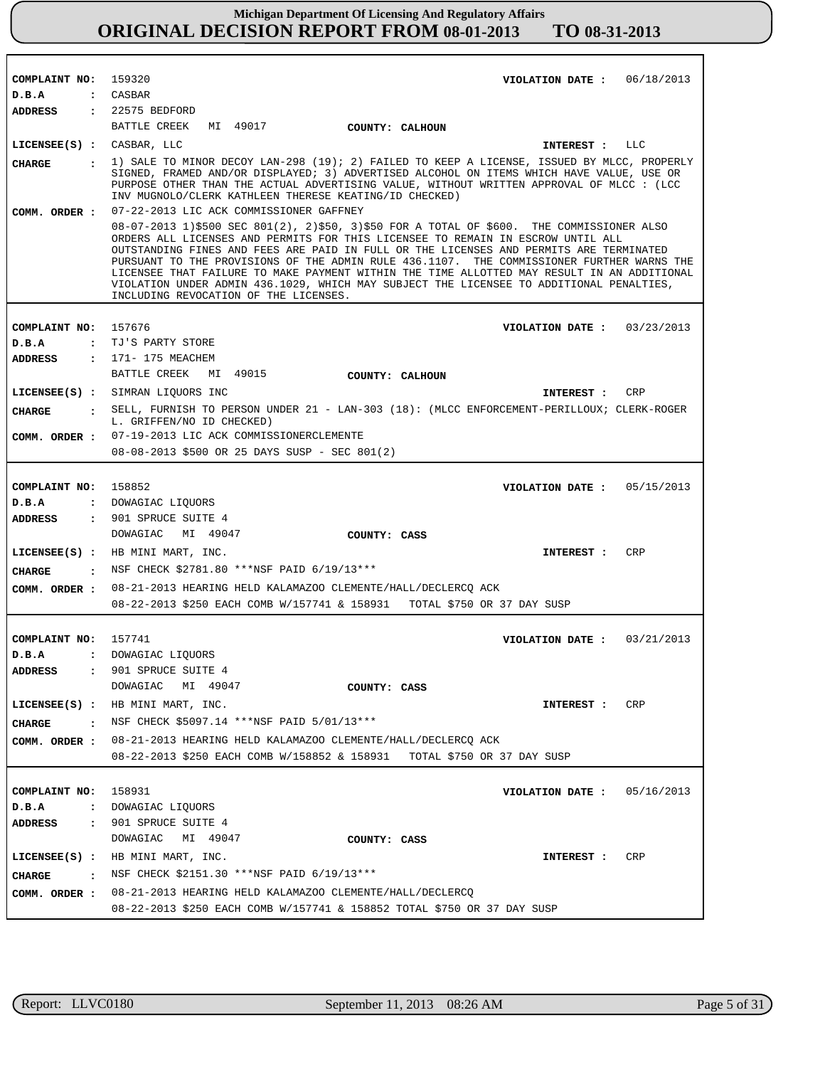| COMPLAINT NO: 159320      | VIOLATION DATE: $06/18/2013$                                                                                                                                                                                                                                                                                                                                                                                                                                                                                                                                                                          |
|---------------------------|-------------------------------------------------------------------------------------------------------------------------------------------------------------------------------------------------------------------------------------------------------------------------------------------------------------------------------------------------------------------------------------------------------------------------------------------------------------------------------------------------------------------------------------------------------------------------------------------------------|
| D.B.A                     | : CASBAR                                                                                                                                                                                                                                                                                                                                                                                                                                                                                                                                                                                              |
|                           | ADDRESS : 22575 BEDFORD                                                                                                                                                                                                                                                                                                                                                                                                                                                                                                                                                                               |
|                           | BATTLE CREEK MI 49017<br>COUNTY: CALHOUN                                                                                                                                                                                                                                                                                                                                                                                                                                                                                                                                                              |
| LICENSEE(S) : CASBAR, LLC | INTEREST : LLC                                                                                                                                                                                                                                                                                                                                                                                                                                                                                                                                                                                        |
| CIIARGE                   | $\pm$ 1) SALE TO MINOR DECOY LAN-298 (19); 2) FAILED TO KEEP A LICENSE, ISSUED BY MLCC, PROPERLY<br>SIGNED, FRAMED AND/OR DISPLAYED; 3) ADVERTISED ALCOHOL ON ITEMS WHICH HAVE VALUE, USE OR<br>PURPOSE OTHER THAN THE ACTUAL ADVERTISING VALUE, WITHOUT WRITTEN APPROVAL OF MLCC : (LCC<br>INV MUGNOLO/CLERK KATHLEEN THERESE KEATING/ID CHECKED)<br>COMM. ORDER : 07-22-2013 LIC ACK COMMISSIONER GAFFNEY                                                                                                                                                                                           |
|                           | 08-07-2013 1)\$500 SEC 801(2), 2)\$50, 3)\$50 FOR A TOTAL OF \$600. THE COMMISSIONER ALSO<br>ORDERS ALL LICENSES AND PERMITS FOR THIS LICENSEE TO REMAIN IN ESCROW UNTIL ALL<br>OUTSTANDING FINES AND FEES ARE PAID IN FULL OR THE LICENSES AND PERMITS ARE TERMINATED<br>PURSUANT TO THE PROVISIONS OF THE ADMIN RULE 436.1107. THE COMMISSIONER FURTHER WARNS THE<br>LICENSEE THAT FAILURE TO MAKE PAYMENT WITHIN THE TIME ALLOTTED MAY RESULT IN AN ADDITIONAL<br>VIOLATION UNDER ADMIN 436.1029, WHICH MAY SUBJECT THE LICENSEE TO ADDITIONAL PENALTIES,<br>INCLUDING REVOCATION OF THE LICENSES. |
|                           |                                                                                                                                                                                                                                                                                                                                                                                                                                                                                                                                                                                                       |
| COMPLAINT NO: 157676      | VIOLATION DATE: $03/23/2013$                                                                                                                                                                                                                                                                                                                                                                                                                                                                                                                                                                          |
| D.B.A                     | : TJ'S PARTY STORE                                                                                                                                                                                                                                                                                                                                                                                                                                                                                                                                                                                    |
| ADDRESS                   | : 171- 175 MEACHEM<br>MI 49015                                                                                                                                                                                                                                                                                                                                                                                                                                                                                                                                                                        |
|                           | BATTLE CREEK<br>COUNTY: CALHOUN                                                                                                                                                                                                                                                                                                                                                                                                                                                                                                                                                                       |
|                           | LICENSEE(S) : SIMRAN LIQUORS INC<br>INTEREST : CRP                                                                                                                                                                                                                                                                                                                                                                                                                                                                                                                                                    |
| CHARGE                    | : SELL, FURNISH TO PERSON UNDER 21 - LAN-303 (18): (MLCC ENFORCEMENT-PERILLOUX; CLERK-ROGER<br>L. GRIFFEN/NO ID CHECKED)                                                                                                                                                                                                                                                                                                                                                                                                                                                                              |
|                           | COMM. ORDER : 07-19-2013 LIC ACK COMMISSIONERCLEMENTE                                                                                                                                                                                                                                                                                                                                                                                                                                                                                                                                                 |
|                           | 08-08-2013 \$500 OR 25 DAYS SUSP - SEC 801(2)                                                                                                                                                                                                                                                                                                                                                                                                                                                                                                                                                         |
|                           |                                                                                                                                                                                                                                                                                                                                                                                                                                                                                                                                                                                                       |
| COMPLAINT NO: 158852      | VIOLATION DATE: $05/15/2013$                                                                                                                                                                                                                                                                                                                                                                                                                                                                                                                                                                          |
| D.B.A                     | : DOWAGIAC LIQUORS                                                                                                                                                                                                                                                                                                                                                                                                                                                                                                                                                                                    |
| ADDRESS                   | : 901 SPRUCE SUITE 4                                                                                                                                                                                                                                                                                                                                                                                                                                                                                                                                                                                  |
|                           | DOWAGIAC<br>MI 49047<br>COUNTY: CASS                                                                                                                                                                                                                                                                                                                                                                                                                                                                                                                                                                  |
|                           | LICENSEE(S) : HB MINI MART, INC.<br>CRP<br>INTEREST :                                                                                                                                                                                                                                                                                                                                                                                                                                                                                                                                                 |
| CIIARGE                   | : NSF CHECK \$2781.80 ***NSF PAID 6/19/13***                                                                                                                                                                                                                                                                                                                                                                                                                                                                                                                                                          |
|                           | COMM. ORDER : 08-21-2013 HEARING HELD KALAMAZOO CLEMENTE/HALL/DECLERCQ ACK                                                                                                                                                                                                                                                                                                                                                                                                                                                                                                                            |
|                           | 08-22-2013 \$250 EACH COMB W/157741 & 158931 TOTAL \$750 OR 37 DAY SUSP                                                                                                                                                                                                                                                                                                                                                                                                                                                                                                                               |
|                           |                                                                                                                                                                                                                                                                                                                                                                                                                                                                                                                                                                                                       |
| COMPLAINT NO: 157741      | VIOLATION DATE: $03/21/2013$                                                                                                                                                                                                                                                                                                                                                                                                                                                                                                                                                                          |
| D.B.A                     | : DOWAGIAC LIQUORS                                                                                                                                                                                                                                                                                                                                                                                                                                                                                                                                                                                    |
| ADDRESS<br>$\ddot{\cdot}$ | 901 SPRUCE SUITE 4                                                                                                                                                                                                                                                                                                                                                                                                                                                                                                                                                                                    |
|                           | DOWAGIAC<br>MI 49047<br>COUNTY: CASS                                                                                                                                                                                                                                                                                                                                                                                                                                                                                                                                                                  |
|                           | LICENSEE(S) : HB MINI MART, INC.<br>CRP<br>INTEREST :                                                                                                                                                                                                                                                                                                                                                                                                                                                                                                                                                 |
| <b>CHARGE</b>             | . NSF CHECK \$5097.14 ***NSF PAID 5/01/13***                                                                                                                                                                                                                                                                                                                                                                                                                                                                                                                                                          |
|                           | COMM. ORDER : 08-21-2013 HEARING HELD KALAMAZOO CLEMENTE/HALL/DECLERCQ ACK                                                                                                                                                                                                                                                                                                                                                                                                                                                                                                                            |
|                           | 08-22-2013 \$250 EACH COMB W/158852 & 158931 TOTAL \$750 OR 37 DAY SUSP                                                                                                                                                                                                                                                                                                                                                                                                                                                                                                                               |
|                           |                                                                                                                                                                                                                                                                                                                                                                                                                                                                                                                                                                                                       |
| COMPLAINT NO: 158931      | VIOLATION DATE: $05/16/2013$                                                                                                                                                                                                                                                                                                                                                                                                                                                                                                                                                                          |
| D.B.A                     | : DOWAGIAC LIQUORS                                                                                                                                                                                                                                                                                                                                                                                                                                                                                                                                                                                    |
| ADDRESS                   | : 901 SPRUCE SUITE 4                                                                                                                                                                                                                                                                                                                                                                                                                                                                                                                                                                                  |
|                           | DOWAGIAC<br>MI 49047<br>COUNTY: CASS                                                                                                                                                                                                                                                                                                                                                                                                                                                                                                                                                                  |
|                           | $LICENSE (S) :$ HB MINI MART, INC.<br>CRP<br>INTEREST :                                                                                                                                                                                                                                                                                                                                                                                                                                                                                                                                               |
| CHARGE                    | : NSF CHECK \$2151.30 ***NSF PAID $6/19/13***$                                                                                                                                                                                                                                                                                                                                                                                                                                                                                                                                                        |
|                           |                                                                                                                                                                                                                                                                                                                                                                                                                                                                                                                                                                                                       |
|                           | COMM. ORDER : 08-21-2013 HEARING HELD KALAMAZOO CLEMENTE/HALL/DECLERCQ<br>08-22-2013 \$250 EACH COMB W/157741 & 158852 TOTAL \$750 OR 37 DAY SUSP                                                                                                                                                                                                                                                                                                                                                                                                                                                     |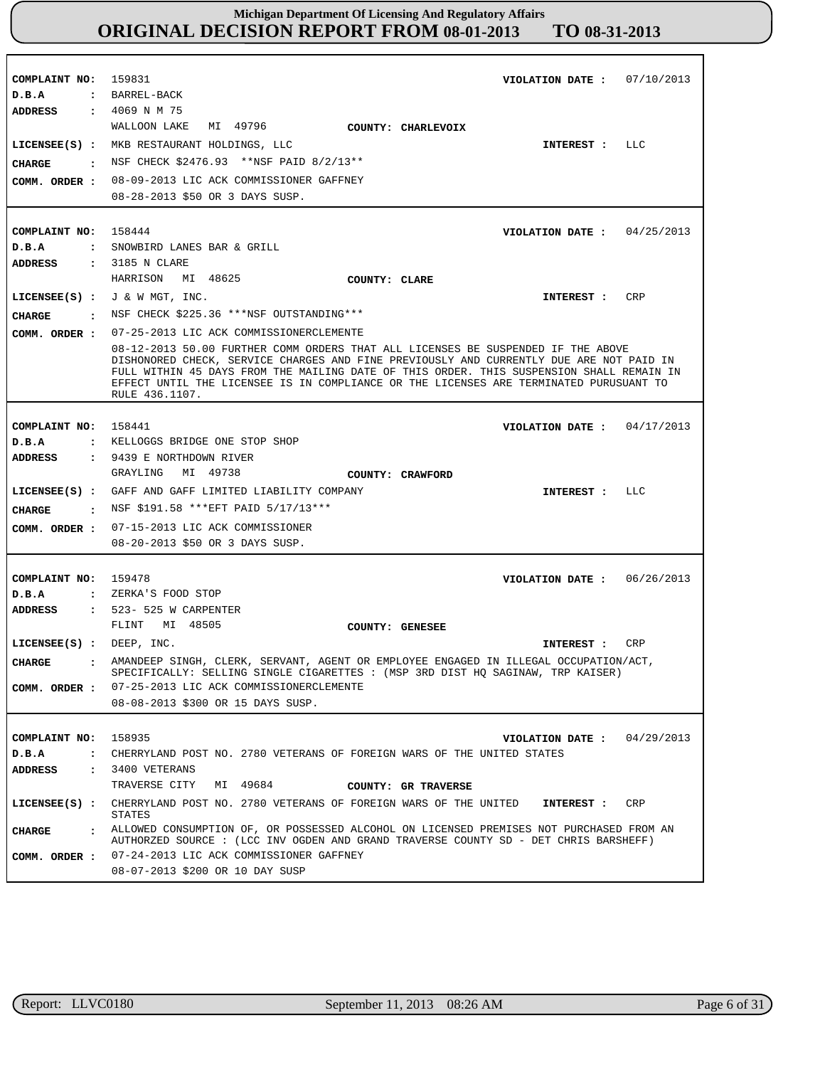| COMPLAINT NO: 159831                   | VIOLATION DATE: $07/10/2013$                                                                                                                                                                                                                                                                                                                                                        |
|----------------------------------------|-------------------------------------------------------------------------------------------------------------------------------------------------------------------------------------------------------------------------------------------------------------------------------------------------------------------------------------------------------------------------------------|
| D.B.A                                  | : BARREL-BACK                                                                                                                                                                                                                                                                                                                                                                       |
| <b>ADDRESS : 4069 N M 75</b>           |                                                                                                                                                                                                                                                                                                                                                                                     |
|                                        | MI 49796<br>WALLOON LAKE<br><b>COUNTY: CHARLEVOIX</b>                                                                                                                                                                                                                                                                                                                               |
|                                        | LICENSEE(S) : MKB RESTAURANT HOLDINGS, LLC<br>INTEREST : LLC                                                                                                                                                                                                                                                                                                                        |
| CHARGE                                 | : NSF CHECK \$2476.93 ** NSF PAID 8/2/13 **                                                                                                                                                                                                                                                                                                                                         |
|                                        | COMM. ORDER : 08-09-2013 LIC ACK COMMISSIONER GAFFNEY                                                                                                                                                                                                                                                                                                                               |
|                                        | 08-28-2013 \$50 OR 3 DAYS SUSP.                                                                                                                                                                                                                                                                                                                                                     |
|                                        |                                                                                                                                                                                                                                                                                                                                                                                     |
|                                        |                                                                                                                                                                                                                                                                                                                                                                                     |
| COMPLAINT NO: 158444                   | VIOLATION DATE: $04/25/2013$                                                                                                                                                                                                                                                                                                                                                        |
| D.B.A                                  | : SNOWBIRD LANES BAR & GRILL                                                                                                                                                                                                                                                                                                                                                        |
| ADDRESS                                | : 3185 N CLARE                                                                                                                                                                                                                                                                                                                                                                      |
|                                        | HARRISON MI 48625<br><b>COUNTY: CLARE</b>                                                                                                                                                                                                                                                                                                                                           |
|                                        | LICENSEE(S) : $J \& W MGT$ , INC.<br>INTEREST : CRP                                                                                                                                                                                                                                                                                                                                 |
| CHARGE                                 | : NSF CHECK \$225.36 ***NSF OUTSTANDING***                                                                                                                                                                                                                                                                                                                                          |
|                                        | COMM. ORDER : 07-25-2013 LIC ACK COMMISSIONERCLEMENTE                                                                                                                                                                                                                                                                                                                               |
|                                        | 08-12-2013 50.00 FURTHER COMM ORDERS THAT ALL LICENSES BE SUSPENDED IF THE ABOVE<br>DISHONORED CHECK, SERVICE CHARGES AND FINE PREVIOUSLY AND CURRENTLY DUE ARE NOT PAID IN<br>FULL WITHIN 45 DAYS FROM THE MAILING DATE OF THIS ORDER. THIS SUSPENSION SHALL REMAIN IN<br>EFFECT UNTIL THE LICENSEE IS IN COMPLIANCE OR THE LICENSES ARE TERMINATED PURUSUANT TO<br>RULE 436.1107. |
|                                        |                                                                                                                                                                                                                                                                                                                                                                                     |
| COMPLAINT NO: 158441                   | VIOLATION DATE: $04/17/2013$                                                                                                                                                                                                                                                                                                                                                        |
| D.B.A                                  | : KELLOGGS BRIDGE ONE STOP SHOP                                                                                                                                                                                                                                                                                                                                                     |
| ADDRESS                                | : 9439 E NORTHDOWN RIVER<br>GRAYLING MI 49738                                                                                                                                                                                                                                                                                                                                       |
|                                        | COUNTY: CRAWFORD                                                                                                                                                                                                                                                                                                                                                                    |
|                                        | LICENSEE(S) : GAFF AND GAFF LIMITED LIABILITY COMPANY<br>INTEREST : LLC                                                                                                                                                                                                                                                                                                             |
| CHARGE                                 | . NSF \$191.58 *** EFT PAID $5/17/13***$                                                                                                                                                                                                                                                                                                                                            |
|                                        | COMM. ORDER : 07-15-2013 LIC ACK COMMISSIONER                                                                                                                                                                                                                                                                                                                                       |
|                                        | 08-20-2013 \$50 OR 3 DAYS SUSP.                                                                                                                                                                                                                                                                                                                                                     |
|                                        |                                                                                                                                                                                                                                                                                                                                                                                     |
| COMPLAINT NO: 159478                   | VIOLATION DATE: $06/26/2013$                                                                                                                                                                                                                                                                                                                                                        |
| D.B.A                                  | : ZERKA'S FOOD STOP                                                                                                                                                                                                                                                                                                                                                                 |
| ADDRESS                                | : 523- 525 W CARPENTER                                                                                                                                                                                                                                                                                                                                                              |
|                                        | FLINT MI 48505<br>COUNTY: GENESEE                                                                                                                                                                                                                                                                                                                                                   |
| LICENSEE(S) : DEEP, INC.               | CRP<br>INTEREST :                                                                                                                                                                                                                                                                                                                                                                   |
| <b>CHARGE</b>                          | . AMANDEEP SINGH, CLERK, SERVANT, AGENT OR EMPLOYEE ENGAGED IN ILLEGAL OCCUPATION/ACT,                                                                                                                                                                                                                                                                                              |
| COMM. ORDER :                          | SPECIFICALLY: SELLING SINGLE CIGARETTES : (MSP 3RD DIST HQ SAGINAW, TRP KAISER)<br>07-25-2013 LIC ACK COMMISSIONERCLEMENTE                                                                                                                                                                                                                                                          |
|                                        |                                                                                                                                                                                                                                                                                                                                                                                     |
|                                        |                                                                                                                                                                                                                                                                                                                                                                                     |
|                                        | 08-08-2013 \$300 OR 15 DAYS SUSP.                                                                                                                                                                                                                                                                                                                                                   |
|                                        |                                                                                                                                                                                                                                                                                                                                                                                     |
| COMPLAINT NO:                          | 158935<br>VIOLATION DATE: $04/29/2013$                                                                                                                                                                                                                                                                                                                                              |
| D.B.A<br>$\ddot{\phantom{a}}$          | CHERRYLAND POST NO. 2780 VETERANS OF FOREIGN WARS OF THE UNITED STATES                                                                                                                                                                                                                                                                                                              |
| <b>ADDRESS</b><br>$\ddot{\phantom{a}}$ | 3400 VETERANS                                                                                                                                                                                                                                                                                                                                                                       |
|                                        | TRAVERSE CITY<br>MI 49684<br>COUNTY: GR TRAVERSE                                                                                                                                                                                                                                                                                                                                    |
| $LICENSEE(S)$ :                        | CHERRYLAND POST NO. 2780 VETERANS OF FOREIGN WARS OF THE UNITED<br>CRP<br>INTEREST :<br><b>STATES</b>                                                                                                                                                                                                                                                                               |
| <b>CHARGE</b><br>$\mathbf{r}$          | ALLOWED CONSUMPTION OF, OR POSSESSED ALCOHOL ON LICENSED PREMISES NOT PURCHASED FROM AN                                                                                                                                                                                                                                                                                             |
|                                        | AUTHORZED SOURCE : (LCC INV OGDEN AND GRAND TRAVERSE COUNTY SD - DET CHRIS BARSHEFF)                                                                                                                                                                                                                                                                                                |
| COMM. ORDER :                          | 07-24-2013 LIC ACK COMMISSIONER GAFFNEY<br>08-07-2013 \$200 OR 10 DAY SUSP                                                                                                                                                                                                                                                                                                          |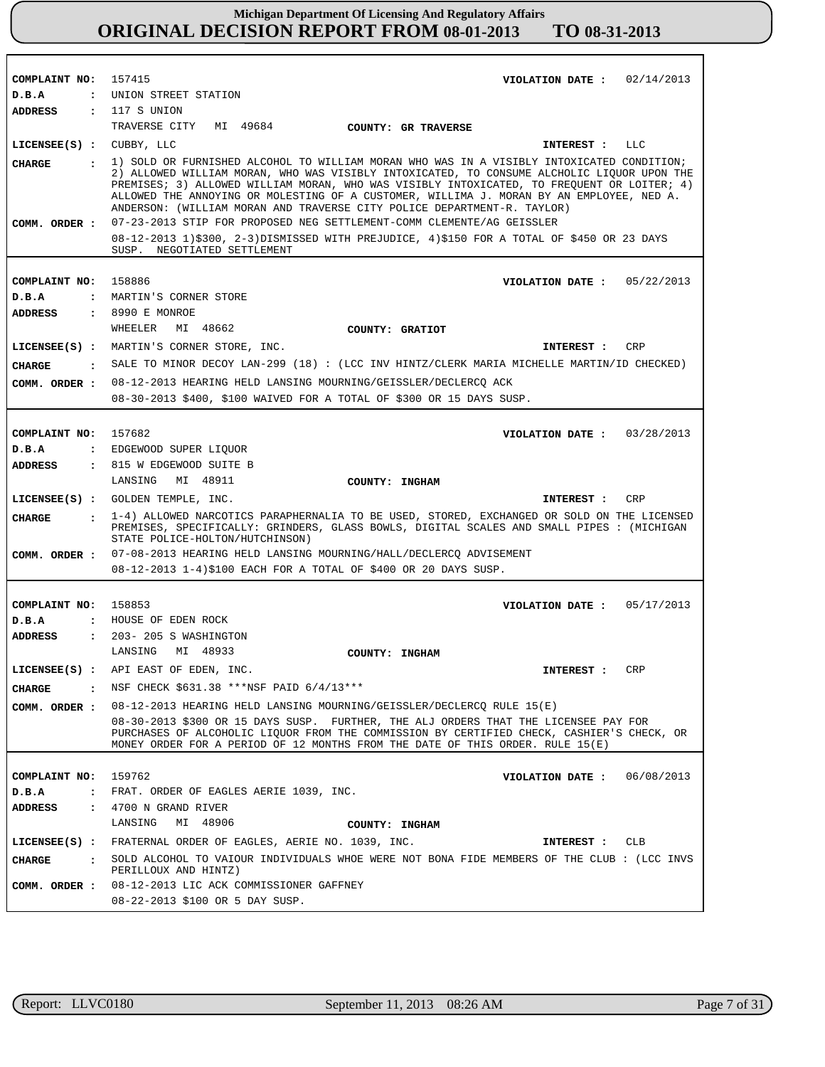| COMPLAINT NO: 157415     |              | VIOLATION DATE: $02/14/2013$                                                                                                                                                                                                                                                                                                                                                                                                                                                                                                            |
|--------------------------|--------------|-----------------------------------------------------------------------------------------------------------------------------------------------------------------------------------------------------------------------------------------------------------------------------------------------------------------------------------------------------------------------------------------------------------------------------------------------------------------------------------------------------------------------------------------|
| D.B.A                    |              | : UNION STREET STATION                                                                                                                                                                                                                                                                                                                                                                                                                                                                                                                  |
| <b>ADDRESS</b>           |              | : 117 S UNION                                                                                                                                                                                                                                                                                                                                                                                                                                                                                                                           |
|                          |              | TRAVERSE CITY MI 49684<br>COUNTY: GR TRAVERSE                                                                                                                                                                                                                                                                                                                                                                                                                                                                                           |
| LICENSEE(S) : CUBBY, LLC |              | INTEREST : LLC                                                                                                                                                                                                                                                                                                                                                                                                                                                                                                                          |
| CHARGE<br>COMM. ORDER :  |              | : 1) SOLD OR FURNISHED ALCOHOL TO WILLIAM MORAN WHO WAS IN A VISIBLY INTOXICATED CONDITION;<br>2) ALLOWED WILLIAM MORAN, WHO WAS VISIBLY INTOXICATED, TO CONSUME ALCHOLIC LIQUOR UPON THE<br>PREMISES; 3) ALLOWED WILLIAM MORAN, WHO WAS VISIBLY INTOXICATED, TO FREQUENT OR LOITER; 4)<br>ALLOWED THE ANNOYING OR MOLESTING OF A CUSTOMER, WILLIMA J. MORAN BY AN EMPLOYEE, NED A.<br>ANDERSON: (WILLIAM MORAN AND TRAVERSE CITY POLICE DEPARTMENT-R. TAYLOR)<br>07-23-2013 STIP FOR PROPOSED NEG SETTLEMENT-COMM CLEMENTE/AG GEISSLER |
|                          |              |                                                                                                                                                                                                                                                                                                                                                                                                                                                                                                                                         |
|                          |              | 08-12-2013 1)\$300, 2-3)DISMISSED WITH PREJUDICE, 4)\$150 FOR A TOTAL OF \$450 OR 23 DAYS<br>SUSP. NEGOTIATED SETTLEMENT                                                                                                                                                                                                                                                                                                                                                                                                                |
| COMPLAINT NO: 158886     |              | VIOLATION DATE: $05/22/2013$                                                                                                                                                                                                                                                                                                                                                                                                                                                                                                            |
| D.B.A                    |              | : MARTIN'S CORNER STORE                                                                                                                                                                                                                                                                                                                                                                                                                                                                                                                 |
|                          |              |                                                                                                                                                                                                                                                                                                                                                                                                                                                                                                                                         |
| ADDRESS                  |              | : 8990 E MONROE<br>WHEELER<br>MI 48662                                                                                                                                                                                                                                                                                                                                                                                                                                                                                                  |
|                          |              | COUNTY: GRATIOT                                                                                                                                                                                                                                                                                                                                                                                                                                                                                                                         |
|                          |              | LICENSEE(S) : MARTIN'S CORNER STORE, INC.<br>INTEREST : CRP                                                                                                                                                                                                                                                                                                                                                                                                                                                                             |
| CHARGE                   |              | . SALE TO MINOR DECOY LAN-299 (18) : (LCC INV HINTZ/CLERK MARIA MICHELLE MARTIN/ID CHECKED)                                                                                                                                                                                                                                                                                                                                                                                                                                             |
|                          |              | COMM. ORDER : 08-12-2013 HEARING HELD LANSING MOURNING/GEISSLER/DECLERCQ ACK                                                                                                                                                                                                                                                                                                                                                                                                                                                            |
|                          |              | 08-30-2013 \$400, \$100 WAIVED FOR A TOTAL OF \$300 OR 15 DAYS SUSP.                                                                                                                                                                                                                                                                                                                                                                                                                                                                    |
|                          |              |                                                                                                                                                                                                                                                                                                                                                                                                                                                                                                                                         |
| COMPLAINT NO: 157682     |              | VIOLATION DATE: $03/28/2013$                                                                                                                                                                                                                                                                                                                                                                                                                                                                                                            |
| D.B.A                    |              | : EDGEWOOD SUPER LIQUOR                                                                                                                                                                                                                                                                                                                                                                                                                                                                                                                 |
| ADDRESS                  |              | : 815 W EDGEWOOD SUITE B                                                                                                                                                                                                                                                                                                                                                                                                                                                                                                                |
|                          |              | LANSING MI 48911<br>COUNTY: INGHAM                                                                                                                                                                                                                                                                                                                                                                                                                                                                                                      |
|                          |              | LICENSEE(S) : GOLDEN TEMPLE, INC.<br>CRP<br>INTEREST :                                                                                                                                                                                                                                                                                                                                                                                                                                                                                  |
| <b>CHARGE</b>            |              | : 1-4) ALLOWED NARCOTICS PARAPHERNALIA TO BE USED, STORED, EXCHANGED OR SOLD ON THE LICENSED<br>PREMISES, SPECIFICALLY: GRINDERS, GLASS BOWLS, DIGITAL SCALES AND SMALL PIPES : (MICHIGAN<br>STATE POLICE-HOLTON/HUTCHINSON)                                                                                                                                                                                                                                                                                                            |
|                          |              | COMM. ORDER : 07-08-2013 HEARING HELD LANSING MOURNING/HALL/DECLERCQ ADVISEMENT                                                                                                                                                                                                                                                                                                                                                                                                                                                         |
|                          |              | 08-12-2013 1-4)\$100 EACH FOR A TOTAL OF \$400 OR 20 DAYS SUSP.                                                                                                                                                                                                                                                                                                                                                                                                                                                                         |
|                          |              |                                                                                                                                                                                                                                                                                                                                                                                                                                                                                                                                         |
| COMPLAINT NO: 158853     |              | VIOLATION DATE: $05/17/2013$                                                                                                                                                                                                                                                                                                                                                                                                                                                                                                            |
| D.B.A                    |              | : HOUSE OF EDEN ROCK                                                                                                                                                                                                                                                                                                                                                                                                                                                                                                                    |
| ADDRESS                  |              | : 203- 205 S WASHINGTON                                                                                                                                                                                                                                                                                                                                                                                                                                                                                                                 |
|                          |              | LANSING MI 48933<br>COUNTY: INGHAM                                                                                                                                                                                                                                                                                                                                                                                                                                                                                                      |
| $LICENSEE(S)$ :          |              | API EAST OF EDEN, INC.<br>CRP<br>INTEREST :                                                                                                                                                                                                                                                                                                                                                                                                                                                                                             |
| CHARGE                   | $\mathbf{r}$ | NSF CHECK \$631.38 ***NSF PAID 6/4/13***                                                                                                                                                                                                                                                                                                                                                                                                                                                                                                |
|                          |              |                                                                                                                                                                                                                                                                                                                                                                                                                                                                                                                                         |
| COMM. ORDER :            |              | 08-12-2013 HEARING HELD LANSING MOURNING/GEISSLER/DECLERCQ RULE 15(E)<br>08-30-2013 \$300 OR 15 DAYS SUSP. FURTHER, THE ALJ ORDERS THAT THE LICENSEE PAY FOR<br>PURCHASES OF ALCOHOLIC LIQUOR FROM THE COMMISSION BY CERTIFIED CHECK, CASHIER'S CHECK, OR<br>MONEY ORDER FOR A PERIOD OF 12 MONTHS FROM THE DATE OF THIS ORDER. RULE 15(E)                                                                                                                                                                                              |
|                          |              |                                                                                                                                                                                                                                                                                                                                                                                                                                                                                                                                         |
| COMPLAINT NO:            |              | 159762<br>06/08/2013<br>VIOLATION DATE :                                                                                                                                                                                                                                                                                                                                                                                                                                                                                                |
| D.B.A                    |              | : FRAT. ORDER OF EAGLES AERIE 1039, INC.                                                                                                                                                                                                                                                                                                                                                                                                                                                                                                |
| ADDRESS                  | $\mathbf{r}$ | 4700 N GRAND RIVER                                                                                                                                                                                                                                                                                                                                                                                                                                                                                                                      |
|                          |              | LANSING<br>MI 48906<br>COUNTY: INGHAM                                                                                                                                                                                                                                                                                                                                                                                                                                                                                                   |
|                          |              |                                                                                                                                                                                                                                                                                                                                                                                                                                                                                                                                         |
|                          |              | LICENSEE(S) : FRATERNAL ORDER OF EAGLES, AERIE NO. 1039, INC.<br>CLB<br>INTEREST :                                                                                                                                                                                                                                                                                                                                                                                                                                                      |
| <b>CHARGE</b>            | $\mathbf{r}$ | SOLD ALCOHOL TO VAIOUR INDIVIDUALS WHOE WERE NOT BONA FIDE MEMBERS OF THE CLUB: (LCC INVS<br>PERILLOUX AND HINTZ)                                                                                                                                                                                                                                                                                                                                                                                                                       |

п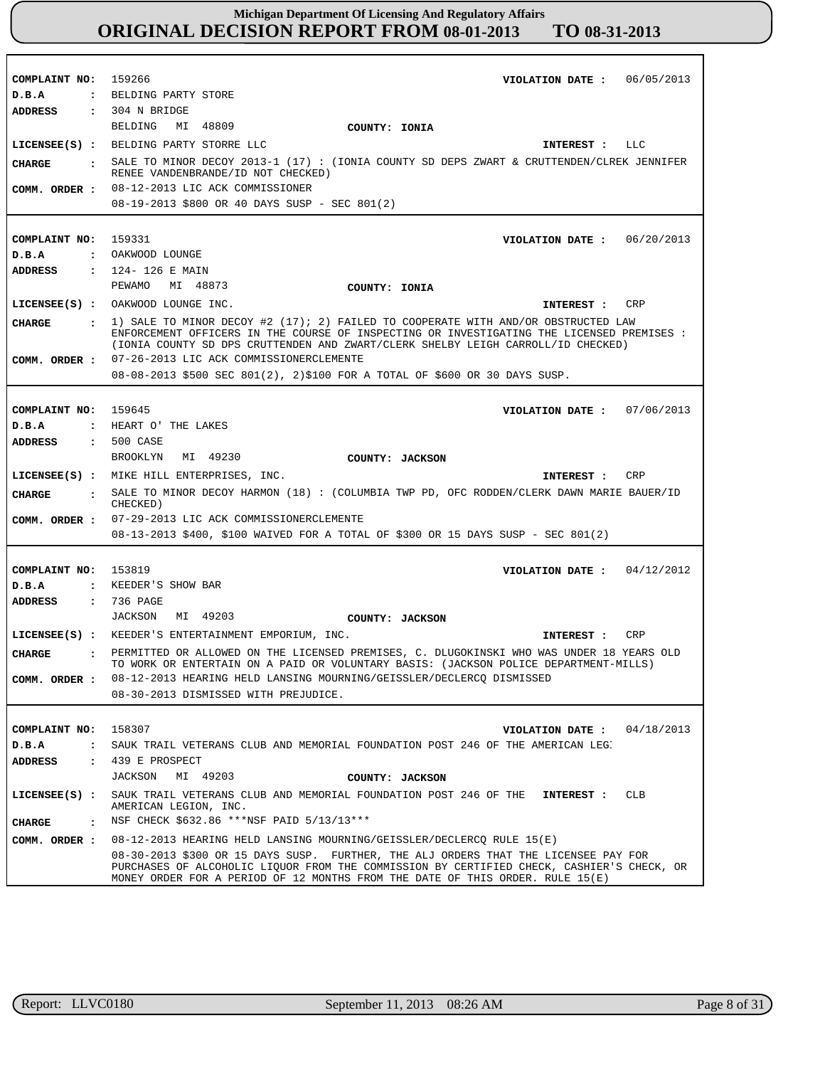| COMPLAINT NO: 159266                   | VIOLATION DATE: $06/05/2013$                                                                                                                                                       |
|----------------------------------------|------------------------------------------------------------------------------------------------------------------------------------------------------------------------------------|
| D.B.A                                  | : BELDING PARTY STORE                                                                                                                                                              |
| <b>ADDRESS</b>                         | $: 304$ N BRIDGE                                                                                                                                                                   |
|                                        | BELDING MI 48809<br>COUNTY: IONIA                                                                                                                                                  |
|                                        | LICENSEE(S) : BELDING PARTY STORRE LLC<br>INTEREST : LLC                                                                                                                           |
| CIIARGE                                | : SALE TO MINOR DECOY 2013-1 (17) : (IONIA COUNTY SD DEPS ZWART & CRUTTENDEN/CLREK JENNIFER<br>RENEE VANDENBRANDE/ID NOT CHECKED)                                                  |
|                                        | COMM. ORDER : 08-12-2013 LIC ACK COMMISSIONER                                                                                                                                      |
|                                        | 08-19-2013 \$800 OR 40 DAYS SUSP - SEC 801(2)                                                                                                                                      |
|                                        |                                                                                                                                                                                    |
| COMPLAINT NO:                          | 159331<br>VIOLATION DATE: $06/20/2013$                                                                                                                                             |
| D.B.A                                  | : OAKWOOD LOUNGE                                                                                                                                                                   |
| ADDRESS                                | : 124-126 E MAIN                                                                                                                                                                   |
|                                        | PEWAMO MI 48873<br>COUNTY: IONIA                                                                                                                                                   |
|                                        | LICENSEE(S) : OAKWOOD LOUNGE INC.<br>CRP<br>INTEREST :                                                                                                                             |
| CIIARGE<br>$\mathbf{r}$                | 1) SALE TO MINOR DECOY #2 (17); 2) FAILED TO COOPERATE WITH AND/OR OBSTRUCTED LAW                                                                                                  |
|                                        | ENFORCEMENT OFFICERS IN THE COURSE OF INSPECTING OR INVESTIGATING THE LICENSED PREMISES :<br>(IONIA COUNTY SD DPS CRUTTENDEN AND ZWART/CLERK SHELBY LEIGH CARROLL/ID CHECKED)      |
|                                        | COMM. ORDER : 07-26-2013 LIC ACK COMMISSIONERCLEMENTE                                                                                                                              |
|                                        | $08-08-2013$ \$500 SEC 801(2), 2)\$100 FOR A TOTAL OF \$600 OR 30 DAYS SUSP.                                                                                                       |
|                                        |                                                                                                                                                                                    |
| COMPLAINT NO: 159645                   | VIOLATION DATE: $07/06/2013$                                                                                                                                                       |
| D.B.A                                  | : HEART O' THE LAKES                                                                                                                                                               |
| ADDRESS                                | $: 500$ CASE                                                                                                                                                                       |
|                                        | MI 49230<br>BROOKLYN<br>COUNTY: JACKSON                                                                                                                                            |
|                                        | LICENSEE(S) : MIKE HILL ENTERPRISES, INC.<br>INTEREST : CRP                                                                                                                        |
| CIIARGE                                | . SALE TO MINOR DECOY HARMON (18): (COLUMBIA TWP PD, OFC RODDEN/CLERK DAWN MARIE BAUER/ID<br>CHECKED)                                                                              |
|                                        | COMM. ORDER : 07-29-2013 LIC ACK COMMISSIONERCLEMENTE                                                                                                                              |
|                                        | 08-13-2013 \$400, \$100 WAIVED FOR A TOTAL OF \$300 OR 15 DAYS SUSP - SEC 801(2)                                                                                                   |
|                                        |                                                                                                                                                                                    |
| COMPLAINT NO: 153819                   | VIOLATION DATE : $04/12/2012$                                                                                                                                                      |
| D.B.A                                  | : KEEDER'S SHOW BAR                                                                                                                                                                |
| <b>ADDRESS</b>                         | : 736 PAGE                                                                                                                                                                         |
|                                        | JACKSON MI 49203<br>COUNTY: JACKSON                                                                                                                                                |
|                                        | LICENSEE(S) : KEEDER'S ENTERTAINMENT EMPORIUM, INC.<br>CRP<br>INTEREST :                                                                                                           |
| CIIARGE                                | . PERMITTED OR ALLOWED ON THE LICENSED PREMISES, C. DLUGOKINSKI WHO WAS UNDER 18 YEARS OLD<br>TO WORK OR ENTERTAIN ON A PAID OR VOLUNTARY BASIS: (JACKSON POLICE DEPARTMENT-MILLS) |
| COMM. ORDER :                          | 08-12-2013 HEARING HELD LANSING MOURNING/GEISSLER/DECLERCQ DISMISSED                                                                                                               |
|                                        | 08-30-2013 DISMISSED WITH PREJUDICE.                                                                                                                                               |
|                                        |                                                                                                                                                                                    |
| COMPLAINT NO:                          | 158307<br>04/18/2013<br>VIOLATION DATE :                                                                                                                                           |
| D.B.A<br>$\ddot{\phantom{a}}$          | SAUK TRAIL VETERANS CLUB AND MEMORIAL FOUNDATION POST 246 OF THE AMERICAN LEG.                                                                                                     |
| <b>ADDRESS</b><br>$\ddot{\phantom{a}}$ | 439 E PROSPECT                                                                                                                                                                     |
|                                        | JACKSON MI 49203<br>COUNTY: JACKSON                                                                                                                                                |
| $LICENSEE(S)$ :                        | SAUK TRAIL VETERANS CLUB AND MEMORIAL FOUNDATION POST 246 OF THE<br>CLB<br>INTEREST :<br>AMERICAN LEGION, INC.                                                                     |
| <b>CHARGE</b><br>$\ddot{\phantom{a}}$  | NSF CHECK \$632.86 ***NSF PAID 5/13/13***                                                                                                                                          |
| COMM. ORDER :                          | 08-12-2013 HEARING HELD LANSING MOURNING/GEISSLER/DECLERCQ RULE 15(E)                                                                                                              |
|                                        | 08-30-2013 \$300 OR 15 DAYS SUSP. FURTHER, THE ALJ ORDERS THAT THE LICENSEE PAY FOR                                                                                                |
|                                        | PURCHASES OF ALCOHOLIC LIQUOR FROM THE COMMISSION BY CERTIFIED CHECK, CASHIER'S CHECK, OR<br>MONEY ORDER FOR A PERIOD OF 12 MONTHS FROM THE DATE OF THIS ORDER. RULE 15(E)         |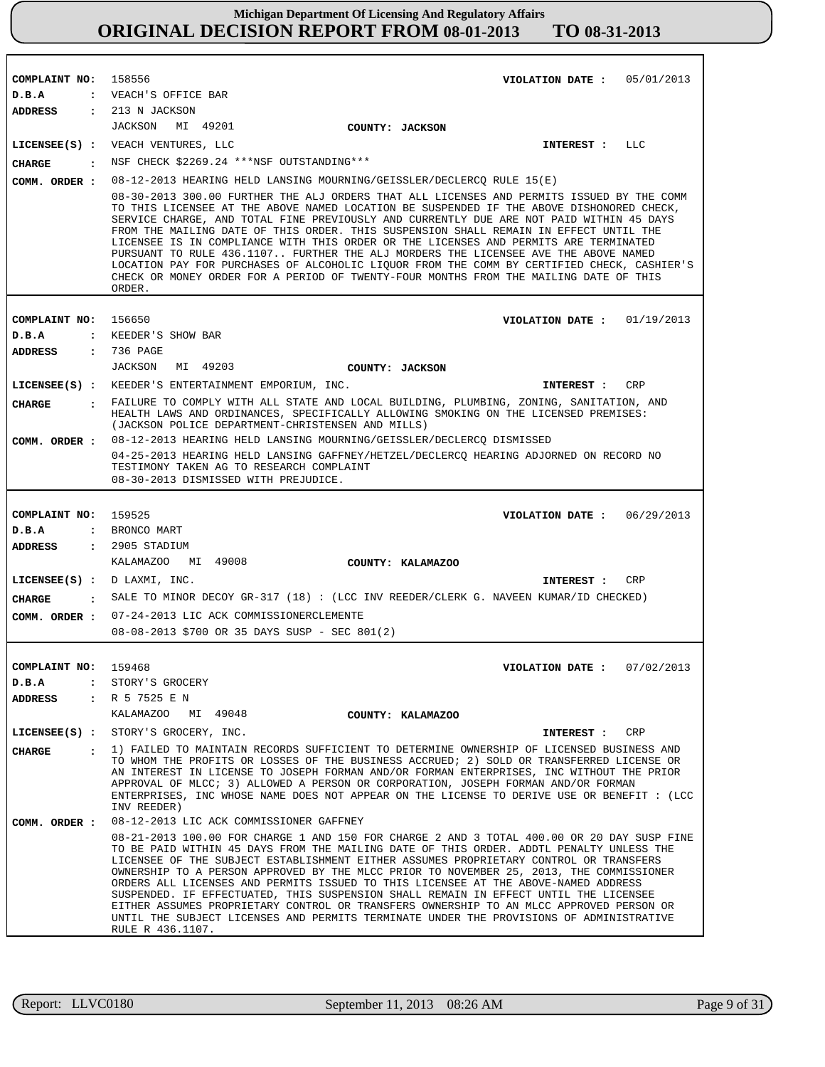| COMPLAINT NO: 158556          | VIOLATION DATE: $05/01/2013$                                                                                                                                                                                                                                                                                                                                                                                                                                                                                                                                                                                                                                                                                                                             |
|-------------------------------|----------------------------------------------------------------------------------------------------------------------------------------------------------------------------------------------------------------------------------------------------------------------------------------------------------------------------------------------------------------------------------------------------------------------------------------------------------------------------------------------------------------------------------------------------------------------------------------------------------------------------------------------------------------------------------------------------------------------------------------------------------|
| D.B.A                         | : VEACH'S OFFICE BAR                                                                                                                                                                                                                                                                                                                                                                                                                                                                                                                                                                                                                                                                                                                                     |
| ADDRESS : 213 N JACKSON       |                                                                                                                                                                                                                                                                                                                                                                                                                                                                                                                                                                                                                                                                                                                                                          |
|                               | JACKSON MI 49201<br>COUNTY: JACKSON                                                                                                                                                                                                                                                                                                                                                                                                                                                                                                                                                                                                                                                                                                                      |
|                               | LICENSEE(S) : VEACH VENTURES, LLC<br>LLC<br>INTEREST :                                                                                                                                                                                                                                                                                                                                                                                                                                                                                                                                                                                                                                                                                                   |
| CHARGE                        | : NSF CHECK \$2269.24 ***NSF OUTSTANDING***                                                                                                                                                                                                                                                                                                                                                                                                                                                                                                                                                                                                                                                                                                              |
|                               | COMM. ORDER: 08-12-2013 HEARING HELD LANSING MOURNING/GEISSLER/DECLERCQ RULE 15(E)                                                                                                                                                                                                                                                                                                                                                                                                                                                                                                                                                                                                                                                                       |
|                               | 08-30-2013 300.00 FURTHER THE ALJ ORDERS THAT ALL LICENSES AND PERMITS ISSUED BY THE COMM<br>TO THIS LICENSEE AT THE ABOVE NAMED LOCATION BE SUSPENDED IF THE ABOVE DISHONORED CHECK,<br>SERVICE CHARGE, AND TOTAL FINE PREVIOUSLY AND CURRENTLY DUE ARE NOT PAID WITHIN 45 DAYS<br>FROM THE MAILING DATE OF THIS ORDER. THIS SUSPENSION SHALL REMAIN IN EFFECT UNTIL THE<br>LICENSEE IS IN COMPLIANCE WITH THIS ORDER OR THE LICENSES AND PERMITS ARE TERMINATED<br>PURSUANT TO RULE 436.1107 FURTHER THE ALJ MORDERS THE LICENSEE AVE THE ABOVE NAMED<br>LOCATION PAY FOR PURCHASES OF ALCOHOLIC LIQUOR FROM THE COMM BY CERTIFIED CHECK, CASHIER'S<br>CHECK OR MONEY ORDER FOR A PERIOD OF TWENTY-FOUR MONTHS FROM THE MAILING DATE OF THIS<br>ORDER. |
|                               |                                                                                                                                                                                                                                                                                                                                                                                                                                                                                                                                                                                                                                                                                                                                                          |
| COMPLAINT NO: 156650          | VIOLATION DATE: $01/19/2013$                                                                                                                                                                                                                                                                                                                                                                                                                                                                                                                                                                                                                                                                                                                             |
| D.B.A                         | : KEEDER'S SHOW BAR                                                                                                                                                                                                                                                                                                                                                                                                                                                                                                                                                                                                                                                                                                                                      |
| ADDRESS                       | : 736 PAGE<br>JACKSON MI 49203                                                                                                                                                                                                                                                                                                                                                                                                                                                                                                                                                                                                                                                                                                                           |
|                               | COUNTY: JACKSON                                                                                                                                                                                                                                                                                                                                                                                                                                                                                                                                                                                                                                                                                                                                          |
|                               | LICENSEE(S) : KEEDER'S ENTERTAINMENT EMPORIUM, INC.<br>INTEREST : CRP<br>. FAILURE TO COMPLY WITH ALL STATE AND LOCAL BUILDING, PLUMBING, ZONING, SANITATION, AND                                                                                                                                                                                                                                                                                                                                                                                                                                                                                                                                                                                        |
| <b>CHARGE</b>                 | HEALTH LAWS AND ORDINANCES, SPECIFICALLY ALLOWING SMOKING ON THE LICENSED PREMISES:<br>(JACKSON POLICE DEPARTMENT-CHRISTENSEN AND MILLS)                                                                                                                                                                                                                                                                                                                                                                                                                                                                                                                                                                                                                 |
| COMM. ORDER :                 | 08-12-2013 HEARING HELD LANSING MOURNING/GEISSLER/DECLERCO DISMISSED                                                                                                                                                                                                                                                                                                                                                                                                                                                                                                                                                                                                                                                                                     |
|                               | 04-25-2013 HEARING HELD LANSING GAFFNEY/HETZEL/DECLERCQ HEARING ADJORNED ON RECORD NO<br>TESTIMONY TAKEN AG TO RESEARCH COMPLAINT<br>08-30-2013 DISMISSED WITH PREJUDICE.                                                                                                                                                                                                                                                                                                                                                                                                                                                                                                                                                                                |
|                               |                                                                                                                                                                                                                                                                                                                                                                                                                                                                                                                                                                                                                                                                                                                                                          |
| COMPLAINT NO: 159525          | VIOLATION DATE: $06/29/2013$                                                                                                                                                                                                                                                                                                                                                                                                                                                                                                                                                                                                                                                                                                                             |
| D.B.A<br>ADDRESS              | : BRONCO MART<br>: 2905 STADIUM                                                                                                                                                                                                                                                                                                                                                                                                                                                                                                                                                                                                                                                                                                                          |
|                               | KALAMAZOO MI 49008<br>COUNTY: KALAMAZOO                                                                                                                                                                                                                                                                                                                                                                                                                                                                                                                                                                                                                                                                                                                  |
| LICENSEE(S) : D LAXMI, INC.   | <b>CRP</b><br>INTEREST :                                                                                                                                                                                                                                                                                                                                                                                                                                                                                                                                                                                                                                                                                                                                 |
| CHARGE                        | : SALE TO MINOR DECOY GR-317 (18) : (LCC INV REEDER/CLERK G. NAVEEN KUMAR/ID CHECKED)                                                                                                                                                                                                                                                                                                                                                                                                                                                                                                                                                                                                                                                                    |
|                               | COMM. ORDER : 07-24-2013 LIC ACK COMMISSIONERCLEMENTE                                                                                                                                                                                                                                                                                                                                                                                                                                                                                                                                                                                                                                                                                                    |
|                               | 08-08-2013 \$700 OR 35 DAYS SUSP - SEC 801(2)                                                                                                                                                                                                                                                                                                                                                                                                                                                                                                                                                                                                                                                                                                            |
|                               |                                                                                                                                                                                                                                                                                                                                                                                                                                                                                                                                                                                                                                                                                                                                                          |
| COMPLAINT NO:                 | 159468<br>07/02/2013<br>VIOLATION DATE :                                                                                                                                                                                                                                                                                                                                                                                                                                                                                                                                                                                                                                                                                                                 |
| D.B.A<br>$\ddot{\phantom{a}}$ | STORY'S GROCERY                                                                                                                                                                                                                                                                                                                                                                                                                                                                                                                                                                                                                                                                                                                                          |
| ADDRESS                       | : R 5 7525 E N                                                                                                                                                                                                                                                                                                                                                                                                                                                                                                                                                                                                                                                                                                                                           |
|                               | KALAMAZOO MI 49048<br>COUNTY: KALAMAZOO                                                                                                                                                                                                                                                                                                                                                                                                                                                                                                                                                                                                                                                                                                                  |
|                               | LICENSEE(S) : STORY'S GROCERY, INC.<br>INTEREST : CRP                                                                                                                                                                                                                                                                                                                                                                                                                                                                                                                                                                                                                                                                                                    |
| <b>CHARGE</b><br>$\mathbf{r}$ | 1) FAILED TO MAINTAIN RECORDS SUFFICIENT TO DETERMINE OWNERSHIP OF LICENSED BUSINESS AND<br>TO WHOM THE PROFITS OR LOSSES OF THE BUSINESS ACCRUED; 2) SOLD OR TRANSFERRED LICENSE OR<br>AN INTEREST IN LICENSE TO JOSEPH FORMAN AND/OR FORMAN ENTERPRISES, INC WITHOUT THE PRIOR<br>APPROVAL OF MLCC; 3) ALLOWED A PERSON OR CORPORATION, JOSEPH FORMAN AND/OR FORMAN<br>ENTERPRISES, INC WHOSE NAME DOES NOT APPEAR ON THE LICENSE TO DERIVE USE OR BENEFIT : (LCC<br>INV REEDER)                                                                                                                                                                                                                                                                       |
| COMM. ORDER :                 | 08-12-2013 LIC ACK COMMISSIONER GAFFNEY                                                                                                                                                                                                                                                                                                                                                                                                                                                                                                                                                                                                                                                                                                                  |
|                               | 08-21-2013 100.00 FOR CHARGE 1 AND 150 FOR CHARGE 2 AND 3 TOTAL 400.00 OR 20 DAY SUSP FINE                                                                                                                                                                                                                                                                                                                                                                                                                                                                                                                                                                                                                                                               |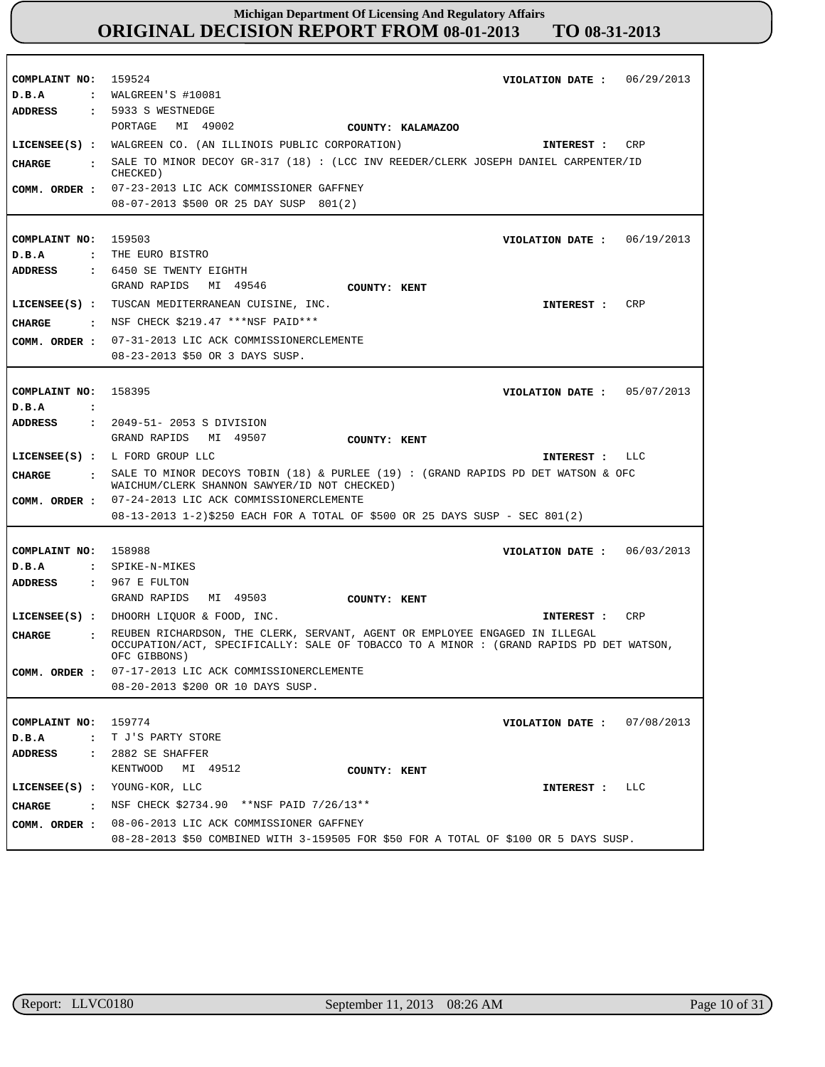| COMPLAINT NO: 159524<br>D.B.A | VIOLATION DATE: $06/29/2013$<br>$:$ WALGREEN'S #10081                                                                                                                  |
|-------------------------------|------------------------------------------------------------------------------------------------------------------------------------------------------------------------|
| ADDRESS                       | : 5933 S WESTNEDGE                                                                                                                                                     |
|                               | PORTAGE MI 49002<br>COUNTY: KALAMAZOO                                                                                                                                  |
|                               | LICENSEE(S) : WALGREEN CO. (AN ILLINOIS PUBLIC CORPORATION)<br>CRP                                                                                                     |
|                               | INTEREST :                                                                                                                                                             |
| CHARGE                        | . SALE TO MINOR DECOY GR-317 (18) : (LCC INV REEDER/CLERK JOSEPH DANIEL CARPENTER/ID<br>CHECKED)                                                                       |
|                               | COMM. ORDER : 07-23-2013 LIC ACK COMMISSIONER GAFFNEY                                                                                                                  |
|                               | 08-07-2013 \$500 OR 25 DAY SUSP 801(2)                                                                                                                                 |
|                               |                                                                                                                                                                        |
| COMPLAINT NO: 159503          | VIOLATION DATE: $06/19/2013$                                                                                                                                           |
| D.B.A                         | : THE EURO BISTRO                                                                                                                                                      |
| ADDRESS                       | : 6450 SE TWENTY EIGHTH                                                                                                                                                |
|                               | GRAND RAPIDS<br>MI 49546<br><b>COUNTY: KENT</b>                                                                                                                        |
|                               | CRP<br>LICENSEE(S) : TUSCAN MEDITERRANEAN CUISINE, INC.<br>INTEREST :                                                                                                  |
|                               | CHARGE : NSF CHECK \$219.47 ***NSF PAID***                                                                                                                             |
|                               | COMM. ORDER : 07-31-2013 LIC ACK COMMISSIONERCLEMENTE                                                                                                                  |
|                               | 08-23-2013 \$50 OR 3 DAYS SUSP.                                                                                                                                        |
|                               |                                                                                                                                                                        |
| COMPLAINT NO: 158395          | VIOLATION DATE: 05/07/2013                                                                                                                                             |
| D.B.A<br>$\mathbf{r}$         |                                                                                                                                                                        |
| ADDRESS                       | : 2049-51- 2053 S DIVISION                                                                                                                                             |
|                               | GRAND RAPIDS MI 49507<br>COUNTY: KENT                                                                                                                                  |
|                               | LICENSEE(S) : L FORD GROUP LLC<br>INTEREST : LLC                                                                                                                       |
| CHARGE                        |                                                                                                                                                                        |
|                               |                                                                                                                                                                        |
|                               | . SALE TO MINOR DECOYS TOBIN (18) & PURLEE (19) : (GRAND RAPIDS PD DET WATSON & OFC<br>WAICHUM/CLERK SHANNON SAWYER/ID NOT CHECKED)                                    |
|                               | COMM. ORDER : 07-24-2013 LIC ACK COMMISSIONERCLEMENTE                                                                                                                  |
|                               | 08-13-2013 1-2)\$250 EACH FOR A TOTAL OF \$500 OR 25 DAYS SUSP - SEC 801(2)                                                                                            |
|                               |                                                                                                                                                                        |
| COMPLAINT NO: 158988          | 06/03/2013<br>VIOLATION DATE :                                                                                                                                         |
| D.B.A                         | : SPIKE-N-MIKES                                                                                                                                                        |
| ADDRESS                       | $: 967 E$ FULTON                                                                                                                                                       |
|                               | GRAND RAPIDS<br>MI 49503<br>COUNTY: KENT                                                                                                                               |
|                               | LICENSEE(S) : DHOORH LIQUOR & FOOD, INC.<br>CRP<br>INTEREST :                                                                                                          |
| CHARGE<br>$\cdot$             | REUBEN RICHARDSON, THE CLERK, SERVANT, AGENT OR EMPLOYEE ENGAGED IN ILLEGAL<br>OCCUPATION/ACT, SPECIFICALLY: SALE OF TOBACCO TO A MINOR : (GRAND RAPIDS PD DET WATSON, |
|                               | OFC GIBBONS)                                                                                                                                                           |
| COMM. ORDER :                 | 07-17-2013 LIC ACK COMMISSIONERCLEMENTE                                                                                                                                |
|                               | 08-20-2013 \$200 OR 10 DAYS SUSP.                                                                                                                                      |
|                               |                                                                                                                                                                        |
| COMPLAINT NO: 159774          | VIOLATION DATE: $07/08/2013$                                                                                                                                           |
| D.B.A<br>$\ddot{\phantom{a}}$ | T J'S PARTY STORE                                                                                                                                                      |
| ADDRESS                       | $: 2882$ SE SHAFFER                                                                                                                                                    |
|                               | KENTWOOD MI 49512<br>COUNTY: KENT                                                                                                                                      |
| $LICENSEE(S)$ :               | YOUNG-KOR, LLC<br>LLC<br>INTEREST :                                                                                                                                    |
| CHARGE                        | : NSF CHECK $$2734.90$ **NSF PAID $7/26/13**$                                                                                                                          |
| COMM. ORDER :                 | 08-06-2013 LIC ACK COMMISSIONER GAFFNEY                                                                                                                                |

г

٦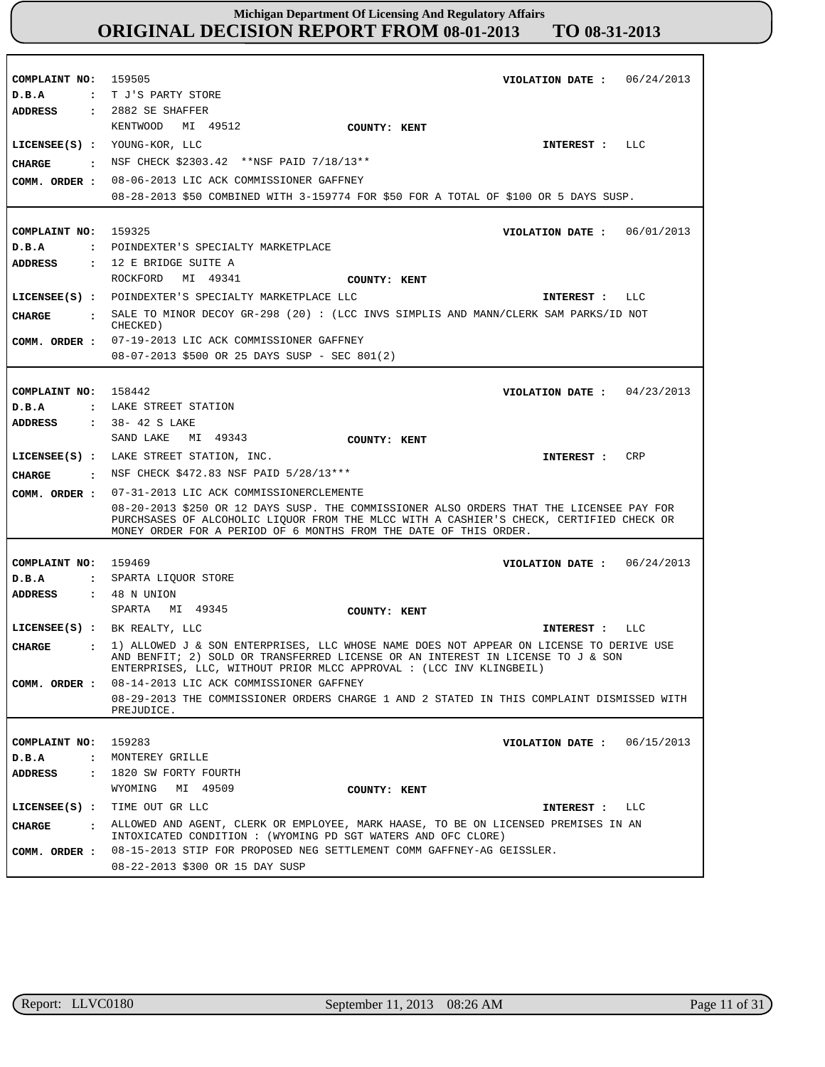| COMPLAINT NO: 159505           | VIOLATION DATE: $06/24/2013$                                                                                                                                                                                                                             |
|--------------------------------|----------------------------------------------------------------------------------------------------------------------------------------------------------------------------------------------------------------------------------------------------------|
| D.B.A                          | : T J'S PARTY STORE                                                                                                                                                                                                                                      |
| ADDRESS                        | $: 2882$ SE SHAFFER                                                                                                                                                                                                                                      |
|                                | KENTWOOD MI 49512<br>COUNTY: KENT                                                                                                                                                                                                                        |
|                                | LICENSEE(S) : YOUNG-KOR, LLC<br>LLC<br>INTEREST :                                                                                                                                                                                                        |
| CHARGE<br>$\ddot{\phantom{a}}$ | NSF CHECK \$2303.42 **NSF PAID 7/18/13**                                                                                                                                                                                                                 |
|                                | 08-06-2013 LIC ACK COMMISSIONER GAFFNEY                                                                                                                                                                                                                  |
| COMM. ORDER :                  | 08-28-2013 \$50 COMBINED WITH 3-159774 FOR \$50 FOR A TOTAL OF \$100 OR 5 DAYS SUSP.                                                                                                                                                                     |
|                                |                                                                                                                                                                                                                                                          |
| COMPLAINT NO: 159325           | VIOLATION DATE: $06/01/2013$                                                                                                                                                                                                                             |
| D.B.A                          | : POINDEXTER'S SPECIALTY MARKETPLACE                                                                                                                                                                                                                     |
| <b>ADDRESS</b>                 | : 12 E BRIDGE SUITE A                                                                                                                                                                                                                                    |
|                                | ROCKFORD MI 49341<br>COUNTY: KENT                                                                                                                                                                                                                        |
|                                |                                                                                                                                                                                                                                                          |
|                                | LICENSEE(S) : POINDEXTER'S SPECIALTY MARKETPLACE LLC<br>INTEREST : LLC                                                                                                                                                                                   |
| <b>CHARGE</b>                  | : SALE TO MINOR DECOY GR-298 (20): (LCC INVS SIMPLIS AND MANN/CLERK SAM PARKS/ID NOT<br>CHECKED)                                                                                                                                                         |
|                                | COMM. ORDER : 07-19-2013 LIC ACK COMMISSIONER GAFFNEY                                                                                                                                                                                                    |
|                                | 08-07-2013 \$500 OR 25 DAYS SUSP - SEC 801(2)                                                                                                                                                                                                            |
|                                |                                                                                                                                                                                                                                                          |
| COMPLAINT NO: 158442           | VIOLATION DATE: $04/23/2013$                                                                                                                                                                                                                             |
| D.B.A                          | : LAKE STREET STATION                                                                                                                                                                                                                                    |
| <b>ADDRESS</b>                 | : 38-42 S LAKE                                                                                                                                                                                                                                           |
|                                | SAND LAKE<br>MI 49343<br>COUNTY: KENT                                                                                                                                                                                                                    |
|                                | LICENSEE(S) : LAKE STREET STATION, INC.<br>INTEREST :<br>CRP                                                                                                                                                                                             |
| <b>CHARGE</b>                  | $\cdot$ NSF CHECK \$472.83 NSF PAID 5/28/13***                                                                                                                                                                                                           |
| COMM. ORDER :                  | 07-31-2013 LIC ACK COMMISSIONERCLEMENTE                                                                                                                                                                                                                  |
|                                | 08-20-2013 \$250 OR 12 DAYS SUSP. THE COMMISSIONER ALSO ORDERS THAT THE LICENSEE PAY FOR<br>PURCHSASES OF ALCOHOLIC LIQUOR FROM THE MLCC WITH A CASHIER'S CHECK, CERTIFIED CHECK OR<br>MONEY ORDER FOR A PERIOD OF 6 MONTHS FROM THE DATE OF THIS ORDER. |
|                                |                                                                                                                                                                                                                                                          |
| COMPLAINT NO:                  | 159469<br>VIOLATION DATE: $06/24/2013$                                                                                                                                                                                                                   |
| D.B.A                          | : SPARTA LIQUOR STORE                                                                                                                                                                                                                                    |
| <b>ADDRESS</b>                 | : 48 N UNION                                                                                                                                                                                                                                             |
|                                | SPARTA MI 49345<br>COUNTY: KENT                                                                                                                                                                                                                          |
|                                | LICENSEE(S) : BK REALTY, LLC<br>INTEREST : LLC                                                                                                                                                                                                           |
| <b>CHARGE</b>                  | 1) ALLOWED J & SON ENTERPRISES, LLC WHOSE NAME DOES NOT APPEAR ON LICENSE TO DERIVE USE<br>AND BENFIT; 2) SOLD OR TRANSFERRED LICENSE OR AN INTEREST IN LICENSE TO J & SON                                                                               |
| COMM. ORDER :                  | ENTERPRISES, LLC, WITHOUT PRIOR MLCC APPROVAL : (LCC INV KLINGBEIL)<br>08-14-2013 LIC ACK COMMISSIONER GAFFNEY                                                                                                                                           |
|                                | 08-29-2013 THE COMMISSIONER ORDERS CHARGE 1 AND 2 STATED IN THIS COMPLAINT DISMISSED WITH                                                                                                                                                                |
|                                | PREJUDICE.                                                                                                                                                                                                                                               |
|                                |                                                                                                                                                                                                                                                          |
| COMPLAINT NO:                  | 159283<br>VIOLATION DATE: $06/15/2013$                                                                                                                                                                                                                   |
| D.B.A                          | : MONTEREY GRILLE                                                                                                                                                                                                                                        |
| ADDRESS                        | : 1820 SW FORTY FOURTH                                                                                                                                                                                                                                   |
|                                | WYOMING MI 49509<br>COUNTY: KENT                                                                                                                                                                                                                         |
|                                | LICENSEE(S) : TIME OUT GR LLC<br>INTEREST : LLC                                                                                                                                                                                                          |
| <b>CHARGE</b>                  | . ALLOWED AND AGENT, CLERK OR EMPLOYEE, MARK HAASE, TO BE ON LICENSED PREMISES IN AN<br>INTOXICATED CONDITION : (WYOMING PD SGT WATERS AND OFC CLORE)                                                                                                    |
|                                | COMM. ORDER: 08-15-2013 STIP FOR PROPOSED NEG SETTLEMENT COMM GAFFNEY-AG GEISSLER.                                                                                                                                                                       |
|                                |                                                                                                                                                                                                                                                          |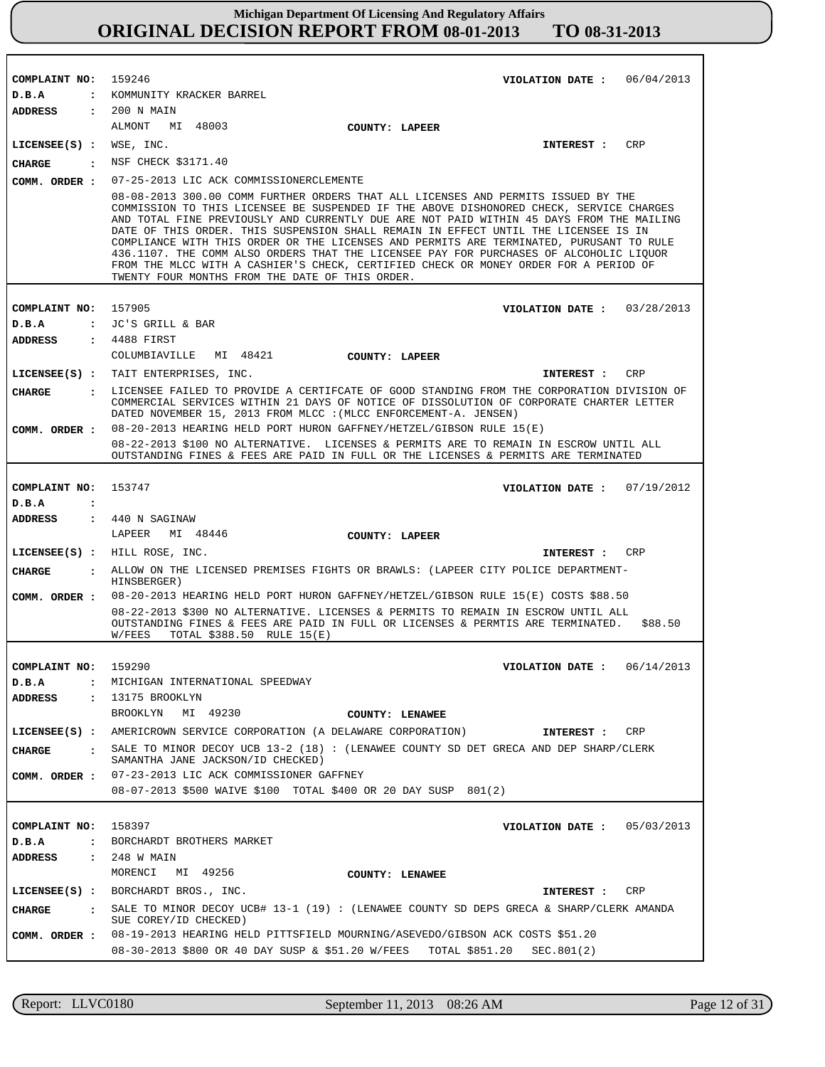| COMPLAINT NO: 159246               | VIOLATION DATE: $06/04/2013$                                                                                                                                                                                                                                                                                                                                                                                                                                                                                                                                                                                                                                                                    |
|------------------------------------|-------------------------------------------------------------------------------------------------------------------------------------------------------------------------------------------------------------------------------------------------------------------------------------------------------------------------------------------------------------------------------------------------------------------------------------------------------------------------------------------------------------------------------------------------------------------------------------------------------------------------------------------------------------------------------------------------|
| D.B.A                              | : KOMMUNITY KRACKER BARREL                                                                                                                                                                                                                                                                                                                                                                                                                                                                                                                                                                                                                                                                      |
| <b>ADDRESS</b>                     | : 200 N MAIN                                                                                                                                                                                                                                                                                                                                                                                                                                                                                                                                                                                                                                                                                    |
|                                    | MI 48003<br>ALMONT<br>COUNTY: LAPEER                                                                                                                                                                                                                                                                                                                                                                                                                                                                                                                                                                                                                                                            |
| $LICENSEE(S)$ : WSE, INC.          | INTEREST : CRP                                                                                                                                                                                                                                                                                                                                                                                                                                                                                                                                                                                                                                                                                  |
| <b>CHARGE</b>                      | : NSF CHECK \$3171.40                                                                                                                                                                                                                                                                                                                                                                                                                                                                                                                                                                                                                                                                           |
| COMM. ORDER :                      | 07-25-2013 LIC ACK COMMISSIONERCLEMENTE                                                                                                                                                                                                                                                                                                                                                                                                                                                                                                                                                                                                                                                         |
|                                    | 08-08-2013 300.00 COMM FURTHER ORDERS THAT ALL LICENSES AND PERMITS ISSUED BY THE<br>COMMISSION TO THIS LICENSEE BE SUSPENDED IF THE ABOVE DISHONORED CHECK, SERVICE CHARGES<br>AND TOTAL FINE PREVIOUSLY AND CURRENTLY DUE ARE NOT PAID WITHIN 45 DAYS FROM THE MAILING<br>DATE OF THIS ORDER. THIS SUSPENSION SHALL REMAIN IN EFFECT UNTIL THE LICENSEE IS IN<br>COMPLIANCE WITH THIS ORDER OR THE LICENSES AND PERMITS ARE TERMINATED, PURUSANT TO RULE<br>436.1107. THE COMM ALSO ORDERS THAT THE LICENSEE PAY FOR PURCHASES OF ALCOHOLIC LIQUOR<br>FROM THE MLCC WITH A CASHIER'S CHECK, CERTIFIED CHECK OR MONEY ORDER FOR A PERIOD OF<br>TWENTY FOUR MONTHS FROM THE DATE OF THIS ORDER. |
| COMPLAINT NO: 157905               | VIOLATION DATE: $03/28/2013$                                                                                                                                                                                                                                                                                                                                                                                                                                                                                                                                                                                                                                                                    |
| D.B.A                              | : JC'S GRILL & BAR                                                                                                                                                                                                                                                                                                                                                                                                                                                                                                                                                                                                                                                                              |
| ADDRESS                            | : 4488 FIRST                                                                                                                                                                                                                                                                                                                                                                                                                                                                                                                                                                                                                                                                                    |
|                                    | COLUMBIAVILLE MI 48421<br><b>COUNTY: LAPEER</b>                                                                                                                                                                                                                                                                                                                                                                                                                                                                                                                                                                                                                                                 |
|                                    | LICENSEE(S) : TAIT ENTERPRISES, INC.<br>CRP<br>INTEREST :                                                                                                                                                                                                                                                                                                                                                                                                                                                                                                                                                                                                                                       |
| CHARGE                             | : LICENSEE FAILED TO PROVIDE A CERTIFCATE OF GOOD STANDING FROM THE CORPORATION DIVISION OF                                                                                                                                                                                                                                                                                                                                                                                                                                                                                                                                                                                                     |
|                                    | COMMERCIAL SERVICES WITHIN 21 DAYS OF NOTICE OF DISSOLUTION OF CORPORATE CHARTER LETTER<br>DATED NOVEMBER 15, 2013 FROM MLCC : (MLCC ENFORCEMENT-A. JENSEN)                                                                                                                                                                                                                                                                                                                                                                                                                                                                                                                                     |
| COMM. ORDER :                      | 08-20-2013 HEARING HELD PORT HURON GAFFNEY/HETZEL/GIBSON RULE 15(E)                                                                                                                                                                                                                                                                                                                                                                                                                                                                                                                                                                                                                             |
|                                    | 08-22-2013 \$100 NO ALTERNATIVE. LICENSES & PERMITS ARE TO REMAIN IN ESCROW UNTIL ALL<br>OUTSTANDING FINES & FEES ARE PAID IN FULL OR THE LICENSES & PERMITS ARE TERMINATED                                                                                                                                                                                                                                                                                                                                                                                                                                                                                                                     |
|                                    |                                                                                                                                                                                                                                                                                                                                                                                                                                                                                                                                                                                                                                                                                                 |
| COMPLAINT NO: 153747               | VIOLATION DATE: $07/19/2012$                                                                                                                                                                                                                                                                                                                                                                                                                                                                                                                                                                                                                                                                    |
| D.B.A<br>$\ddot{\cdot}$<br>ADDRESS | : 440 N SAGINAW                                                                                                                                                                                                                                                                                                                                                                                                                                                                                                                                                                                                                                                                                 |
|                                    | LAPEER MI 48446<br>COUNTY: LAPEER                                                                                                                                                                                                                                                                                                                                                                                                                                                                                                                                                                                                                                                               |
|                                    | LICENSEE(S) : HILL ROSE, INC.<br>INTEREST : CRP                                                                                                                                                                                                                                                                                                                                                                                                                                                                                                                                                                                                                                                 |
| <b>CHARGE</b>                      | . ALLOW ON THE LICENSED PREMISES FIGHTS OR BRAWLS: (LAPEER CITY POLICE DEPARTMENT-                                                                                                                                                                                                                                                                                                                                                                                                                                                                                                                                                                                                              |
|                                    | HINSBERGER)                                                                                                                                                                                                                                                                                                                                                                                                                                                                                                                                                                                                                                                                                     |
| COMM. ORDER :                      | 08-20-2013 HEARING HELD PORT HURON GAFFNEY/HETZEL/GIBSON RULE 15(E) COSTS \$88.50<br>08-22-2013 \$300 NO ALTERNATIVE. LICENSES & PERMITS TO REMAIN IN ESCROW UNTIL ALL<br>OUTSTANDING FINES & FEES ARE PAID IN FULL OR LICENSES & PERMTIS ARE TERMINATED.<br>\$88.50<br>W/FEES<br>TOTAL \$388.50 RULE 15(E)                                                                                                                                                                                                                                                                                                                                                                                     |
|                                    |                                                                                                                                                                                                                                                                                                                                                                                                                                                                                                                                                                                                                                                                                                 |
| COMPLAINT NO:                      | 159290<br>VIOLATION DATE: $06/14/2013$<br>MICHIGAN INTERNATIONAL SPEEDWAY                                                                                                                                                                                                                                                                                                                                                                                                                                                                                                                                                                                                                       |
| D.B.A<br>$\ddot{\cdot}$            | : 13175 BROOKLYN                                                                                                                                                                                                                                                                                                                                                                                                                                                                                                                                                                                                                                                                                |
| ADDRESS                            | BROOKLYN<br>MI 49230                                                                                                                                                                                                                                                                                                                                                                                                                                                                                                                                                                                                                                                                            |
|                                    | COUNTY: LENAWEE<br>LICENSEE(S) : AMERICROWN SERVICE CORPORATION (A DELAWARE CORPORATION)<br>CRP                                                                                                                                                                                                                                                                                                                                                                                                                                                                                                                                                                                                 |
|                                    | <b>INTEREST :</b><br>SALE TO MINOR DECOY UCB 13-2 (18) : (LENAWEE COUNTY SD DET GRECA AND DEP SHARP/CLERK                                                                                                                                                                                                                                                                                                                                                                                                                                                                                                                                                                                       |
| CHARGE<br>$\sim$ $\sim$ $\sim$     | SAMANTHA JANE JACKSON/ID CHECKED)                                                                                                                                                                                                                                                                                                                                                                                                                                                                                                                                                                                                                                                               |
| COMM. ORDER :                      | 07-23-2013 LIC ACK COMMISSIONER GAFFNEY                                                                                                                                                                                                                                                                                                                                                                                                                                                                                                                                                                                                                                                         |
|                                    | 08-07-2013 \$500 WAIVE \$100 TOTAL \$400 OR 20 DAY SUSP 801(2)                                                                                                                                                                                                                                                                                                                                                                                                                                                                                                                                                                                                                                  |
|                                    |                                                                                                                                                                                                                                                                                                                                                                                                                                                                                                                                                                                                                                                                                                 |
| COMPLAINT NO:                      | 158397<br>VIOLATION DATE: $05/03/2013$                                                                                                                                                                                                                                                                                                                                                                                                                                                                                                                                                                                                                                                          |
| D.B.A<br>$\mathbf{r}$              | BORCHARDT BROTHERS MARKET                                                                                                                                                                                                                                                                                                                                                                                                                                                                                                                                                                                                                                                                       |
| ADDRESS                            | : 248 W MAIN                                                                                                                                                                                                                                                                                                                                                                                                                                                                                                                                                                                                                                                                                    |
|                                    | MORENCI<br>MI 49256<br>COUNTY: LENAWEE                                                                                                                                                                                                                                                                                                                                                                                                                                                                                                                                                                                                                                                          |
|                                    | LICENSEE(S) : BORCHARDT BROS., INC.<br>INTEREST : CRP                                                                                                                                                                                                                                                                                                                                                                                                                                                                                                                                                                                                                                           |
| CHARGE                             | : SALE TO MINOR DECOY UCB# 13-1 (19) : (LENAWEE COUNTY SD DEPS GRECA & SHARP/CLERK AMANDA<br>SUE COREY/ID CHECKED)                                                                                                                                                                                                                                                                                                                                                                                                                                                                                                                                                                              |
| COMM. ORDER :                      | 08-19-2013 HEARING HELD PITTSFIELD MOURNING/ASEVEDO/GIBSON ACK COSTS \$51.20                                                                                                                                                                                                                                                                                                                                                                                                                                                                                                                                                                                                                    |
|                                    | 08-30-2013 \$800 OR 40 DAY SUSP & \$51.20 W/FEES<br>TOTAL \$851.20<br>SEC.801(2)                                                                                                                                                                                                                                                                                                                                                                                                                                                                                                                                                                                                                |

Report: LLVC0180 September 11, 2013 08:26 AM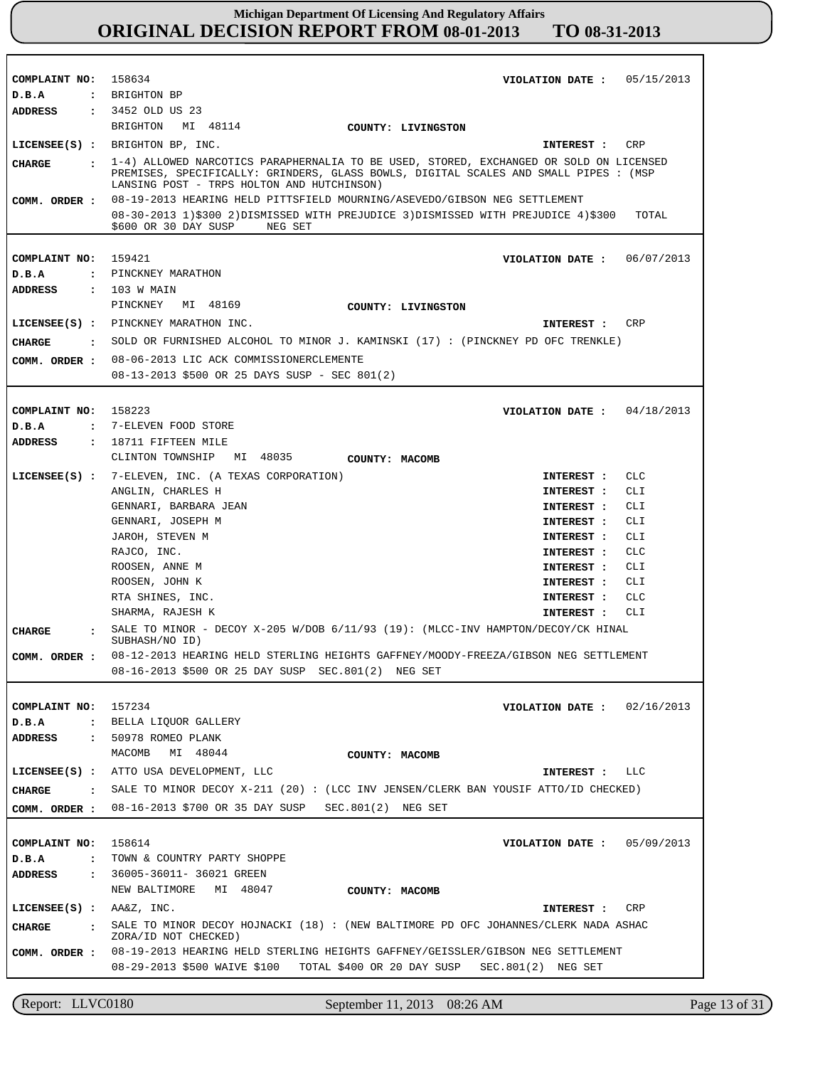| COMPLAINT NO:                        | 158634<br>05/15/2013<br>VIOLATION DATE :                                                                                                                                                                                       |  |
|--------------------------------------|--------------------------------------------------------------------------------------------------------------------------------------------------------------------------------------------------------------------------------|--|
| D.B.A                                | : BRIGHTON BP<br>: 3452 OLD US 23                                                                                                                                                                                              |  |
| ADDRESS                              | BRIGHTON MI 48114                                                                                                                                                                                                              |  |
|                                      | COUNTY: LIVINGSTON                                                                                                                                                                                                             |  |
|                                      | LICENSEE(S) : BRIGHTON BP, INC.<br>INTEREST :<br>CRP                                                                                                                                                                           |  |
| CHARGE                               | . 1-4) ALLOWED NARCOTICS PARAPHERNALIA TO BE USED, STORED, EXCHANGED OR SOLD ON LICENSED<br>PREMISES, SPECIFICALLY: GRINDERS, GLASS BOWLS, DIGITAL SCALES AND SMALL PIPES : (MSP<br>LANSING POST - TRPS HOLTON AND HUTCHINSON) |  |
| COMM. ORDER :                        | 08-19-2013 HEARING HELD PITTSFIELD MOURNING/ASEVEDO/GIBSON NEG SETTLEMENT                                                                                                                                                      |  |
|                                      | 08-30-2013 1)\$300 2)DISMISSED WITH PREJUDICE 3)DISMISSED WITH PREJUDICE 4)\$300<br>TOTAL<br>\$600 OR 30 DAY SUSP<br>NEG SET                                                                                                   |  |
| COMPLAINT NO:                        | 159421<br>06/07/2013<br>VIOLATION DATE :                                                                                                                                                                                       |  |
| D.B.A                                | : PINCKNEY MARATHON                                                                                                                                                                                                            |  |
| <b>ADDRESS</b>                       | : 103 W MAIN                                                                                                                                                                                                                   |  |
|                                      | PINCKNEY<br>MI 48169<br>COUNTY: LIVINGSTON                                                                                                                                                                                     |  |
|                                      | LICENSEE(S) : PINCKNEY MARATHON INC.<br><b>CRP</b><br>INTEREST :                                                                                                                                                               |  |
| CHARGE                               | : SOLD OR FURNISHED ALCOHOL TO MINOR J. KAMINSKI (17): (PINCKNEY PD OFC TRENKLE)                                                                                                                                               |  |
| COMM. ORDER :                        | 08-06-2013 LIC ACK COMMISSIONERCLEMENTE                                                                                                                                                                                        |  |
|                                      | 08-13-2013 \$500 OR 25 DAYS SUSP - SEC 801(2)                                                                                                                                                                                  |  |
|                                      |                                                                                                                                                                                                                                |  |
| COMPLAINT NO:                        | 158223<br>04/18/2013<br>VIOLATION DATE :                                                                                                                                                                                       |  |
| D.B.A<br>$\mathbf{z}$                | 7-ELEVEN FOOD STORE                                                                                                                                                                                                            |  |
| ADDRESS                              | $: 18711$ FIFTEEN MILE                                                                                                                                                                                                         |  |
|                                      | CLINTON TOWNSHIP MI 48035<br>COUNTY: MACOMB                                                                                                                                                                                    |  |
| LICENSEE(S) :                        | 7-ELEVEN, INC. (A TEXAS CORPORATION)<br>CLC<br>INTEREST :                                                                                                                                                                      |  |
|                                      | CLI<br>ANGLIN, CHARLES H<br>INTEREST :                                                                                                                                                                                         |  |
|                                      | GENNARI, BARBARA JEAN<br>CLI<br>INTEREST :                                                                                                                                                                                     |  |
|                                      | GENNARI, JOSEPH M<br>INTEREST :<br>CLI                                                                                                                                                                                         |  |
|                                      | JAROH, STEVEN M<br>CLI<br>INTEREST :<br>RAJCO, INC.<br>CLC                                                                                                                                                                     |  |
|                                      | INTEREST :<br>ROOSEN, ANNE M<br>CLI<br>INTEREST :                                                                                                                                                                              |  |
|                                      | ROOSEN, JOHN K<br>INTEREST :<br>CLI                                                                                                                                                                                            |  |
|                                      | RTA SHINES, INC.<br>CLC<br>INTEREST :                                                                                                                                                                                          |  |
|                                      | SHARMA, RAJESH K<br>CLI<br>INTEREST :                                                                                                                                                                                          |  |
| <b>CHARGE</b><br>$\mathbf{r}$        | SALE TO MINOR - DECOY X-205 W/DOB 6/11/93 (19): (MLCC-INV HAMPTON/DECOY/CK HINAL<br>SUBHASH/NO ID)                                                                                                                             |  |
| COMM. ORDER :                        | 08-12-2013 HEARING HELD STERLING HEIGHTS GAFFNEY/MOODY-FREEZA/GIBSON NEG SETTLEMENT                                                                                                                                            |  |
|                                      | 08-16-2013 \$500 OR 25 DAY SUSP SEC.801(2) NEG SET                                                                                                                                                                             |  |
| COMPLAINT NO:                        | 157234<br>VIOLATION DATE: $02/16/2013$                                                                                                                                                                                         |  |
| D.B.A<br>$\ddot{\phantom{a}}$        | BELLA LIQUOR GALLERY                                                                                                                                                                                                           |  |
| ADDRESS<br>$\mathbf{r}$              | 50978 ROMEO PLANK                                                                                                                                                                                                              |  |
|                                      | MI 48044<br>MACOMB<br>COUNTY: MACOMB                                                                                                                                                                                           |  |
|                                      | LICENSEE(S) : ATTO USA DEVELOPMENT, LLC<br>LLC<br>INTEREST :                                                                                                                                                                   |  |
| CHARGE<br>$\mathbf{r}$               | SALE TO MINOR DECOY $X-211$ (20): (LCC INV JENSEN/CLERK BAN YOUSIF ATTO/ID CHECKED)                                                                                                                                            |  |
| COMM. ORDER :                        | 08-16-2013 \$700 OR 35 DAY SUSP SEC.801(2) NEG SET                                                                                                                                                                             |  |
|                                      |                                                                                                                                                                                                                                |  |
| COMPLAINT NO:                        | 158614<br>VIOLATION DATE : $05/09/2013$                                                                                                                                                                                        |  |
| D.B.A<br>$\ddot{\phantom{a}}$        | TOWN & COUNTRY PARTY SHOPPE                                                                                                                                                                                                    |  |
| <b>ADDRESS</b><br>$\mathbf{r}$       | 36005-36011- 36021 GREEN                                                                                                                                                                                                       |  |
|                                      | NEW BALTIMORE MI 48047<br>COUNTY: MACOMB                                                                                                                                                                                       |  |
| LICENSEE(S) : <b>AA&amp;Z</b> , INC. | CRP<br>INTEREST :                                                                                                                                                                                                              |  |
| <b>CHARGE</b><br>$\mathbf{r}$        | SALE TO MINOR DECOY HOJNACKI (18) : (NEW BALTIMORE PD OFC JOHANNES/CLERK NADA ASHAC                                                                                                                                            |  |
|                                      | ZORA/ID NOT CHECKED)                                                                                                                                                                                                           |  |
| COMM. ORDER :                        | 08-19-2013 HEARING HELD STERLING HEIGHTS GAFFNEY/GEISSLER/GIBSON NEG SETTLEMENT<br>08-29-2013 \$500 WAIVE \$100<br>TOTAL \$400 OR 20 DAY SUSP<br>$SEC.801(2)$ NEG SET                                                          |  |

Report: LLVC0180 September 11, 2013 08:26 AM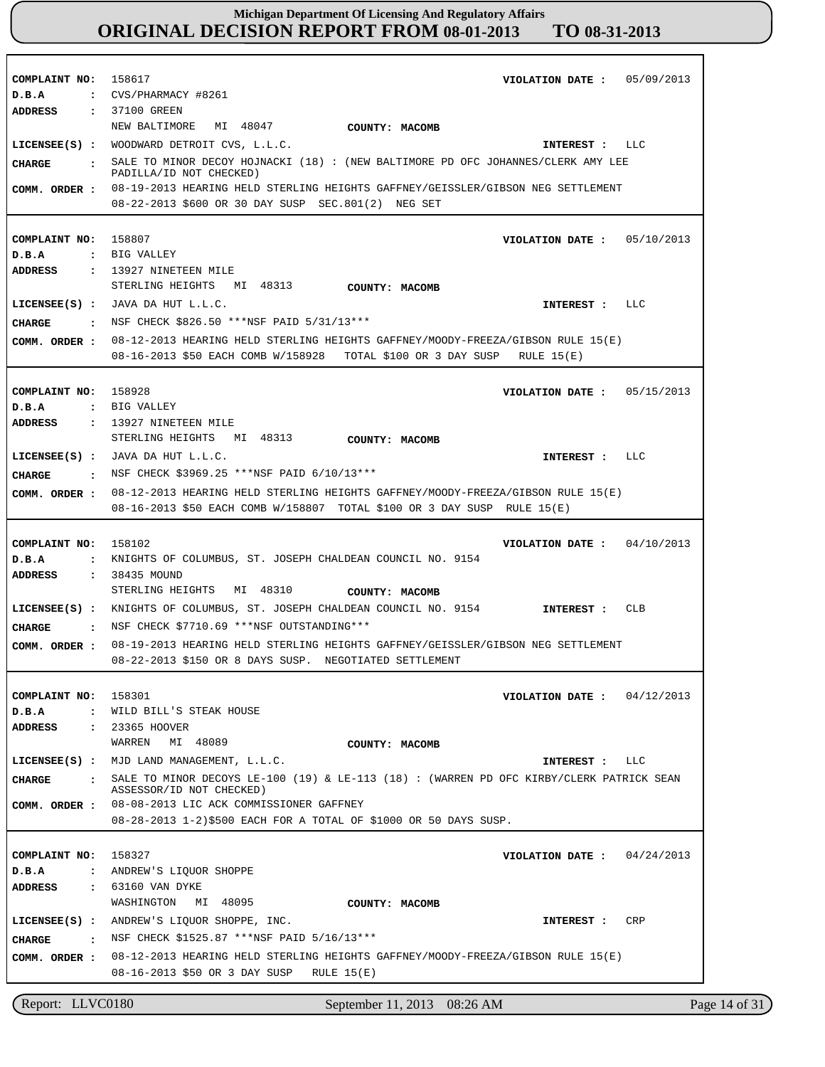| COMPLAINT NO: 158617<br>D.B.A<br><b>ADDRESS</b> | VIOLATION DATE: 05/09/2013<br>$\cdot$ CVS/PHARMACY #8261<br>: 37100 GREEN                                                                                        |
|-------------------------------------------------|------------------------------------------------------------------------------------------------------------------------------------------------------------------|
| $LICENSEE(S)$ :                                 | NEW BALTIMORE<br>MI 48047<br>COUNTY: MACOMB<br>WOODWARD DETROIT CVS, L.L.C.<br>LLC<br>INTEREST :                                                                 |
| CHARGE                                          | SALE TO MINOR DECOY HOJNACKI (18) : (NEW BALTIMORE PD OFC JOHANNES/CLERK AMY LEE                                                                                 |
| COMM. ORDER :                                   | PADILLA/ID NOT CHECKED)<br>08-19-2013 HEARING HELD STERLING HEIGHTS GAFFNEY/GEISSLER/GIBSON NEG SETTLEMENT<br>08-22-2013 \$600 OR 30 DAY SUSP SEC.801(2) NEG SET |
|                                                 |                                                                                                                                                                  |
| COMPLAINT NO: 158807                            | VIOLATION DATE : $05/10/2013$                                                                                                                                    |
| D.B.A<br>ADDRESS                                | : BIG VALLEY<br>$: 13927$ NINETEEN MILE                                                                                                                          |
|                                                 | STERLING HEIGHTS MI 48313<br>COUNTY: MACOMB                                                                                                                      |
|                                                 | LICENSEE $(S)$ : JAVA DA HUT L.L.C.<br>LLC<br>INTEREST :                                                                                                         |
| CHARGE<br>$\sim$ $\sim$                         | NSF CHECK \$826.50 ***NSF PAID 5/31/13***                                                                                                                        |
| COMM. ORDER :                                   | 08-12-2013 HEARING HELD STERLING HEIGHTS GAFFNEY/MOODY-FREEZA/GIBSON RULE 15(E)                                                                                  |
|                                                 | 08-16-2013 \$50 EACH COMB W/158928 TOTAL \$100 OR 3 DAY SUSP RULE 15(E)                                                                                          |
| COMPLAINT NO: 158928                            | VIOLATION DATE: $05/15/2013$                                                                                                                                     |
| D.B.A                                           | : BIG VALLEY                                                                                                                                                     |
| <b>ADDRESS</b>                                  | $: 13927$ NINETEEN MILE                                                                                                                                          |
|                                                 | STERLING HEIGHTS MI 48313<br>COUNTY: MACOMB                                                                                                                      |
|                                                 | LICENSEE $(S)$ : JAVA DA HUT L.L.C.<br>LLC<br>INTEREST :                                                                                                         |
| CHARGE<br>$\sim$ $\sim$ $\sim$                  | NSF CHECK \$3969.25 ***NSF PAID 6/10/13***                                                                                                                       |
| COMM. ORDER :                                   | 08-12-2013 HEARING HELD STERLING HEIGHTS GAFFNEY/MOODY-FREEZA/GIBSON RULE 15(E)<br>08-16-2013 \$50 EACH COMB W/158807 TOTAL \$100 OR 3 DAY SUSP RULE 15(E)       |
|                                                 |                                                                                                                                                                  |
| COMPLAINT NO:                                   | 158102<br>04/10/2013<br>VIOLATION DATE :                                                                                                                         |
| D.B.A<br>$\ddot{\phantom{a}}$                   | KNIGHTS OF COLUMBUS, ST. JOSEPH CHALDEAN COUNCIL NO. 9154                                                                                                        |
| <b>ADDRESS</b><br>$\sim$ $\sim$                 | 38435 MOUND<br>STERLING HEIGHTS MI 48310<br>COUNTY: MACOMB                                                                                                       |
|                                                 | LICENSEE(S) : KNIGHTS OF COLUMBUS, ST. JOSEPH CHALDEAN COUNCIL NO. 9154<br><b>CLB</b><br><b>INTEREST :</b>                                                       |
| <b>CHARGE</b>                                   | : NSF CHECK \$7710.69 ***NSF OUTSTANDING***                                                                                                                      |
| COMM. ORDER :                                   | 08-19-2013 HEARING HELD STERLING HEIGHTS GAFFNEY/GEISSLER/GIBSON NEG SETTLEMENT                                                                                  |
|                                                 | 08-22-2013 \$150 OR 8 DAYS SUSP. NEGOTIATED SETTLEMENT                                                                                                           |
| COMPLAINT NO:                                   | 158301<br>VIOLATION DATE :<br>04/12/2013                                                                                                                         |
| D.B.A                                           | : WILD BILL'S STEAK HOUSE                                                                                                                                        |
| ADDRESS<br>$\ddot{\phantom{a}}$                 | 23365 HOOVER                                                                                                                                                     |
|                                                 | MI 48089<br>WARREN<br>COUNTY: MACOMB                                                                                                                             |
| $LICENSEE(S)$ :                                 | MJD LAND MANAGEMENT, L.L.C.<br><b>LLC</b><br>INTEREST :                                                                                                          |
| <b>CHARGE</b><br>$\cdot$                        | SALE TO MINOR DECOYS LE-100 (19) & LE-113 (18) : (WARREN PD OFC KIRBY/CLERK PATRICK SEAN<br>ASSESSOR/ID NOT CHECKED)                                             |
| COMM. ORDER :                                   | 08-08-2013 LIC ACK COMMISSIONER GAFFNEY<br>08-28-2013 1-2)\$500 EACH FOR A TOTAL OF \$1000 OR 50 DAYS SUSP.                                                      |
|                                                 |                                                                                                                                                                  |
| COMPLAINT NO: 158327                            | 04/24/2013<br>VIOLATION DATE :                                                                                                                                   |
| D.B.A                                           | : ANDREW'S LIQUOR SHOPPE                                                                                                                                         |
| ADDRESS                                         | : 63160 VAN DYKE                                                                                                                                                 |
|                                                 | MI 48095<br>WASHINGTON<br>COUNTY: MACOMB                                                                                                                         |
| $LICENSEE(S)$ :                                 | ANDREW'S LIQUOR SHOPPE, INC.<br>CRP<br>INTEREST :                                                                                                                |
| CHARGE<br>$\ddot{\mathbf{r}}$                   | NSF CHECK \$1525.87 *** NSF PAID 5/16/13***                                                                                                                      |
| COMM. ORDER :                                   | 08-12-2013 HEARING HELD STERLING HEIGHTS GAFFNEY/MOODY-FREEZA/GIBSON RULE 15(E)<br>08-16-2013 \$50 OR 3 DAY SUSP<br>RULE $15(E)$                                 |
|                                                 |                                                                                                                                                                  |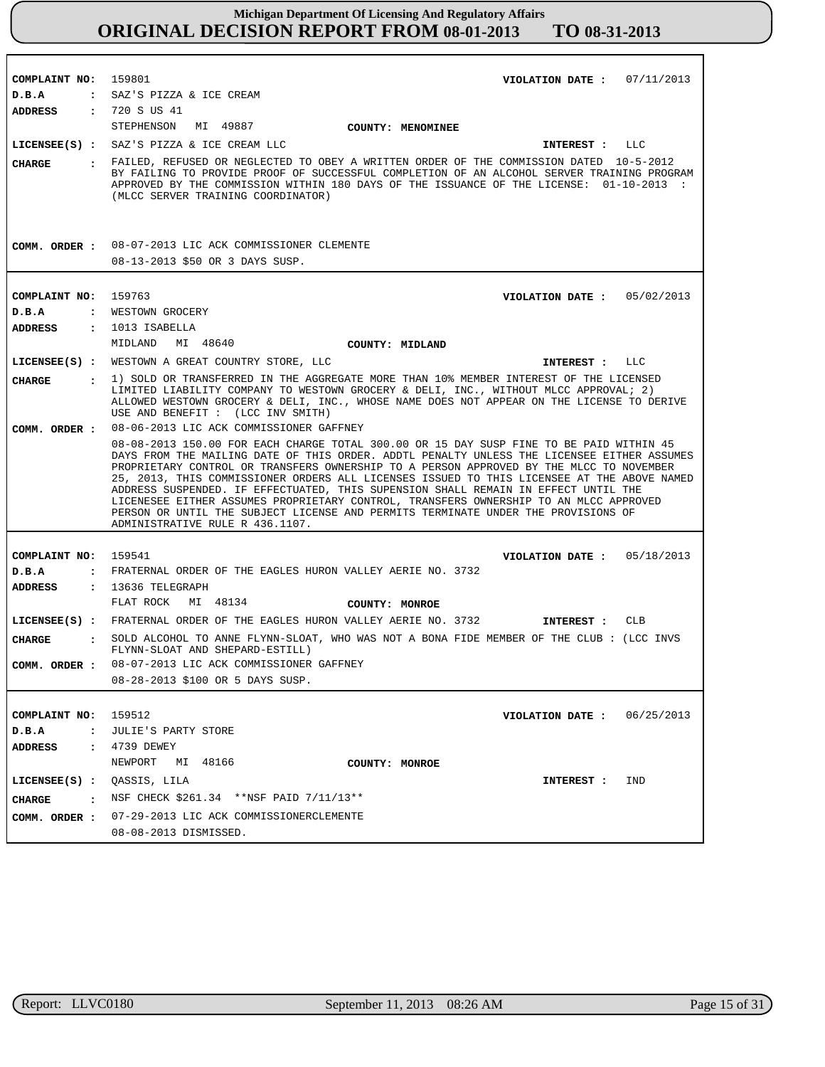| COMPLAINT NO:                 | 159801<br>VIOLATION DATE: $07/11/2013$                                                                                                                                                                                                                                                                                                                                                                                                                                                                                                                                                                                                                                                |  |  |
|-------------------------------|---------------------------------------------------------------------------------------------------------------------------------------------------------------------------------------------------------------------------------------------------------------------------------------------------------------------------------------------------------------------------------------------------------------------------------------------------------------------------------------------------------------------------------------------------------------------------------------------------------------------------------------------------------------------------------------|--|--|
| D.B.A                         | : SAZ'S PIZZA & ICE CREAM                                                                                                                                                                                                                                                                                                                                                                                                                                                                                                                                                                                                                                                             |  |  |
| ADDRESS                       | : 720 S US 41                                                                                                                                                                                                                                                                                                                                                                                                                                                                                                                                                                                                                                                                         |  |  |
|                               | STEPHENSON MI 49887<br><b>COUNTY: MENOMINEE</b>                                                                                                                                                                                                                                                                                                                                                                                                                                                                                                                                                                                                                                       |  |  |
|                               | LICENSEE(S) : SAZ'S PIZZA & ICE CREAM LLC<br>INTEREST :<br>LLC                                                                                                                                                                                                                                                                                                                                                                                                                                                                                                                                                                                                                        |  |  |
| <b>CHARGE</b>                 | : FAILED, REFUSED OR NEGLECTED TO OBEY A WRITTEN ORDER OF THE COMMISSION DATED 10-5-2012<br>BY FAILING TO PROVIDE PROOF OF SUCCESSFUL COMPLETION OF AN ALCOHOL SERVER TRAINING PROGRAM<br>APPROVED BY THE COMMISSION WITHIN 180 DAYS OF THE ISSUANCE OF THE LICENSE: 01-10-2013 :<br>(MLCC SERVER TRAINING COORDINATOR)                                                                                                                                                                                                                                                                                                                                                               |  |  |
|                               | COMM. ORDER : 08-07-2013 LIC ACK COMMISSIONER CLEMENTE<br>08-13-2013 \$50 OR 3 DAYS SUSP.                                                                                                                                                                                                                                                                                                                                                                                                                                                                                                                                                                                             |  |  |
| COMPLAINT NO:                 | 159763<br>VIOLATION DATE: $05/02/2013$                                                                                                                                                                                                                                                                                                                                                                                                                                                                                                                                                                                                                                                |  |  |
| D.B.A                         | : WESTOWN GROCERY                                                                                                                                                                                                                                                                                                                                                                                                                                                                                                                                                                                                                                                                     |  |  |
| ADDRESS                       | $: 1013$ ISABELLA                                                                                                                                                                                                                                                                                                                                                                                                                                                                                                                                                                                                                                                                     |  |  |
|                               | MIDLAND<br>MI 48640<br>COUNTY: MIDLAND                                                                                                                                                                                                                                                                                                                                                                                                                                                                                                                                                                                                                                                |  |  |
|                               | LICENSEE(S) : WESTOWN A GREAT COUNTRY STORE, LLC<br>INTEREST : LLC                                                                                                                                                                                                                                                                                                                                                                                                                                                                                                                                                                                                                    |  |  |
| <b>CHARGE</b>                 | 1) SOLD OR TRANSFERRED IN THE AGGREGATE MORE THAN 10% MEMBER INTEREST OF THE LICENSED                                                                                                                                                                                                                                                                                                                                                                                                                                                                                                                                                                                                 |  |  |
|                               | LIMITED LIABILITY COMPANY TO WESTOWN GROCERY & DELI, INC., WITHOUT MLCC APPROVAL; 2)<br>ALLOWED WESTOWN GROCERY & DELI, INC., WHOSE NAME DOES NOT APPEAR ON THE LICENSE TO DERIVE<br>USE AND BENEFIT : (LCC INV SMITH)                                                                                                                                                                                                                                                                                                                                                                                                                                                                |  |  |
| COMM. ORDER :                 | 08-06-2013 LIC ACK COMMISSIONER GAFFNEY                                                                                                                                                                                                                                                                                                                                                                                                                                                                                                                                                                                                                                               |  |  |
|                               | 08-08-2013 150.00 FOR EACH CHARGE TOTAL 300.00 OR 15 DAY SUSP FINE TO BE PAID WITHIN 45<br>DAYS FROM THE MAILING DATE OF THIS ORDER. ADDTL PENALTY UNLESS THE LICENSEE EITHER ASSUMES<br>PROPRIETARY CONTROL OR TRANSFERS OWNERSHIP TO A PERSON APPROVED BY THE MLCC TO NOVEMBER<br>25, 2013, THIS COMMISSIONER ORDERS ALL LICENSES ISSUED TO THIS LICENSEE AT THE ABOVE NAMED<br>ADDRESS SUSPENDED. IF EFFECTUATED, THIS SUPENSION SHALL REMAIN IN EFFECT UNTIL THE<br>LICENESEE EITHER ASSUMES PROPRIETARY CONTROL, TRANSFERS OWNERSHIP TO AN MLCC APPROVED<br>PERSON OR UNTIL THE SUBJECT LICENSE AND PERMITS TERMINATE UNDER THE PROVISIONS OF<br>ADMINISTRATIVE RULE R 436.1107. |  |  |
|                               |                                                                                                                                                                                                                                                                                                                                                                                                                                                                                                                                                                                                                                                                                       |  |  |
| COMPLAINT NO:                 | 159541<br>VIOLATION DATE: $05/18/2013$                                                                                                                                                                                                                                                                                                                                                                                                                                                                                                                                                                                                                                                |  |  |
| D.B.A                         | : FRATERNAL ORDER OF THE EAGLES HURON VALLEY AERIE NO. 3732                                                                                                                                                                                                                                                                                                                                                                                                                                                                                                                                                                                                                           |  |  |
| ADDRESS                       | $: 13636$ TELEGRAPH                                                                                                                                                                                                                                                                                                                                                                                                                                                                                                                                                                                                                                                                   |  |  |
|                               | FLAT ROCK<br>MI 48134<br>COUNTY: MONROE                                                                                                                                                                                                                                                                                                                                                                                                                                                                                                                                                                                                                                               |  |  |
|                               | LICENSEE(S) : FRATERNAL ORDER OF THE EAGLES HURON VALLEY AERIE NO. 3732<br>CLB<br>INTEREST :                                                                                                                                                                                                                                                                                                                                                                                                                                                                                                                                                                                          |  |  |
| <b>CHARGE</b><br>$\mathbf{r}$ | SOLD ALCOHOL TO ANNE FLYNN-SLOAT, WHO WAS NOT A BONA FIDE MEMBER OF THE CLUB: (LCC INVS<br>FLYNN-SLOAT AND SHEPARD-ESTILL)                                                                                                                                                                                                                                                                                                                                                                                                                                                                                                                                                            |  |  |
| COMM. ORDER :                 | 08-07-2013 LIC ACK COMMISSIONER GAFFNEY                                                                                                                                                                                                                                                                                                                                                                                                                                                                                                                                                                                                                                               |  |  |
|                               | 08-28-2013 \$100 OR 5 DAYS SUSP.                                                                                                                                                                                                                                                                                                                                                                                                                                                                                                                                                                                                                                                      |  |  |
|                               |                                                                                                                                                                                                                                                                                                                                                                                                                                                                                                                                                                                                                                                                                       |  |  |
| COMPLAINT NO: 159512          | VIOLATION DATE: $06/25/2013$                                                                                                                                                                                                                                                                                                                                                                                                                                                                                                                                                                                                                                                          |  |  |
| D.B.A                         | : JULIE'S PARTY STORE                                                                                                                                                                                                                                                                                                                                                                                                                                                                                                                                                                                                                                                                 |  |  |
| <b>ADDRESS</b>                | : 4739 DEWEY                                                                                                                                                                                                                                                                                                                                                                                                                                                                                                                                                                                                                                                                          |  |  |
|                               | NEWPORT MI 48166<br>COUNTY: MONROE                                                                                                                                                                                                                                                                                                                                                                                                                                                                                                                                                                                                                                                    |  |  |
|                               | LICENSEE(S) : $QASSIS$ , LILA<br>IND<br>INTEREST :                                                                                                                                                                                                                                                                                                                                                                                                                                                                                                                                                                                                                                    |  |  |
| <b>CHARGE</b>                 | . NSF CHECK $$261.34$ **NSF PAID $7/11/13**$                                                                                                                                                                                                                                                                                                                                                                                                                                                                                                                                                                                                                                          |  |  |
|                               | COMM. ORDER : 07-29-2013 LIC ACK COMMISSIONERCLEMENTE                                                                                                                                                                                                                                                                                                                                                                                                                                                                                                                                                                                                                                 |  |  |
|                               | 08-08-2013 DISMISSED.                                                                                                                                                                                                                                                                                                                                                                                                                                                                                                                                                                                                                                                                 |  |  |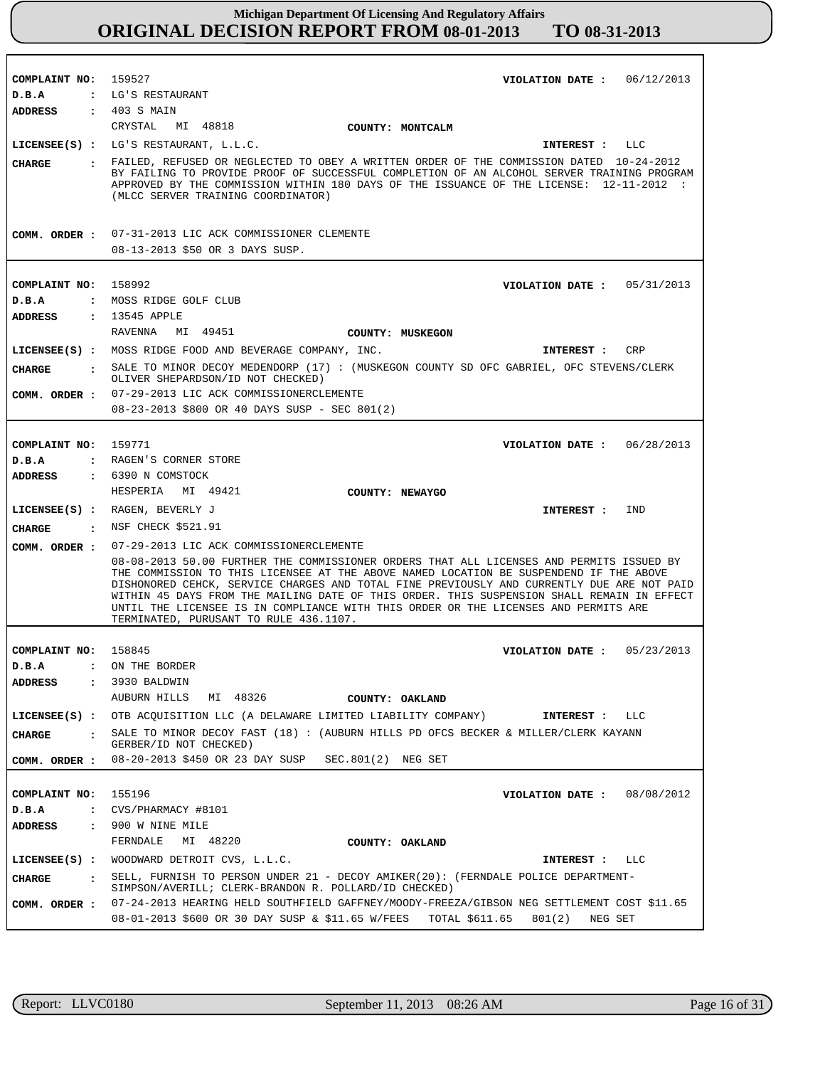| COMPLAINT NO: 159527             | VIOLATION DATE: $06/12/2013$                                                                                                                                                                                                                                                                                                                                                                                        |  |  |
|----------------------------------|---------------------------------------------------------------------------------------------------------------------------------------------------------------------------------------------------------------------------------------------------------------------------------------------------------------------------------------------------------------------------------------------------------------------|--|--|
| D.B.A                            | : LG'S RESTAURANT                                                                                                                                                                                                                                                                                                                                                                                                   |  |  |
| ADDRESS : 403 S MAIN             |                                                                                                                                                                                                                                                                                                                                                                                                                     |  |  |
|                                  | CRYSTAL MI 48818<br>COUNTY: MONTCALM                                                                                                                                                                                                                                                                                                                                                                                |  |  |
|                                  | LICENSEE(S) : LG'S RESTAURANT, L.L.C.<br>INTEREST : LLC                                                                                                                                                                                                                                                                                                                                                             |  |  |
| CHARGE                           | : FAILED, REFUSED OR NEGLECTED TO OBEY A WRITTEN ORDER OF THE COMMISSION DATED 10-24-2012<br>BY FAILING TO PROVIDE PROOF OF SUCCESSFUL COMPLETION OF AN ALCOHOL SERVER TRAINING PROGRAM<br>APPROVED BY THE COMMISSION WITHIN 180 DAYS OF THE ISSUANCE OF THE LICENSE: 12-11-2012 :<br>(MLCC SERVER TRAINING COORDINATOR)                                                                                            |  |  |
|                                  | COMM. ORDER : 07-31-2013 LIC ACK COMMISSIONER CLEMENTE                                                                                                                                                                                                                                                                                                                                                              |  |  |
|                                  | 08-13-2013 \$50 OR 3 DAYS SUSP.                                                                                                                                                                                                                                                                                                                                                                                     |  |  |
|                                  |                                                                                                                                                                                                                                                                                                                                                                                                                     |  |  |
| COMPLAINT NO: 158992             | VIOLATION DATE: $05/31/2013$                                                                                                                                                                                                                                                                                                                                                                                        |  |  |
| D.B.A                            | : MOSS RIDGE GOLF CLUB                                                                                                                                                                                                                                                                                                                                                                                              |  |  |
| ADDRESS                          | : 13545 APPLE                                                                                                                                                                                                                                                                                                                                                                                                       |  |  |
|                                  | RAVENNA MI 49451<br>COUNTY: MUSKEGON                                                                                                                                                                                                                                                                                                                                                                                |  |  |
|                                  | LICENSEE(S) : MOSS RIDGE FOOD AND BEVERAGE COMPANY, INC.<br>INTEREST : CRP                                                                                                                                                                                                                                                                                                                                          |  |  |
| CIIARGE                          | : SALE TO MINOR DECOY MEDENDORP (17) : (MUSKEGON COUNTY SD OFC GABRIEL, OFC STEVENS/CLERK                                                                                                                                                                                                                                                                                                                           |  |  |
|                                  | OLIVER SHEPARDSON/ID NOT CHECKED)<br>COMM. ORDER : 07-29-2013 LIC ACK COMMISSIONERCLEMENTE                                                                                                                                                                                                                                                                                                                          |  |  |
|                                  | 08-23-2013 \$800 OR 40 DAYS SUSP - SEC 801(2)                                                                                                                                                                                                                                                                                                                                                                       |  |  |
|                                  |                                                                                                                                                                                                                                                                                                                                                                                                                     |  |  |
| COMPLAINT NO: 159771             | VIOLATION DATE: 06/28/2013                                                                                                                                                                                                                                                                                                                                                                                          |  |  |
| D.B.A                            | : RAGEN'S CORNER STORE                                                                                                                                                                                                                                                                                                                                                                                              |  |  |
|                                  | ADDRESS : 6390 N COMSTOCK                                                                                                                                                                                                                                                                                                                                                                                           |  |  |
|                                  | HESPERIA MI 49421<br>COUNTY: NEWAYGO                                                                                                                                                                                                                                                                                                                                                                                |  |  |
|                                  | LICENSEE(S) : RAGEN, BEVERLY J<br>IND<br>INTEREST :                                                                                                                                                                                                                                                                                                                                                                 |  |  |
| <b>CHARGE</b>                    | : NSF CHECK \$521.91                                                                                                                                                                                                                                                                                                                                                                                                |  |  |
|                                  | COMM. ORDER : 07-29-2013 LIC ACK COMMISSIONERCLEMENTE                                                                                                                                                                                                                                                                                                                                                               |  |  |
|                                  | 08-08-2013 50.00 FURTHER THE COMMISSIONER ORDERS THAT ALL LICENSES AND PERMITS ISSUED BY                                                                                                                                                                                                                                                                                                                            |  |  |
|                                  | THE COMMISSION TO THIS LICENSEE AT THE ABOVE NAMED LOCATION BE SUSPENDEND IF THE ABOVE<br>DISHONORED CEHCK, SERVICE CHARGES AND TOTAL FINE PREVIOUSLY AND CURRENTLY DUE ARE NOT PAID<br>WITHIN 45 DAYS FROM THE MAILING DATE OF THIS ORDER. THIS SUSPENSION SHALL REMAIN IN EFFECT<br>UNTIL THE LICENSEE IS IN COMPLIANCE WITH THIS ORDER OR THE LICENSES AND PERMITS ARE<br>TERMINATED, PURUSANT TO RULE 436.1107. |  |  |
|                                  |                                                                                                                                                                                                                                                                                                                                                                                                                     |  |  |
| COMPLAINT NO: 158845<br>D.B.A    | VIOLATION DATE: $05/23/2013$<br>ON THE BORDER                                                                                                                                                                                                                                                                                                                                                                       |  |  |
| <b>ADDRESS</b>                   | 3930 BALDWIN<br>$\mathbf{r}$                                                                                                                                                                                                                                                                                                                                                                                        |  |  |
|                                  | AUBURN HILLS MI 48326<br>COUNTY: OAKLAND                                                                                                                                                                                                                                                                                                                                                                            |  |  |
|                                  | LICENSEE(S) : OTB ACQUISITION LLC (A DELAWARE LIMITED LIABILITY COMPANY)<br><b>INTEREST :</b><br>LLC                                                                                                                                                                                                                                                                                                                |  |  |
| CIIARGE<br>$\ddot{\phantom{a}}$  | SALE TO MINOR DECOY FAST (18) : (AUBURN HILLS PD OFCS BECKER & MILLER/CLERK KAYANN                                                                                                                                                                                                                                                                                                                                  |  |  |
|                                  | GERBER/ID NOT CHECKED)<br>COMM. ORDER: 08-20-2013 \$450 OR 23 DAY SUSP SEC.801(2) NEG SET                                                                                                                                                                                                                                                                                                                           |  |  |
|                                  |                                                                                                                                                                                                                                                                                                                                                                                                                     |  |  |
| COMPLAINT NO:                    | 155196<br>VIOLATION DATE: $08/08/2012$                                                                                                                                                                                                                                                                                                                                                                              |  |  |
| D.B.A<br>$\ddot{\cdot}$          | CVS/PHARMACY #8101                                                                                                                                                                                                                                                                                                                                                                                                  |  |  |
| <b>ADDRESS</b><br>$\ddot{\cdot}$ | 900 W NINE MILE                                                                                                                                                                                                                                                                                                                                                                                                     |  |  |
|                                  | FERNDALE<br>MI 48220<br>COUNTY: OAKLAND                                                                                                                                                                                                                                                                                                                                                                             |  |  |
| $LICENSEE(S)$ :                  | WOODWARD DETROIT CVS, L.L.C.<br>INTEREST : LLC                                                                                                                                                                                                                                                                                                                                                                      |  |  |
| <b>CHARGE</b><br>$\mathbf{r}$    | SELL, FURNISH TO PERSON UNDER 21 - DECOY AMIKER(20): (FERNDALE POLICE DEPARTMENT-<br>SIMPSON/AVERILL; CLERK-BRANDON R. POLLARD/ID CHECKED)                                                                                                                                                                                                                                                                          |  |  |
| COMM. ORDER :                    | 07-24-2013 HEARING HELD SOUTHFIELD GAFFNEY/MOODY-FREEZA/GIBSON NEG SETTLEMENT COST \$11.65                                                                                                                                                                                                                                                                                                                          |  |  |
|                                  | 08-01-2013 \$600 OR 30 DAY SUSP & \$11.65 W/FEES TOTAL \$611.65 801(2)<br>NEG SET                                                                                                                                                                                                                                                                                                                                   |  |  |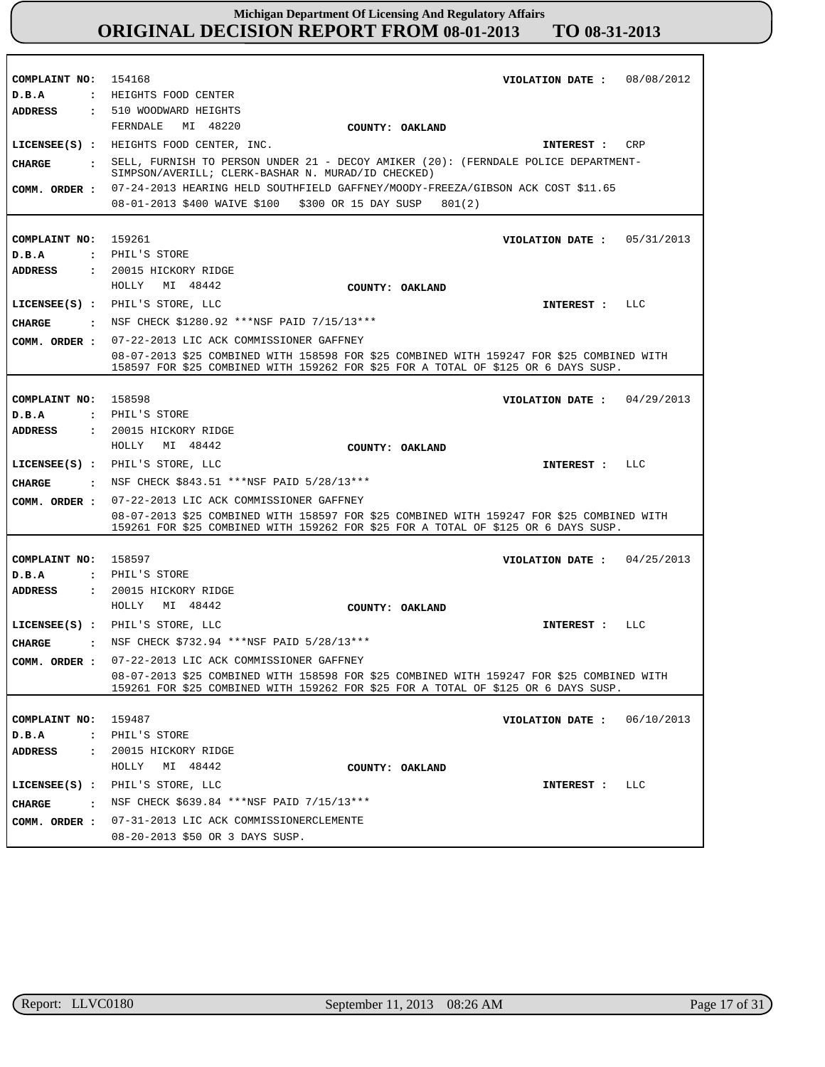| COMPLAINT NO: 154168                  |                      | VIOLATION DATE: 08/08/2012<br>: HEIGHTS FOOD CENTER                                                                                                                             |
|---------------------------------------|----------------------|---------------------------------------------------------------------------------------------------------------------------------------------------------------------------------|
| D.B.A<br>ADDRESS                      |                      | : 510 WOODWARD HEIGHTS                                                                                                                                                          |
|                                       |                      | FERNDALE MI 48220                                                                                                                                                               |
|                                       |                      | COUNTY: OAKLAND<br>LICENSEE(S) : HEIGHTS FOOD CENTER, INC.<br>CRP                                                                                                               |
|                                       |                      | <b>INTEREST :</b>                                                                                                                                                               |
| CIIARGE                               | $\ddot{\phantom{a}}$ | SELL, FURNISH TO PERSON UNDER 21 - DECOY AMIKER (20): (FERNDALE POLICE DEPARTMENT-<br>SIMPSON/AVERILL; CLERK-BASHAR N. MURAD/ID CHECKED)                                        |
| COMM. ORDER :                         |                      | 07-24-2013 HEARING HELD SOUTHFIELD GAFFNEY/MOODY-FREEZA/GIBSON ACK COST \$11.65                                                                                                 |
|                                       |                      | 08-01-2013 \$400 WAIVE \$100 \$300 OR 15 DAY SUSP<br>801(2)                                                                                                                     |
|                                       |                      |                                                                                                                                                                                 |
| COMPLAINT NO: 159261                  |                      | VIOLATION DATE: $05/31/2013$                                                                                                                                                    |
| D.B.A                                 |                      | : PHIL'S STORE                                                                                                                                                                  |
| <b>ADDRESS</b>                        |                      | : 20015 HICKORY RIDGE                                                                                                                                                           |
|                                       |                      | HOLLY MI 48442<br>COUNTY: OAKLAND                                                                                                                                               |
|                                       |                      | LICENSEE(S) : PHIL'S STORE, LLC<br>INTEREST : LLC                                                                                                                               |
|                                       |                      | CHARGE : NSF CHECK \$1280.92 ***NSF PAID 7/15/13***                                                                                                                             |
| COMM. ORDER :                         |                      | 07-22-2013 LIC ACK COMMISSIONER GAFFNEY                                                                                                                                         |
|                                       |                      | 08-07-2013 \$25 COMBINED WITH 158598 FOR \$25 COMBINED WITH 159247 FOR \$25 COMBINED WITH<br>158597 FOR \$25 COMBINED WITH 159262 FOR \$25 FOR A TOTAL OF \$125 OR 6 DAYS SUSP. |
|                                       |                      |                                                                                                                                                                                 |
| COMPLAINT NO: 158598                  |                      | VIOLATION DATE: $04/29/2013$                                                                                                                                                    |
| D.B.A                                 |                      | : PHIL'S STORE                                                                                                                                                                  |
| <b>ADDRESS</b>                        |                      | $\cdot$ 20015 HICKORY RIDGE                                                                                                                                                     |
|                                       |                      | HOLLY MI 48442<br>COUNTY: OAKLAND                                                                                                                                               |
|                                       |                      | LICENSEE(S) : PHIL'S STORE, LLC<br>INTEREST : LLC                                                                                                                               |
| CHARGE                                |                      | $\cdot$ NSF CHECK \$843.51 ***NSF PAID 5/28/13***                                                                                                                               |
| COMM. ORDER :                         |                      | 07-22-2013 LIC ACK COMMISSIONER GAFFNEY                                                                                                                                         |
|                                       |                      | 08-07-2013 \$25 COMBINED WITH 158597 FOR \$25 COMBINED WITH 159247 FOR \$25 COMBINED WITH<br>159261 FOR \$25 COMBINED WITH 159262 FOR \$25 FOR A TOTAL OF \$125 OR 6 DAYS SUSP. |
|                                       |                      |                                                                                                                                                                                 |
| COMPLAINT NO: 158597                  |                      | VIOLATION DATE: $04/25/2013$                                                                                                                                                    |
| D.B.A                                 |                      | : PHIL'S STORE                                                                                                                                                                  |
| <b>ADDRESS</b>                        |                      | : 20015 HICKORY RIDGE                                                                                                                                                           |
|                                       |                      | HOLLY MI 48442<br>COUNTY: OAKLAND                                                                                                                                               |
|                                       |                      | LICENSEE(S) : PHIL'S STORE, LLC<br>INTEREST : LLC                                                                                                                               |
| CHARGE                                |                      | . NSF CHECK \$732.94 ***NSF PAID 5/28/13***                                                                                                                                     |
| COMM. ORDER :                         |                      | 07-22-2013 LIC ACK COMMISSIONER GAFFNEY                                                                                                                                         |
|                                       |                      | 08-07-2013 \$25 COMBINED WITH 158598 FOR \$25 COMBINED WITH 159247 FOR \$25 COMBINED WITH                                                                                       |
|                                       |                      | 159261 FOR \$25 COMBINED WITH 159262 FOR \$25 FOR A TOTAL OF \$125 OR 6 DAYS SUSP.                                                                                              |
|                                       |                      |                                                                                                                                                                                 |
| COMPLAINT NO:                         |                      | 159487<br>06/10/2013<br>VIOLATION DATE :<br>: PHIL'S STORE                                                                                                                      |
| D.B.A<br><b>ADDRESS</b>               | $\mathbf{z}$         | 20015 HICKORY RIDGE                                                                                                                                                             |
|                                       |                      | HOLLY<br>MI 48442                                                                                                                                                               |
|                                       |                      | COUNTY: OAKLAND                                                                                                                                                                 |
| LICENSEE(S) :                         |                      | PHIL'S STORE, LLC<br>LLC<br>INTEREST :                                                                                                                                          |
| <b>CHARGE</b><br>$\sim$ $\sim$ $\sim$ |                      | NSF CHECK \$639.84 *** NSF PAID 7/15/13***                                                                                                                                      |
| COMM. ORDER :                         |                      | 07-31-2013 LIC ACK COMMISSIONERCLEMENTE                                                                                                                                         |
|                                       |                      | 08-20-2013 \$50 OR 3 DAYS SUSP.                                                                                                                                                 |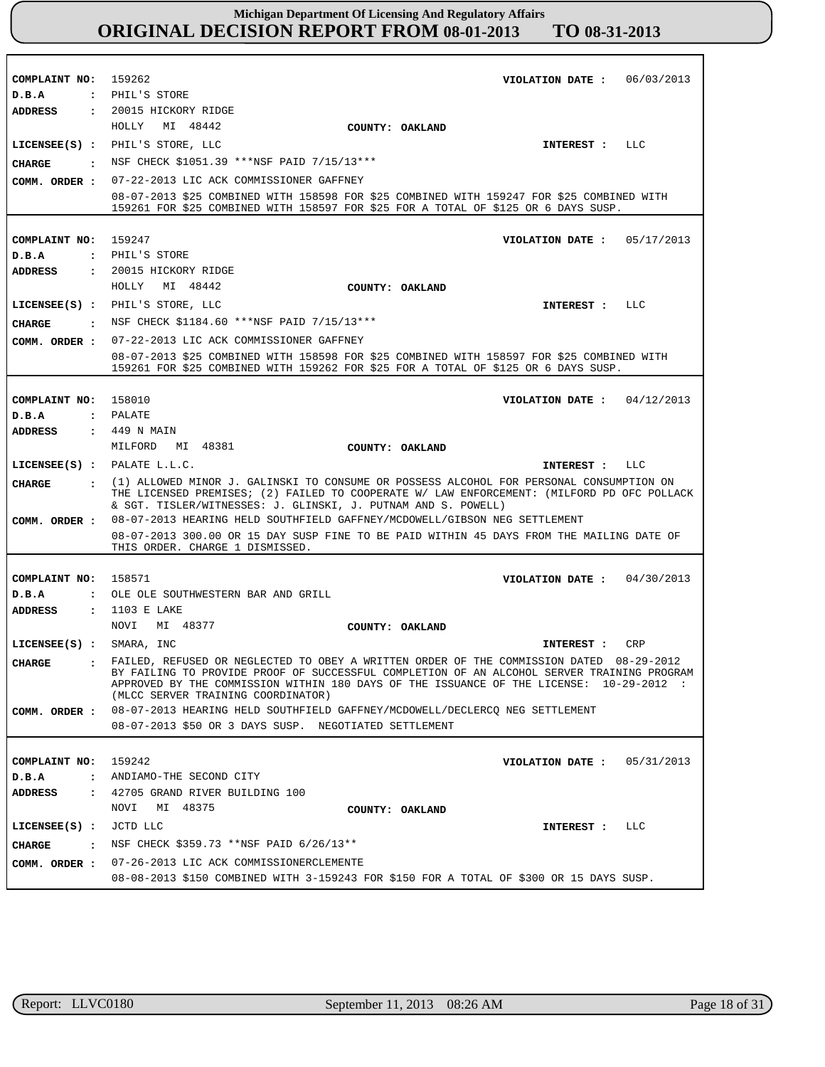| COMPLAINT NO: 159262<br>D.B.A  |                      | VIOLATION DATE: 06/03/2013<br>: PHIL'S STORE                                                                                                                                                                                                                                                                             |  |
|--------------------------------|----------------------|--------------------------------------------------------------------------------------------------------------------------------------------------------------------------------------------------------------------------------------------------------------------------------------------------------------------------|--|
|                                |                      | ADDRESS : 20015 HICKORY RIDGE                                                                                                                                                                                                                                                                                            |  |
|                                |                      | HOLLY MI 48442<br>COUNTY: OAKLAND                                                                                                                                                                                                                                                                                        |  |
|                                |                      |                                                                                                                                                                                                                                                                                                                          |  |
|                                |                      | LICENSEE(S) : PHIL'S STORE, LLC<br>INTEREST : LLC                                                                                                                                                                                                                                                                        |  |
| CHARGE                         |                      | . NSF CHECK \$1051.39 ***NSF PAID 7/15/13***                                                                                                                                                                                                                                                                             |  |
| COMM. ORDER :                  |                      | 07-22-2013 LIC ACK COMMISSIONER GAFFNEY                                                                                                                                                                                                                                                                                  |  |
|                                |                      | 08-07-2013 \$25 COMBINED WITH 158598 FOR \$25 COMBINED WITH 159247 FOR \$25 COMBINED WITH<br>159261 FOR \$25 COMBINED WITH 158597 FOR \$25 FOR A TOTAL OF \$125 OR 6 DAYS SUSP.                                                                                                                                          |  |
|                                |                      |                                                                                                                                                                                                                                                                                                                          |  |
| COMPLAINT NO: 159247           |                      | VIOLATION DATE: $05/17/2013$                                                                                                                                                                                                                                                                                             |  |
| D.B.A                          |                      | : PHIL'S STORE                                                                                                                                                                                                                                                                                                           |  |
| ADDRESS                        |                      | : 20015 HICKORY RIDGE                                                                                                                                                                                                                                                                                                    |  |
|                                |                      | HOLLY MI 48442<br>COUNTY: OAKLAND                                                                                                                                                                                                                                                                                        |  |
|                                |                      | LICENSEE(S) : PHIL'S STORE, LLC<br>INTEREST : LLC                                                                                                                                                                                                                                                                        |  |
|                                |                      | CHARGE : NSF CHECK \$1184.60 *** NSF PAID 7/15/13***                                                                                                                                                                                                                                                                     |  |
| COMM. ORDER :                  |                      | 07-22-2013 LIC ACK COMMISSIONER GAFFNEY                                                                                                                                                                                                                                                                                  |  |
|                                |                      | 08-07-2013 \$25 COMBINED WITH 158598 FOR \$25 COMBINED WITH 158597 FOR \$25 COMBINED WITH                                                                                                                                                                                                                                |  |
|                                |                      | 159261 FOR \$25 COMBINED WITH 159262 FOR \$25 FOR A TOTAL OF \$125 OR 6 DAYS SUSP.                                                                                                                                                                                                                                       |  |
|                                |                      |                                                                                                                                                                                                                                                                                                                          |  |
| COMPLAINT NO: 158010           |                      | VIOLATION DATE : $04/12/2013$                                                                                                                                                                                                                                                                                            |  |
| D.B.A                          |                      | : PALATE                                                                                                                                                                                                                                                                                                                 |  |
| ADDRESS                        |                      | : 449 N MAIN                                                                                                                                                                                                                                                                                                             |  |
|                                |                      | MILFORD MI 48381<br>COUNTY: OAKLAND                                                                                                                                                                                                                                                                                      |  |
|                                |                      | LICENSEE $(S)$ : PALATE L.L.C.<br>INTEREST : LLC                                                                                                                                                                                                                                                                         |  |
| CHARGE                         |                      | : (1) ALLOWED MINOR J. GALINSKI TO CONSUME OR POSSESS ALCOHOL FOR PERSONAL CONSUMPTION ON<br>THE LICENSED PREMISES; (2) FAILED TO COOPERATE W/ LAW ENFORCEMENT: (MILFORD PD OFC POLLACK<br>& SGT. TISLER/WITNESSES: J. GLINSKI, J. PUTNAM AND S. POWELL)                                                                 |  |
| COMM. ORDER :                  |                      | 08-07-2013 HEARING HELD SOUTHFIELD GAFFNEY/MCDOWELL/GIBSON NEG SETTLEMENT                                                                                                                                                                                                                                                |  |
|                                |                      | 08-07-2013 300.00 OR 15 DAY SUSP FINE TO BE PAID WITHIN 45 DAYS FROM THE MAILING DATE OF<br>THIS ORDER. CHARGE 1 DISMISSED.                                                                                                                                                                                              |  |
|                                |                      |                                                                                                                                                                                                                                                                                                                          |  |
| COMPLAINT NO: 158571           |                      | VIOLATION DATE: $04/30/2013$                                                                                                                                                                                                                                                                                             |  |
| D.B.A                          |                      | : OLE OLE SOUTHWESTERN BAR AND GRILL                                                                                                                                                                                                                                                                                     |  |
| ADDRESS                        |                      | : 1103 E LAKE<br>NOVI MI 48377<br>COUNTY: OAKLAND                                                                                                                                                                                                                                                                        |  |
| LICENSEE(S) : SMARA, INC       |                      | INTEREST :<br>CRP                                                                                                                                                                                                                                                                                                        |  |
|                                |                      |                                                                                                                                                                                                                                                                                                                          |  |
| <b>CHARGE</b>                  |                      | : FAILED, REFUSED OR NEGLECTED TO OBEY A WRITTEN ORDER OF THE COMMISSION DATED 08-29-2012<br>BY FAILING TO PROVIDE PROOF OF SUCCESSFUL COMPLETION OF AN ALCOHOL SERVER TRAINING PROGRAM<br>APPROVED BY THE COMMISSION WITHIN 180 DAYS OF THE ISSUANCE OF THE LICENSE: 10-29-2012 :<br>(MLCC SERVER TRAINING COORDINATOR) |  |
| COMM. ORDER :                  |                      | 08-07-2013 HEARING HELD SOUTHFIELD GAFFNEY/MCDOWELL/DECLERCQ NEG SETTLEMENT                                                                                                                                                                                                                                              |  |
|                                |                      | 08-07-2013 \$50 OR 3 DAYS SUSP. NEGOTIATED SETTLEMENT                                                                                                                                                                                                                                                                    |  |
|                                |                      |                                                                                                                                                                                                                                                                                                                          |  |
| COMPLAINT NO: 159242           |                      | VIOLATION DATE :<br>05/31/2013                                                                                                                                                                                                                                                                                           |  |
| D.B.A                          | $\mathbf{z}$         | ANDIAMO-THE SECOND CITY                                                                                                                                                                                                                                                                                                  |  |
| ADDRESS                        | $\ddot{\phantom{a}}$ | 42705 GRAND RIVER BUILDING 100                                                                                                                                                                                                                                                                                           |  |
|                                |                      | MI 48375<br>NOVI<br>COUNTY: OAKLAND                                                                                                                                                                                                                                                                                      |  |
| $LICENSEE(S)$ :                |                      | JCTD LLC<br>INTEREST : LLC                                                                                                                                                                                                                                                                                               |  |
| CHARGE<br>$\sim$ $\sim$ $\sim$ |                      | NSF CHECK \$359.73 ** NSF PAID 6/26/13 **                                                                                                                                                                                                                                                                                |  |
| COMM. ORDER :                  |                      | 07-26-2013 LIC ACK COMMISSIONERCLEMENTE                                                                                                                                                                                                                                                                                  |  |
|                                |                      | 08-08-2013 \$150 COMBINED WITH 3-159243 FOR \$150 FOR A TOTAL OF \$300 OR 15 DAYS SUSP.                                                                                                                                                                                                                                  |  |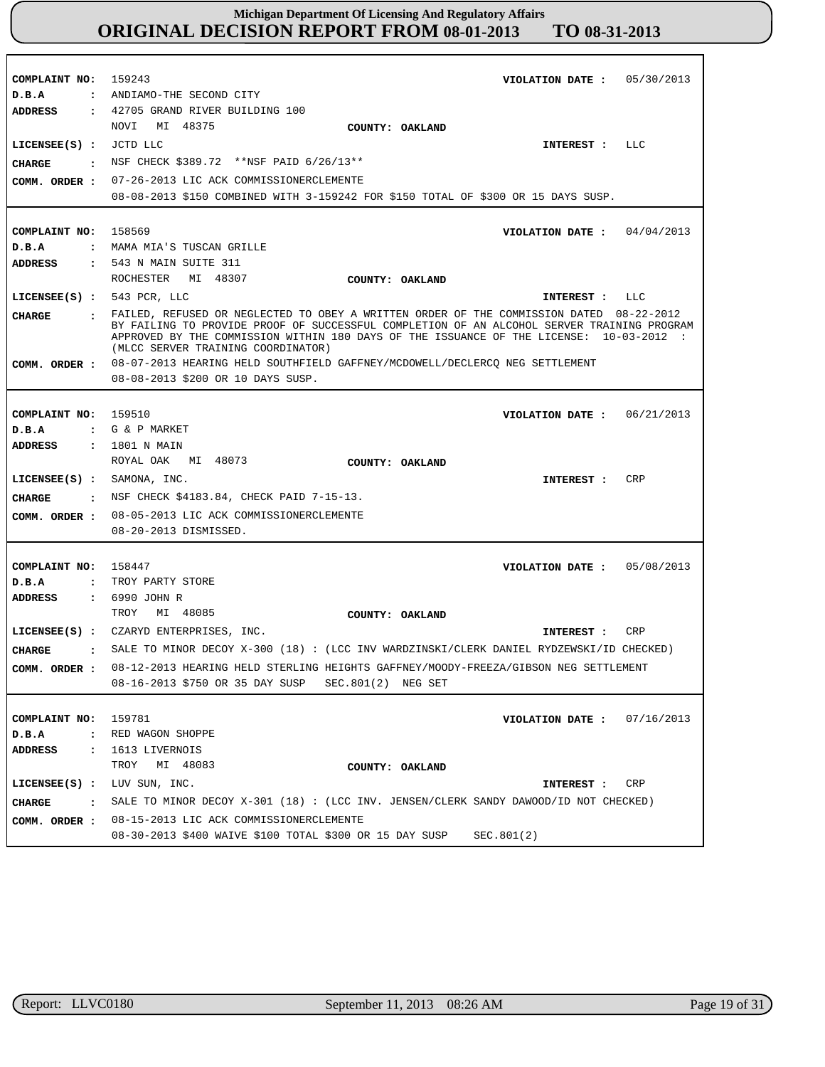| COMPLAINT NO:                 | 159243<br>05/30/2013<br>VIOLATION DATE :                                                                                      |
|-------------------------------|-------------------------------------------------------------------------------------------------------------------------------|
| D.B.A                         | : ANDIAMO-THE SECOND CITY                                                                                                     |
| ADDRESS                       | : 42705 GRAND RIVER BUILDING 100                                                                                              |
|                               | NOVI<br>MI 48375<br>COUNTY: OAKLAND                                                                                           |
| LICENSEE(S) : JCTD LLC        | INTEREST : LLC                                                                                                                |
| CHARGE                        | : NSF CHECK \$389.72 ** NSF PAID 6/26/13**                                                                                    |
|                               | COMM. ORDER : 07-26-2013 LIC ACK COMMISSIONERCLEMENTE                                                                         |
|                               | 08-08-2013 \$150 COMBINED WITH 3-159242 FOR \$150 TOTAL OF \$300 OR 15 DAYS SUSP.                                             |
|                               |                                                                                                                               |
|                               |                                                                                                                               |
| COMPLAINT NO:                 | 158569<br>VIOLATION DATE: $04/04/2013$                                                                                        |
| D.B.A                         | : MAMA MIA'S TUSCAN GRILLE                                                                                                    |
| ADDRESS                       | : 543 N MAIN SUITE 311                                                                                                        |
|                               | ROCHESTER MI 48307<br>COUNTY: OAKLAND                                                                                         |
| LICENSEE $(s)$ : 543 PCR, LLC | LLC<br>INTEREST :                                                                                                             |
| CIIARGE                       | : FAILED, REFUSED OR NEGLECTED TO OBEY A WRITTEN ORDER OF THE COMMISSION DATED 08-22-2012                                     |
|                               | BY FAILING TO PROVIDE PROOF OF SUCCESSFUL COMPLETION OF AN ALCOHOL SERVER TRAINING PROGRAM                                    |
|                               | APPROVED BY THE COMMISSION WITHIN 180 DAYS OF THE ISSUANCE OF THE LICENSE: 10-03-2012 :<br>(MLCC SERVER TRAINING COORDINATOR) |
|                               | COMM. ORDER: 08-07-2013 HEARING HELD SOUTHFIELD GAFFNEY/MCDOWELL/DECLERCQ NEG SETTLEMENT                                      |
|                               | 08-08-2013 \$200 OR 10 DAYS SUSP.                                                                                             |
|                               |                                                                                                                               |
|                               |                                                                                                                               |
| COMPLAINT NO: 159510          | VIOLATION DATE: $06/21/2013$                                                                                                  |
| D.B.A                         | : G & P MARKET                                                                                                                |
| <b>ADDRESS</b>                | : 1801 N MAIN                                                                                                                 |
|                               | ROYAL OAK<br>MI 48073<br>COUNTY: OAKLAND                                                                                      |
| $LICENSEE(S)$ : SAMONA, INC.  | <b>CRP</b><br>INTEREST :                                                                                                      |
| <b>CHARGE</b>                 | : NSF CHECK \$4183.84, CHECK PAID 7-15-13.                                                                                    |
| COMM. ORDER :                 | 08-05-2013 LIC ACK COMMISSIONERCLEMENTE                                                                                       |
|                               | 08-20-2013 DISMISSED.                                                                                                         |
|                               |                                                                                                                               |
|                               |                                                                                                                               |
| COMPLAINT NO: 158447          | VIOLATION DATE: $05/08/2013$                                                                                                  |
| D.B.A<br>$\mathbf{r}$         | TROY PARTY STORE                                                                                                              |
| ADDRESS                       | : 6990 JOHN R                                                                                                                 |
|                               | MI 48085<br>TROY<br>COUNTY: OAKLAND                                                                                           |
|                               | LICENSEE(S) : CZARYD ENTERPRISES, INC.<br>CRP<br>INTEREST :                                                                   |
| <b>CHARGE</b><br>$\mathbf{r}$ | SALE TO MINOR DECOY $X-300$ (18): (LCC INV WARDZINSKI/CLERK DANIEL RYDZEWSKI/ID CHECKED)                                      |
| COMM. ORDER :                 | 08-12-2013 HEARING HELD STERLING HEIGHTS GAFFNEY/MOODY-FREEZA/GIBSON NEG SETTLEMENT                                           |
|                               | 08-16-2013 \$750 OR 35 DAY SUSP SEC.801(2) NEG SET                                                                            |
|                               |                                                                                                                               |
| COMPLAINT NO:                 | 159781<br>07/16/2013<br>VIOLATION DATE :                                                                                      |
| D.B.A                         | : RED WAGON SHOPPE                                                                                                            |
| ADDRESS<br>$\mathbf{r}$       | 1613 LIVERNOIS                                                                                                                |
|                               |                                                                                                                               |
|                               | TROY MI 48083<br>COUNTY: OAKLAND                                                                                              |
| $LICENSEE(S)$ :               | LUV SUN, INC.<br>CRP<br>INTEREST :                                                                                            |
| <b>CHARGE</b>                 | . SALE TO MINOR DECOY X-301 (18): (LCC INV. JENSEN/CLERK SANDY DAWOOD/ID NOT CHECKED)                                         |
|                               | COMM. ORDER : 08-15-2013 LIC ACK COMMISSIONERCLEMENTE                                                                         |
|                               | 08-30-2013 \$400 WAIVE \$100 TOTAL \$300 OR 15 DAY SUSP<br>SEC.801(2)                                                         |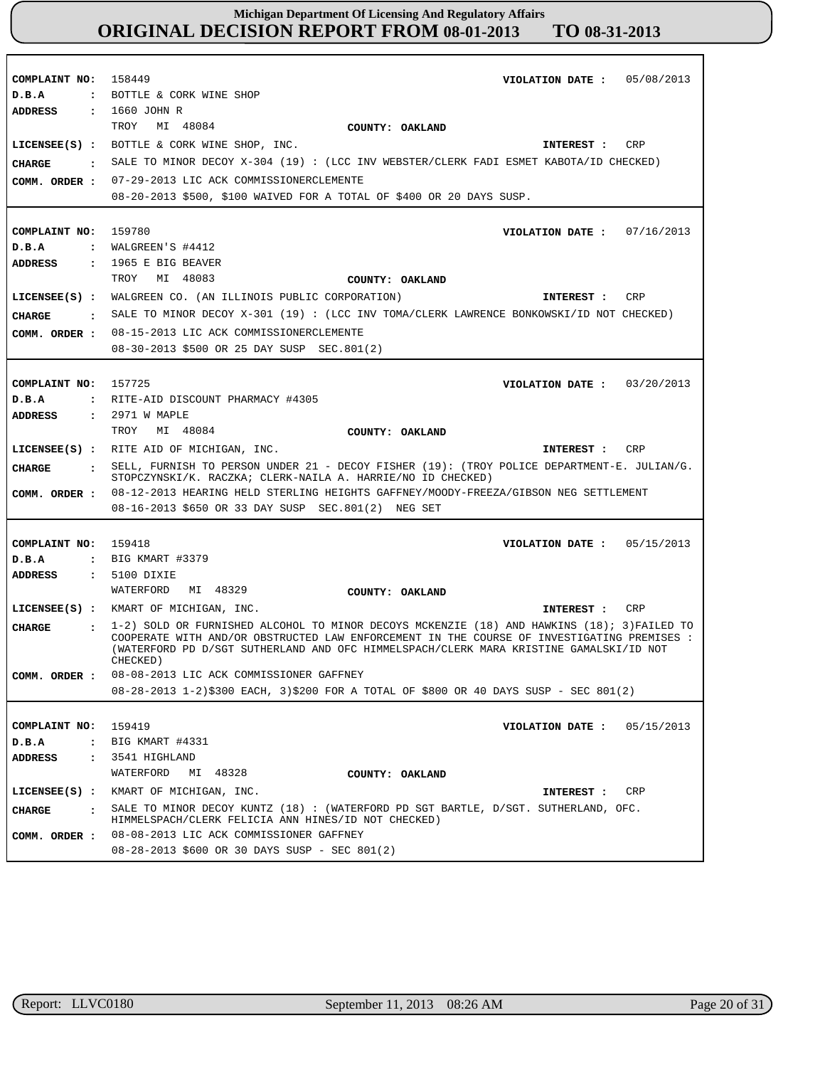| COMPLAINT NO: 158449<br>D.B.A<br>ADDRESS<br><b>CHARGE</b><br>$\mathbf{r}$<br>COMM. ORDER : | VIOLATION DATE: 05/08/2013<br>: BOTTLE & CORK WINE SHOP<br>: 1660 JOHN R<br>MI 48084<br>TROY<br>COUNTY: OAKLAND<br>LICENSEE(S) : BOTTLE & CORK WINE SHOP, INC.<br>CRP<br>INTEREST :<br>SALE TO MINOR DECOY X-304 (19) : (LCC INV WEBSTER/CLERK FADI ESMET KABOTA/ID CHECKED)<br>07-29-2013 LIC ACK COMMISSIONERCLEMENTE<br>08-20-2013 \$500, \$100 WAIVED FOR A TOTAL OF \$400 OR 20 DAYS SUSP.             |
|--------------------------------------------------------------------------------------------|-------------------------------------------------------------------------------------------------------------------------------------------------------------------------------------------------------------------------------------------------------------------------------------------------------------------------------------------------------------------------------------------------------------|
| COMPLAINT NO: 159780<br>D.B.A<br>ADDRESS<br>CHARGE                                         | VIOLATION DATE: $07/16/2013$<br>: $WALGREEN'S$ #4412<br>$: 1965$ E BIG BEAVER<br>TROY<br>MI 48083<br>COUNTY: OAKLAND<br>LICENSEE(S) : WALGREEN CO. (AN ILLINOIS PUBLIC CORPORATION)<br>CRP<br>INTEREST :<br>: SALE TO MINOR DECOY X-301 (19): (LCC INV TOMA/CLERK LAWRENCE BONKOWSKI/ID NOT CHECKED)<br>COMM. ORDER : 08-15-2013 LIC ACK COMMISSIONERCLEMENTE<br>08-30-2013 \$500 OR 25 DAY SUSP SEC.801(2) |
| COMPLAINT NO:<br>D.B.A<br>ADDRESS                                                          | 157725<br>VIOLATION DATE : $03/20/2013$<br>: RITE-AID DISCOUNT PHARMACY #4305<br>: 2971 W MAPLE<br>TROY MI 48084<br>COUNTY: OAKLAND                                                                                                                                                                                                                                                                         |
| <b>CHARGE</b><br>$\mathbf{r}$<br>COMM. ORDER :                                             | LICENSEE(S) : RITE AID OF MICHIGAN, INC.<br>CRP<br>INTEREST :<br>SELL, FURNISH TO PERSON UNDER 21 - DECOY FISHER (19): (TROY POLICE DEPARTMENT-E. JULIAN/G.<br>STOPCZYNSKI/K. RACZKA; CLERK-NAILA A. HARRIE/NO ID CHECKED)<br>08-12-2013 HEARING HELD STERLING HEIGHTS GAFFNEY/MOODY-FREEZA/GIBSON NEG SETTLEMENT<br>08-16-2013 \$650 OR 33 DAY SUSP SEC.801(2) NEG SET                                     |
| COMPLAINT NO: 159418<br>D.B.A<br>ADDRESS<br><b>CHARGE</b>                                  | VIOLATION DATE: $05/15/2013$<br>: BIG KMART #3379<br>: 5100 DIXIE<br>MI 48329<br>WATERFORD<br>COUNTY: OAKLAND<br>LICENSEE(S) : KMART OF MICHIGAN, INC.<br>CRP<br>INTEREST :<br>1-2) SOLD OR FURNISHED ALCOHOL TO MINOR DECOYS MCKENZIE (18) AND HAWKINS (18); 3) FAILED TO                                                                                                                                  |
| COMM. ORDER :                                                                              | COOPERATE WITH AND/OR OBSTRUCTED LAW ENFORCEMENT IN THE COURSE OF INVESTIGATING PREMISES :<br>(WATERFORD PD D/SGT SUTHERLAND AND OFC HIMMELSPACH/CLERK MARA KRISTINE GAMALSKI/ID NOT<br>CHECKED)<br>08-08-2013 LIC ACK COMMISSIONER GAFFNEY<br>08-28-2013 1-2)\$300 EACH, 3)\$200 FOR A TOTAL OF \$800 OR 40 DAYS SUSP - SEC 801(2)                                                                         |
| COMPLAINT NO:<br>D.B.A<br><b>ADDRESS</b><br>$\ddot{\phantom{a}}$                           | 159419<br>VIOLATION DATE :<br>05/15/2013<br>: BIG KMART #4331<br>3541 HIGHLAND<br>WATERFORD<br>MI 48328<br>COUNTY: OAKLAND<br>LICENSEE(S) : KMART OF MICHIGAN, INC.<br>INTEREST :<br>CRP                                                                                                                                                                                                                    |
| <b>CHARGE</b><br>$\mathbf{r}$<br>COMM. ORDER :                                             | SALE TO MINOR DECOY KUNTZ $(18)$ : (WATERFORD PD SGT BARTLE, D/SGT. SUTHERLAND, OFC.<br>HIMMELSPACH/CLERK FELICIA ANN HINES/ID NOT CHECKED)<br>08-08-2013 LIC ACK COMMISSIONER GAFFNEY<br>08-28-2013 \$600 OR 30 DAYS SUSP - SEC 801(2)                                                                                                                                                                     |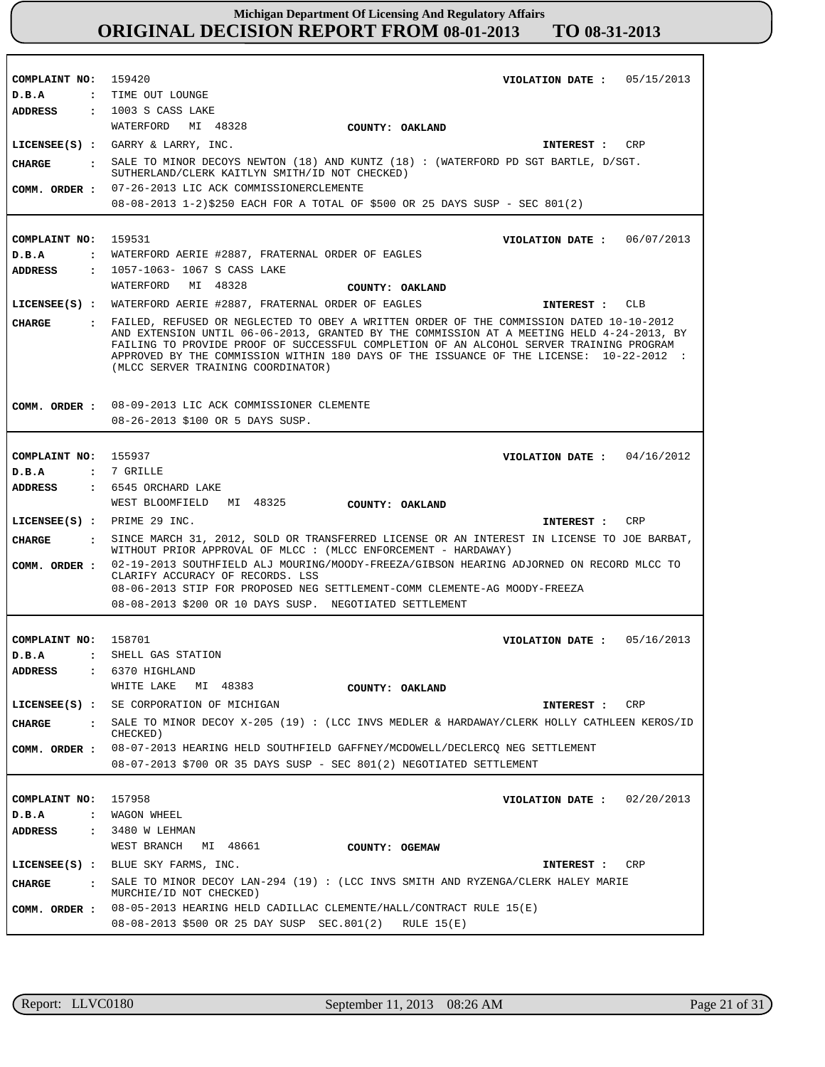**COMPLAINT NO:** 159420 **COMPLAINT NO:** 159531 **COMPLAINT NO:** 155937 **COMPLAINT NO:** 158701 **COMPLAINT NO:** 157958 **VIOLATION DATE : VIOLATION DATE : VIOLATION DATE :** 04/16/2012 **VIOLATION DATE : VIOLATION DATE :** 05/15/2013 06/07/2013 05/16/2013 02/20/2013 **D.B.A : D.B.A : D.B.A : D.B.A : D.B.A :** TIME OUT LOUNGE WATERFORD AERIE #2887, FRATERNAL ORDER OF EAGLES 7 GRILLE SHELL GAS STATION WAGON WHEEL **ADDRESS : ADDRESS : ADDRESS : ADDRESS : ADDRESS :** : 1003 S CASS LAKE 1057-1063- 1067 S CASS LAKE 6545 ORCHARD LAKE 6370 HIGHLAND 3480 W LEHMAN WATERFORD MI 48328 WATERFORD MI 48328 WEST BLOOMFIELD MI 48325 WHITE LAKE MI 48383 WEST BRANCH MI 48661 07-26-2013 LIC ACK COMMISSIONERCLEMENTE **COMM. ORDER :** 08-08-2013 1-2)\$250 EACH FOR A TOTAL OF \$500 OR 25 DAYS SUSP - SEC 801(2) 08-09-2013 LIC ACK COMMISSIONER CLEMENTE 08-26-2013 \$100 OR 5 DAYS SUSP. 02-19-2013 SOUTHFIELD ALJ MOURING/MOODY-FREEZA/GIBSON HEARING ADJORNED ON RECORD MLCC TO CLARIFY ACCURACY OF RECORDS. LSS 08-06-2013 STIP FOR PROPOSED NEG SETTLEMENT-COMM CLEMENTE-AG MOODY-FREEZA 08-08-2013 \$200 OR 10 DAYS SUSP. NEGOTIATED SETTLEMENT 08-07-2013 HEARING HELD SOUTHFIELD GAFFNEY/MCDOWELL/DECLERCQ NEG SETTLEMENT **COMM. ORDER :** 08-07-2013 \$700 OR 35 DAYS SUSP - SEC 801(2) NEGOTIATED SETTLEMENT 08-05-2013 HEARING HELD CADILLAC CLEMENTE/HALL/CONTRACT RULE 15(E) **COMM. ORDER :** 08-08-2013 \$500 OR 25 DAY SUSP SEC.801(2) RULE 15(E) **LICENSEE(S) :** GARRY & LARRY, INC. **LICENSEE(S) :** WATERFORD AERIE #2887, FRATERNAL ORDER OF EAGLES **LICENSEE(S) :** PRIME 29 INC. **LICENSEE(S) :** SE CORPORATION OF MICHIGAN **LICENSEE(S) :** BLUE SKY FARMS, INC. CRP CLB CR<sub>P</sub> CRP CRP **CHARGE : CHARGE : CHARGE : CHARGE : CHARGE :** SALE TO MINOR DECOYS NEWTON (18) AND KUNTZ (18) : (WATERFORD PD SGT BARTLE, D/SGT. SUTHERLAND/CLERK KAITLYN SMITH/ID NOT CHECKED) FAILED, REFUSED OR NEGLECTED TO OBEY A WRITTEN ORDER OF THE COMMISSION DATED 10-10-2012 AND EXTENSION UNTIL 06-06-2013, GRANTED BY THE COMMISSION AT A MEETING HELD 4-24-2013, BY FAILING TO PROVIDE PROOF OF SUCCESSFUL COMPLETION OF AN ALCOHOL SERVER TRAINING PROGRAM APPROVED BY THE COMMISSION WITHIN 180 DAYS OF THE ISSUANCE OF THE LICENSE: 10-22-2012 : (MLCC SERVER TRAINING COORDINATOR) SINCE MARCH 31, 2012, SOLD OR TRANSFERRED LICENSE OR AN INTEREST IN LICENSE TO JOE BARBAT, WITHOUT PRIOR APPROVAL OF MLCC : (MLCC ENFORCEMENT - HARDAWAY) SALE TO MINOR DECOY X-205 (19) : (LCC INVS MEDLER & HARDAWAY/CLERK HOLLY CATHLEEN KEROS/ID CHECKED) SALE TO MINOR DECOY LAN-294 (19) : (LCC INVS SMITH AND RYZENGA/CLERK HALEY MARIE MURCHIE/ID NOT CHECKED) **INTEREST : INTEREST : INTEREST : INTEREST : INTEREST : COMM. ORDER : COMM. ORDER : COUNTY: OAKLAND COUNTY: OAKLAND COUNTY: OAKLAND COUNTY: OAKLAND COUNTY: OGEMAW**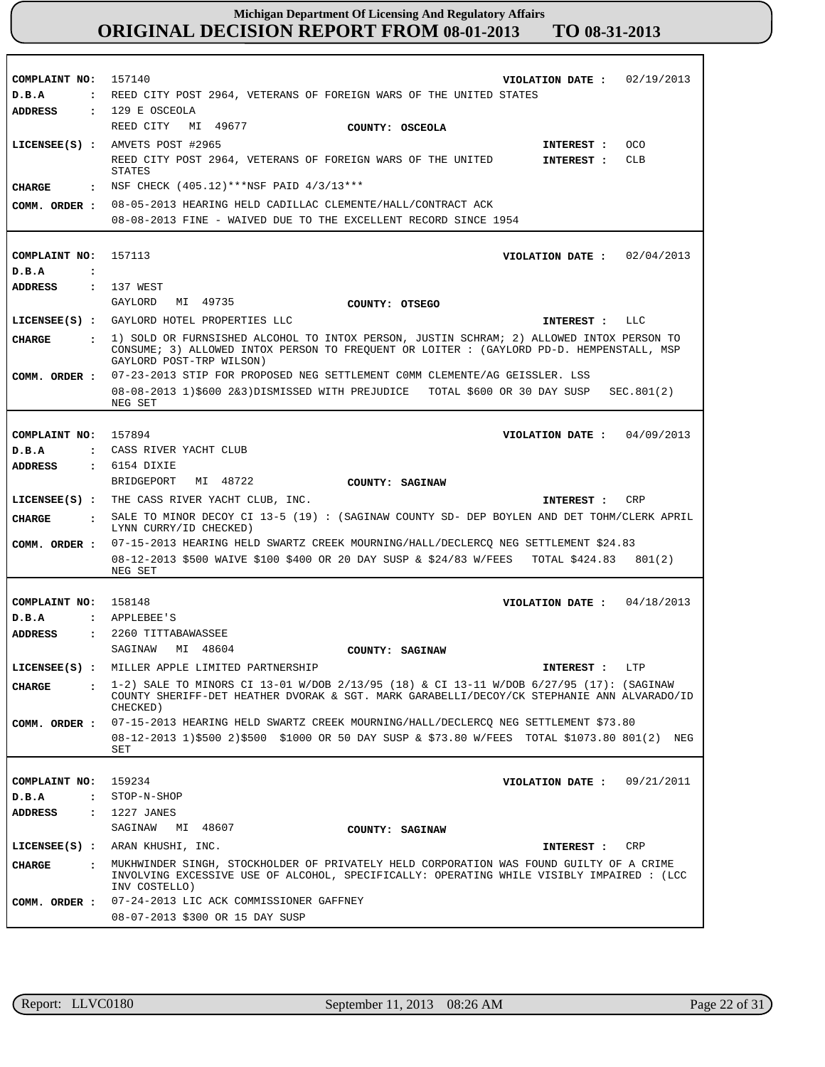| COMPLAINT NO:                 | 157140<br>02/19/2013<br>VIOLATION DATE :                                                                                                                                              |  |  |
|-------------------------------|---------------------------------------------------------------------------------------------------------------------------------------------------------------------------------------|--|--|
| D.B.A                         | : REED CITY POST 2964, VETERANS OF FOREIGN WARS OF THE UNITED STATES                                                                                                                  |  |  |
| <b>ADDRESS</b>                | $: 129 E$ osceola                                                                                                                                                                     |  |  |
|                               | REED CITY<br>MI 49677<br>COUNTY: OSCEOLA                                                                                                                                              |  |  |
|                               | LICENSEE(S) : AMVETS POST #2965<br><b>OCO</b><br>INTEREST :                                                                                                                           |  |  |
|                               | REED CITY POST 2964, VETERANS OF FOREIGN WARS OF THE UNITED<br>CLB<br>INTEREST :                                                                                                      |  |  |
|                               | STATES                                                                                                                                                                                |  |  |
| <b>CHARGE</b>                 | : NSF CHECK $(405.12)$ ***NSF PAID $4/3/13$ ***                                                                                                                                       |  |  |
| COMM. ORDER :                 | 08-05-2013 HEARING HELD CADILLAC CLEMENTE/HALL/CONTRACT ACK                                                                                                                           |  |  |
|                               | 08-08-2013 FINE - WAIVED DUE TO THE EXCELLENT RECORD SINCE 1954                                                                                                                       |  |  |
|                               |                                                                                                                                                                                       |  |  |
| COMPLAINT NO:                 | 157113<br>VIOLATION DATE : $02/04/2013$                                                                                                                                               |  |  |
| D.B.A<br>$\ddot{\phantom{a}}$ |                                                                                                                                                                                       |  |  |
| ADDRESS                       | $: 137$ WEST                                                                                                                                                                          |  |  |
|                               | GAYLORD MI 49735<br>COUNTY: OTSEGO                                                                                                                                                    |  |  |
|                               | LICENSEE(S) : GAYLORD HOTEL PROPERTIES LLC<br>LLC<br>INTEREST :                                                                                                                       |  |  |
| CIIARGE                       | . 1) SOLD OR FURNSISHED ALCOHOL TO INTOX PERSON, JUSTIN SCHRAM; 2) ALLOWED INTOX PERSON TO                                                                                            |  |  |
|                               | CONSUME; 3) ALLOWED INTOX PERSON TO FREQUENT OR LOITER : (GAYLORD PD-D. HEMPENSTALL, MSP<br>GAYLORD POST-TRP WILSON)                                                                  |  |  |
| COMM. ORDER :                 | 07-23-2013 STIP FOR PROPOSED NEG SETTLEMENT COMM CLEMENTE/AG GEISSLER. LSS                                                                                                            |  |  |
|                               | 08-08-2013 1)\$600 2&3)DISMISSED WITH PREJUDICE TOTAL \$600 OR 30 DAY SUSP<br>SEC.801(2)                                                                                              |  |  |
|                               | NEG SET                                                                                                                                                                               |  |  |
|                               |                                                                                                                                                                                       |  |  |
| COMPLAINT NO:                 | 157894<br>VIOLATION DATE: $04/09/2013$<br>: CASS RIVER YACHT CLUB                                                                                                                     |  |  |
| D.B.A                         |                                                                                                                                                                                       |  |  |
| <b>ADDRESS</b>                | $: 6154$ DIXIE<br>MI 48722<br>BRIDGEPORT<br><b>COUNTY: SAGINAW</b>                                                                                                                    |  |  |
|                               |                                                                                                                                                                                       |  |  |
|                               | LICENSEE(S) : THE CASS RIVER YACHT CLUB, INC.<br>INTEREST :<br>CRP                                                                                                                    |  |  |
| CHARGE<br>$\ddot{\cdot}$      | SALE TO MINOR DECOY CI 13-5 (19): (SAGINAW COUNTY SD- DEP BOYLEN AND DET TOHM/CLERK APRIL                                                                                             |  |  |
|                               | LYNN CURRY/ID CHECKED)                                                                                                                                                                |  |  |
| COMM. ORDER :                 | 07-15-2013 HEARING HELD SWARTZ CREEK MOURNING/HALL/DECLERCQ NEG SETTLEMENT \$24.83                                                                                                    |  |  |
|                               | 08-12-2013 \$500 WAIVE \$100 \$400 OR 20 DAY SUSP & \$24/83 W/FEES TOTAL \$424.83 801(2)<br>NEG SET                                                                                   |  |  |
|                               |                                                                                                                                                                                       |  |  |
| COMPLAINT NO: 158148          | VIOLATION DATE: $04/18/2013$                                                                                                                                                          |  |  |
| D.B.A                         | : APPLEBEE'S                                                                                                                                                                          |  |  |
| <b>ADDRESS</b>                | : 2260 TITTABAWASSEE                                                                                                                                                                  |  |  |
|                               | SAGINAW<br>MI 48604<br>COUNTY: SAGINAW                                                                                                                                                |  |  |
| $LICENSEE(S)$ :               | MILLER APPLE LIMITED PARTNERSHIP<br>INTEREST : LTP                                                                                                                                    |  |  |
| CHARGE<br>$\mathbf{r}$        | 1-2) SALE TO MINORS CI 13-01 W/DOB 2/13/95 (18) & CI 13-11 W/DOB 6/27/95 (17): (SAGINAW<br>COUNTY SHERIFF-DET HEATHER DVORAK & SGT. MARK GARABELLI/DECOY/CK STEPHANIE ANN ALVARADO/ID |  |  |
|                               | CHECKED)                                                                                                                                                                              |  |  |
| COMM. ORDER :                 | 07-15-2013 HEARING HELD SWARTZ CREEK MOURNING/HALL/DECLERCQ NEG SETTLEMENT \$73.80                                                                                                    |  |  |
|                               | 08-12-2013 1)\$500 2)\$500 \$1000 OR 50 DAY SUSP & \$73.80 W/FEES TOTAL \$1073.80 801(2) NEG<br>SET                                                                                   |  |  |
|                               |                                                                                                                                                                                       |  |  |
| COMPLAINT NO:                 | 159234<br>VIOLATION DATE: $09/21/2011$                                                                                                                                                |  |  |
| D.B.A<br>$\ddot{\phantom{a}}$ | STOP-N-SHOP                                                                                                                                                                           |  |  |
| <b>ADDRESS</b>                | : 1227 JANES                                                                                                                                                                          |  |  |
|                               | SAGINAW<br>MI 48607<br>COUNTY: SAGINAW                                                                                                                                                |  |  |
|                               | LICENSEE(S) : ARAN KHUSHI, INC.<br>INTEREST :<br>CRP                                                                                                                                  |  |  |
| CHARGE<br>$\mathbf{r}$        | MUKHWINDER SINGH, STOCKHOLDER OF PRIVATELY HELD CORPORATION WAS FOUND GUILTY OF A CRIME<br>INVOLVING EXCESSIVE USE OF ALCOHOL, SPECIFICALLY: OPERATING WHILE VISIBLY IMPAIRED : (LCC  |  |  |
|                               | INV COSTELLO)                                                                                                                                                                         |  |  |
| COMM. ORDER :                 | 07-24-2013 LIC ACK COMMISSIONER GAFFNEY<br>08-07-2013 \$300 OR 15 DAY SUSP                                                                                                            |  |  |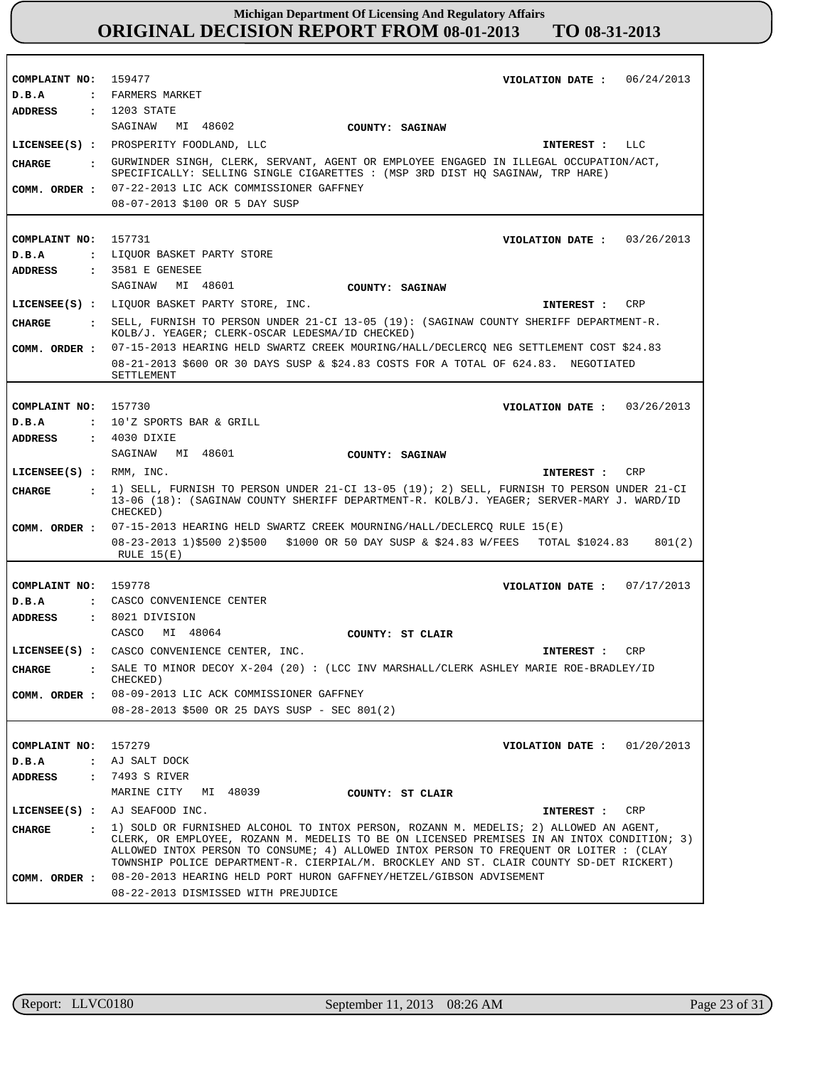| COMPLAINT NO: 159477<br>D.B.A | VIOLATION DATE: $06/24/2013$<br>: FARMERS MARKET                                                                                                                                                                                                                                                                                                                           |  |  |
|-------------------------------|----------------------------------------------------------------------------------------------------------------------------------------------------------------------------------------------------------------------------------------------------------------------------------------------------------------------------------------------------------------------------|--|--|
| <b>ADDRESS</b>                | $: 1203$ STATE                                                                                                                                                                                                                                                                                                                                                             |  |  |
|                               | SAGINAW MI 48602<br>COUNTY: SAGINAW                                                                                                                                                                                                                                                                                                                                        |  |  |
|                               | LICENSEE(S) : PROSPERITY FOODLAND, LLC<br>INTEREST : LLC                                                                                                                                                                                                                                                                                                                   |  |  |
|                               |                                                                                                                                                                                                                                                                                                                                                                            |  |  |
| CIIARGE                       | : GURWINDER SINGH, CLERK, SERVANT, AGENT OR EMPLOYEE ENGAGED IN ILLEGAL OCCUPATION/ACT,<br>SPECIFICALLY: SELLING SINGLE CIGARETTES : (MSP 3RD DIST HQ SAGINAW, TRP HARE)                                                                                                                                                                                                   |  |  |
| COMM. ORDER :                 | 07-22-2013 LIC ACK COMMISSIONER GAFFNEY                                                                                                                                                                                                                                                                                                                                    |  |  |
|                               | 08-07-2013 \$100 OR 5 DAY SUSP                                                                                                                                                                                                                                                                                                                                             |  |  |
|                               |                                                                                                                                                                                                                                                                                                                                                                            |  |  |
| COMPLAINT NO:                 | 157731<br>VIOLATION DATE: $03/26/2013$                                                                                                                                                                                                                                                                                                                                     |  |  |
| D.B.A                         | : LIQUOR BASKET PARTY STORE                                                                                                                                                                                                                                                                                                                                                |  |  |
| <b>ADDRESS</b>                | $: 3581 E$ GENESEE                                                                                                                                                                                                                                                                                                                                                         |  |  |
|                               | SAGINAW MI 48601<br>COUNTY: SAGINAW                                                                                                                                                                                                                                                                                                                                        |  |  |
|                               | LICENSEE(S) : LIQUOR BASKET PARTY STORE, INC.<br>CRP<br>INTEREST :                                                                                                                                                                                                                                                                                                         |  |  |
| CHARGE                        | : SELL, FURNISH TO PERSON UNDER 21-CI 13-05 (19): (SAGINAW COUNTY SHERIFF DEPARTMENT-R.<br>KOLB/J. YEAGER; CLERK-OSCAR LEDESMA/ID CHECKED)                                                                                                                                                                                                                                 |  |  |
| COMM. ORDER :                 | 07-15-2013 HEARING HELD SWARTZ CREEK MOURING/HALL/DECLERCO NEG SETTLEMENT COST \$24.83                                                                                                                                                                                                                                                                                     |  |  |
|                               | 08-21-2013 \$600 OR 30 DAYS SUSP & \$24.83 COSTS FOR A TOTAL OF 624.83. NEGOTIATED<br>SETTLEMENT                                                                                                                                                                                                                                                                           |  |  |
|                               |                                                                                                                                                                                                                                                                                                                                                                            |  |  |
| COMPLAINT NO: 157730          | VIOLATION DATE: $03/26/2013$                                                                                                                                                                                                                                                                                                                                               |  |  |
| D.B.A                         | : 10'Z SPORTS BAR & GRILL                                                                                                                                                                                                                                                                                                                                                  |  |  |
| <b>ADDRESS</b>                | $: 4030$ DIXIE                                                                                                                                                                                                                                                                                                                                                             |  |  |
|                               | SAGINAW MI 48601<br>COUNTY: SAGINAW                                                                                                                                                                                                                                                                                                                                        |  |  |
| $LICENSEE(S)$ : RMM, INC.     | CRP<br>INTEREST :                                                                                                                                                                                                                                                                                                                                                          |  |  |
| CIIARGE<br>$\mathbf{r}$       | 1) SELL, FURNISH TO PERSON UNDER 21-CI 13-05 (19); 2) SELL, FURNISH TO PERSON UNDER 21-CI<br>13-06 (18): (SAGINAW COUNTY SHERIFF DEPARTMENT-R. KOLB/J. YEAGER; SERVER-MARY J. WARD/ID<br>CHECKED)                                                                                                                                                                          |  |  |
| COMM. ORDER :                 | 07-15-2013 HEARING HELD SWARTZ CREEK MOURNING/HALL/DECLERCQ RULE 15(E)                                                                                                                                                                                                                                                                                                     |  |  |
|                               | 08-23-2013 1)\$500 2)\$500 \$1000 OR 50 DAY SUSP & \$24.83 W/FEES TOTAL \$1024.83<br>801(2)<br>RULE $15(E)$                                                                                                                                                                                                                                                                |  |  |
|                               |                                                                                                                                                                                                                                                                                                                                                                            |  |  |
| COMPLAINT NO:                 | 159778<br>VIOLATION DATE: $07/17/2013$                                                                                                                                                                                                                                                                                                                                     |  |  |
| D.B.A                         | : CASCO CONVENIENCE CENTER                                                                                                                                                                                                                                                                                                                                                 |  |  |
| <b>ADDRESS</b>                | : 8021 DIVISION                                                                                                                                                                                                                                                                                                                                                            |  |  |
|                               | CASCO<br>MI 48064<br>COUNTY: ST CLAIR                                                                                                                                                                                                                                                                                                                                      |  |  |
|                               | LICENSEE(S) : CASCO CONVENIENCE CENTER, INC.<br><b>CRP</b><br>INTEREST :                                                                                                                                                                                                                                                                                                   |  |  |
| CHARGE<br>$\ddot{\cdot}$      | SALE TO MINOR DECOY X-204 (20) : (LCC INV MARSHALL/CLERK ASHLEY MARIE ROE-BRADLEY/ID<br>CHECKED)                                                                                                                                                                                                                                                                           |  |  |
| COMM. ORDER :                 | 08-09-2013 LIC ACK COMMISSIONER GAFFNEY                                                                                                                                                                                                                                                                                                                                    |  |  |
|                               | 08-28-2013 \$500 OR 25 DAYS SUSP - SEC 801(2)                                                                                                                                                                                                                                                                                                                              |  |  |
|                               |                                                                                                                                                                                                                                                                                                                                                                            |  |  |
| COMPLAINT NO: 157279          | VIOLATION DATE: $01/20/2013$                                                                                                                                                                                                                                                                                                                                               |  |  |
| $D$ . B.A                     | : AJ SALT DOCK<br>: 7493 S RIVER                                                                                                                                                                                                                                                                                                                                           |  |  |
| ADDRESS                       | MARINE CITY<br>MI 48039<br>COUNTY: ST CLAIR                                                                                                                                                                                                                                                                                                                                |  |  |
|                               |                                                                                                                                                                                                                                                                                                                                                                            |  |  |
|                               | $LICENSEE(S)$ : AJ SEAFOOD INC.<br>INTEREST : CRP                                                                                                                                                                                                                                                                                                                          |  |  |
| CHARGE                        | : 1) SOLD OR FURNISHED ALCOHOL TO INTOX PERSON, ROZANN M. MEDELIS; 2) ALLOWED AN AGENT,<br>CLERK, OR EMPLOYEE, ROZANN M. MEDELIS TO BE ON LICENSED PREMISES IN AN INTOX CONDITION; 3)<br>ALLOWED INTOX PERSON TO CONSUME; 4) ALLOWED INTOX PERSON TO FREQUENT OR LOITER : (CLAY<br>TOWNSHIP POLICE DEPARTMENT-R. CIERPIAL/M. BROCKLEY AND ST. CLAIR COUNTY SD-DET RICKERT) |  |  |
| COMM. ORDER :                 | 08-20-2013 HEARING HELD PORT HURON GAFFNEY/HETZEL/GIBSON ADVISEMENT                                                                                                                                                                                                                                                                                                        |  |  |
|                               | 08-22-2013 DISMISSED WITH PREJUDICE                                                                                                                                                                                                                                                                                                                                        |  |  |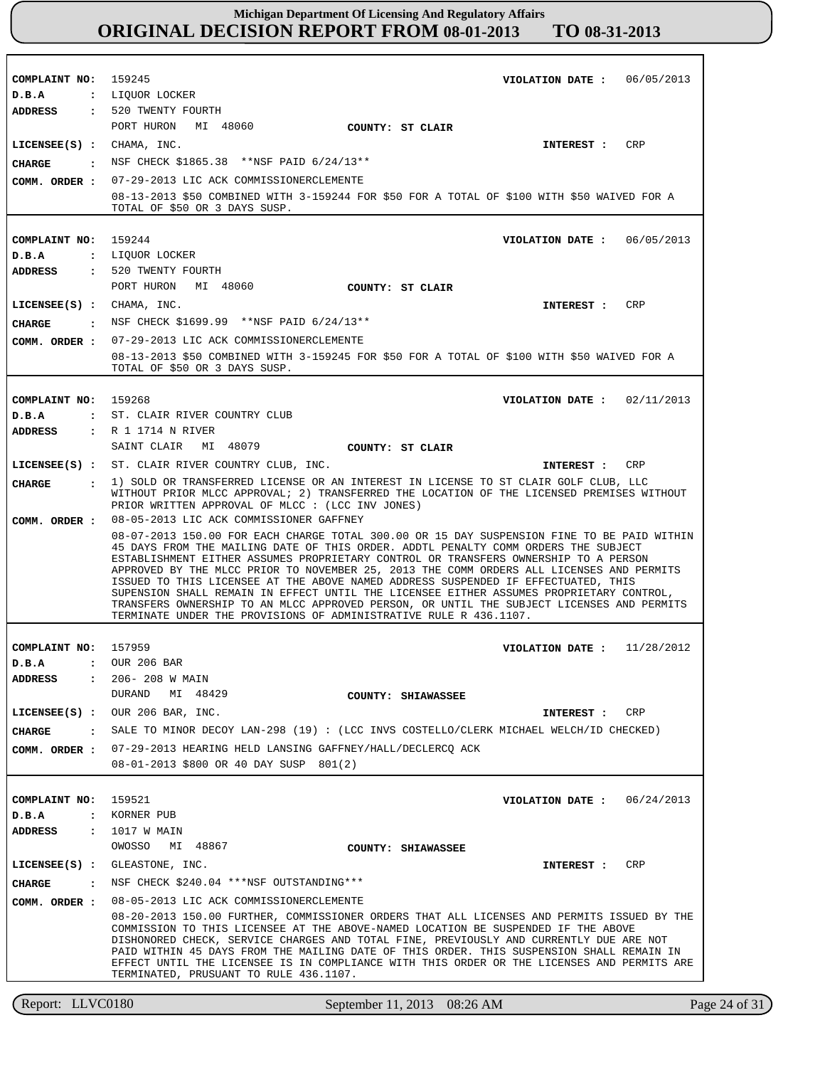| COMPLAINT NO: 159245                                       | VIOLATION DATE: 06/05/2013                                                                                                                                                                                                                                                                                                                                                                                                                                                                                                                                                                                                                                                                                            |  |  |
|------------------------------------------------------------|-----------------------------------------------------------------------------------------------------------------------------------------------------------------------------------------------------------------------------------------------------------------------------------------------------------------------------------------------------------------------------------------------------------------------------------------------------------------------------------------------------------------------------------------------------------------------------------------------------------------------------------------------------------------------------------------------------------------------|--|--|
| D.B.A                                                      | : LIOUOR LOCKER                                                                                                                                                                                                                                                                                                                                                                                                                                                                                                                                                                                                                                                                                                       |  |  |
| <b>ADDRESS</b>                                             | : 520 TWENTY FOURTH                                                                                                                                                                                                                                                                                                                                                                                                                                                                                                                                                                                                                                                                                                   |  |  |
|                                                            | PORT HURON MI 48060<br>COUNTY: ST CLAIR                                                                                                                                                                                                                                                                                                                                                                                                                                                                                                                                                                                                                                                                               |  |  |
| LICENSEE(S) : CHAMA, INC.                                  | CRP<br>INTEREST :                                                                                                                                                                                                                                                                                                                                                                                                                                                                                                                                                                                                                                                                                                     |  |  |
| CHARGE<br>$\sim$ $\sim$ $\sim$ $\sim$ $\sim$ $\sim$ $\sim$ | NSF CHECK \$1865.38 **NSF PAID 6/24/13**                                                                                                                                                                                                                                                                                                                                                                                                                                                                                                                                                                                                                                                                              |  |  |
| COMM. ORDER :                                              | 07-29-2013 LIC ACK COMMISSIONERCLEMENTE                                                                                                                                                                                                                                                                                                                                                                                                                                                                                                                                                                                                                                                                               |  |  |
|                                                            | 08-13-2013 \$50 COMBINED WITH 3-159244 FOR \$50 FOR A TOTAL OF \$100 WITH \$50 WAIVED FOR A<br>TOTAL OF \$50 OR 3 DAYS SUSP.                                                                                                                                                                                                                                                                                                                                                                                                                                                                                                                                                                                          |  |  |
| COMPLAINT NO:                                              | 159244<br>VIOLATION DATE: 06/05/2013                                                                                                                                                                                                                                                                                                                                                                                                                                                                                                                                                                                                                                                                                  |  |  |
| D.B.A                                                      | : LIQUOR LOCKER                                                                                                                                                                                                                                                                                                                                                                                                                                                                                                                                                                                                                                                                                                       |  |  |
| ADDRESS                                                    | : 520 TWENTY FOURTH                                                                                                                                                                                                                                                                                                                                                                                                                                                                                                                                                                                                                                                                                                   |  |  |
|                                                            | PORT HURON MI 48060<br>COUNTY: ST CLAIR                                                                                                                                                                                                                                                                                                                                                                                                                                                                                                                                                                                                                                                                               |  |  |
| LICENSEE(S) : CHAMA, INC.                                  | <b>CRP</b><br>INTEREST :                                                                                                                                                                                                                                                                                                                                                                                                                                                                                                                                                                                                                                                                                              |  |  |
|                                                            | NSF CHECK \$1699.99 **NSF PAID 6/24/13**                                                                                                                                                                                                                                                                                                                                                                                                                                                                                                                                                                                                                                                                              |  |  |
| CHARGE<br>$\sim$ $\sim$ $\sim$                             | 07-29-2013 LIC ACK COMMISSIONERCLEMENTE                                                                                                                                                                                                                                                                                                                                                                                                                                                                                                                                                                                                                                                                               |  |  |
| COMM. ORDER :                                              | 08-13-2013 \$50 COMBINED WITH 3-159245 FOR \$50 FOR A TOTAL OF \$100 WITH \$50 WAIVED FOR A<br>TOTAL OF \$50 OR 3 DAYS SUSP.                                                                                                                                                                                                                                                                                                                                                                                                                                                                                                                                                                                          |  |  |
|                                                            |                                                                                                                                                                                                                                                                                                                                                                                                                                                                                                                                                                                                                                                                                                                       |  |  |
| COMPLAINT NO: 159268                                       | VIOLATION DATE: $02/11/2013$                                                                                                                                                                                                                                                                                                                                                                                                                                                                                                                                                                                                                                                                                          |  |  |
| D.B.A                                                      | : ST. CLAIR RIVER COUNTRY CLUB                                                                                                                                                                                                                                                                                                                                                                                                                                                                                                                                                                                                                                                                                        |  |  |
| <b>ADDRESS</b>                                             | : R 1 1714 N RIVER                                                                                                                                                                                                                                                                                                                                                                                                                                                                                                                                                                                                                                                                                                    |  |  |
|                                                            | SAINT CLAIR MI 48079<br>COUNTY: ST CLAIR                                                                                                                                                                                                                                                                                                                                                                                                                                                                                                                                                                                                                                                                              |  |  |
|                                                            | LICENSEE(S) : ST. CLAIR RIVER COUNTRY CLUB, INC.<br><b>CRP</b><br>INTEREST :                                                                                                                                                                                                                                                                                                                                                                                                                                                                                                                                                                                                                                          |  |  |
| CHARGE<br>$\mathbf{r}$                                     | 1) SOLD OR TRANSFERRED LICENSE OR AN INTEREST IN LICENSE TO ST CLAIR GOLF CLUB, LLC<br>WITHOUT PRIOR MLCC APPROVAL; 2) TRANSFERRED THE LOCATION OF THE LICENSED PREMISES WITHOUT<br>PRIOR WRITTEN APPROVAL OF MLCC : (LCC INV JONES)                                                                                                                                                                                                                                                                                                                                                                                                                                                                                  |  |  |
| COMM. ORDER :                                              | 08-05-2013 LIC ACK COMMISSIONER GAFFNEY                                                                                                                                                                                                                                                                                                                                                                                                                                                                                                                                                                                                                                                                               |  |  |
|                                                            | 08-07-2013 150.00 FOR EACH CHARGE TOTAL 300.00 OR 15 DAY SUSPENSION FINE TO BE PAID WITHIN<br>45 DAYS FROM THE MAILING DATE OF THIS ORDER. ADDTL PENALTY COMM ORDERS THE SUBJECT<br>ESTABLISHMENT EITHER ASSUMES PROPRIETARY CONTROL OR TRANSFERS OWNERSHIP TO A PERSON<br>APPROVED BY THE MLCC PRIOR TO NOVEMBER 25, 2013 THE COMM ORDERS ALL LICENSES AND PERMITS<br>ISSUED TO THIS LICENSEE AT THE ABOVE NAMED ADDRESS SUSPENDED IF EFFECTUATED, THIS<br>SUPENSION SHALL REMAIN IN EFFECT UNTIL THE LICENSEE EITHER ASSUMES PROPRIETARY CONTROL,<br>TRANSFERS OWNERSHIP TO AN MLCC APPROVED PERSON, OR UNTIL THE SUBJECT LICENSES AND PERMITS<br>TERMINATE UNDER THE PROVISIONS OF ADMINISTRATIVE RULE R 436.1107. |  |  |
|                                                            |                                                                                                                                                                                                                                                                                                                                                                                                                                                                                                                                                                                                                                                                                                                       |  |  |
| COMPLAINT NO: 157959                                       | VIOLATION DATE: $11/28/2012$                                                                                                                                                                                                                                                                                                                                                                                                                                                                                                                                                                                                                                                                                          |  |  |
| D.B.A                                                      | : OUR 206 BAR                                                                                                                                                                                                                                                                                                                                                                                                                                                                                                                                                                                                                                                                                                         |  |  |
| <b>ADDRESS</b>                                             | : 206-208 W MAIN<br>DURAND MI 48429                                                                                                                                                                                                                                                                                                                                                                                                                                                                                                                                                                                                                                                                                   |  |  |
|                                                            | COUNTY: SHIAWASSEE                                                                                                                                                                                                                                                                                                                                                                                                                                                                                                                                                                                                                                                                                                    |  |  |
|                                                            | $LICENSEE(S)$ : OUR 206 BAR, INC.<br>INTEREST : CRP                                                                                                                                                                                                                                                                                                                                                                                                                                                                                                                                                                                                                                                                   |  |  |
| CHARGE                                                     | SALE TO MINOR DECOY LAN-298 (19) : (LCC INVS COSTELLO/CLERK MICHAEL WELCH/ID CHECKED)                                                                                                                                                                                                                                                                                                                                                                                                                                                                                                                                                                                                                                 |  |  |
|                                                            | COMM. ORDER : 07-29-2013 HEARING HELD LANSING GAFFNEY/HALL/DECLERCQ ACK<br>08-01-2013 \$800 OR 40 DAY SUSP 801(2)                                                                                                                                                                                                                                                                                                                                                                                                                                                                                                                                                                                                     |  |  |
|                                                            |                                                                                                                                                                                                                                                                                                                                                                                                                                                                                                                                                                                                                                                                                                                       |  |  |
| COMPLAINT NO: 159521                                       | VIOLATION DATE: $06/24/2013$                                                                                                                                                                                                                                                                                                                                                                                                                                                                                                                                                                                                                                                                                          |  |  |
| D.B.A<br>$\ddot{\phantom{a}}$                              | KORNER PUB                                                                                                                                                                                                                                                                                                                                                                                                                                                                                                                                                                                                                                                                                                            |  |  |
| <b>ADDRESS</b><br>$\sim$ 100 $\sim$                        | 1017 W MAIN                                                                                                                                                                                                                                                                                                                                                                                                                                                                                                                                                                                                                                                                                                           |  |  |
|                                                            | OWOSSO MI 48867<br>COUNTY: SHIAWASSEE                                                                                                                                                                                                                                                                                                                                                                                                                                                                                                                                                                                                                                                                                 |  |  |
| $LICENSEE(S)$ :                                            | GLEASTONE, INC.<br>CRP<br>INTEREST :                                                                                                                                                                                                                                                                                                                                                                                                                                                                                                                                                                                                                                                                                  |  |  |
| CHARGE<br>$\sim$ $\sim$ $\sim$                             | NSF CHECK \$240.04 *** NSF OUTSTANDING***                                                                                                                                                                                                                                                                                                                                                                                                                                                                                                                                                                                                                                                                             |  |  |
| COMM. ORDER :                                              | 08-05-2013 LIC ACK COMMISSIONERCLEMENTE                                                                                                                                                                                                                                                                                                                                                                                                                                                                                                                                                                                                                                                                               |  |  |
|                                                            | 08-20-2013 150.00 FURTHER, COMMISSIONER ORDERS THAT ALL LICENSES AND PERMITS ISSUED BY THE<br>COMMISSION TO THIS LICENSEE AT THE ABOVE-NAMED LOCATION BE SUSPENDED IF THE ABOVE<br>DISHONORED CHECK, SERVICE CHARGES AND TOTAL FINE, PREVIOUSLY AND CURRENTLY DUE ARE NOT<br>PAID WITHIN 45 DAYS FROM THE MAILING DATE OF THIS ORDER. THIS SUSPENSION SHALL REMAIN IN<br>EFFECT UNTIL THE LICENSEE IS IN COMPLIANCE WITH THIS ORDER OR THE LICENSES AND PERMITS ARE<br>TERMINATED, PRUSUANT TO RULE 436.1107.                                                                                                                                                                                                         |  |  |

Report: LLVC0180 September 11, 2013 08:26 AM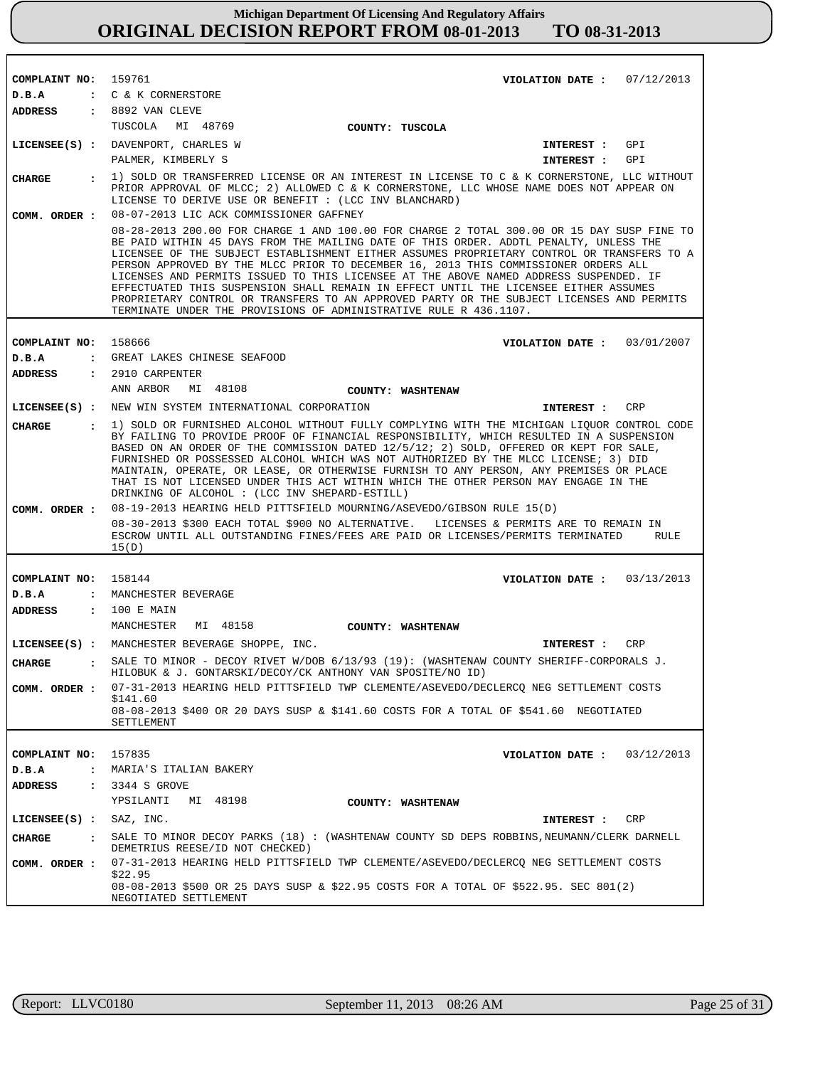| COMPLAINT NO: 159761                               |                                                                                                                                                                                                                                                                                                                                                                                                                                                                                                                                                                                                                                                                                                                             | VIOLATION DATE: $07/12/2013$ |
|----------------------------------------------------|-----------------------------------------------------------------------------------------------------------------------------------------------------------------------------------------------------------------------------------------------------------------------------------------------------------------------------------------------------------------------------------------------------------------------------------------------------------------------------------------------------------------------------------------------------------------------------------------------------------------------------------------------------------------------------------------------------------------------------|------------------------------|
| D.B.A                                              | : C & K CORNERSTORE                                                                                                                                                                                                                                                                                                                                                                                                                                                                                                                                                                                                                                                                                                         |                              |
|                                                    | ADDRESS : 8892 VAN CLEVE                                                                                                                                                                                                                                                                                                                                                                                                                                                                                                                                                                                                                                                                                                    |                              |
|                                                    | TUSCOLA MI 48769<br>COUNTY: TUSCOLA                                                                                                                                                                                                                                                                                                                                                                                                                                                                                                                                                                                                                                                                                         |                              |
|                                                    | LICENSEE(S) : DAVENPORT, CHARLES W                                                                                                                                                                                                                                                                                                                                                                                                                                                                                                                                                                                                                                                                                          | INTEREST : GPI               |
|                                                    | PALMER, KIMBERLY S                                                                                                                                                                                                                                                                                                                                                                                                                                                                                                                                                                                                                                                                                                          | INTEREST : GPI               |
| CHARGE<br>$\mathbf{r}$                             | 1) SOLD OR TRANSFERRED LICENSE OR AN INTEREST IN LICENSE TO C & K CORNERSTONE, LLC WITHOUT<br>PRIOR APPROVAL OF MLCC; 2) ALLOWED C & K CORNERSTONE, LLC WHOSE NAME DOES NOT APPEAR ON<br>LICENSE TO DERIVE USE OR BENEFIT : (LCC INV BLANCHARD)                                                                                                                                                                                                                                                                                                                                                                                                                                                                             |                              |
| COMM. ORDER :                                      | 08-07-2013 LIC ACK COMMISSIONER GAFFNEY                                                                                                                                                                                                                                                                                                                                                                                                                                                                                                                                                                                                                                                                                     |                              |
|                                                    | 08-28-2013 200.00 FOR CHARGE 1 AND 100.00 FOR CHARGE 2 TOTAL 300.00 OR 15 DAY SUSP FINE TO<br>BE PAID WITHIN 45 DAYS FROM THE MAILING DATE OF THIS ORDER. ADDTL PENALTY, UNLESS THE<br>LICENSEE OF THE SUBJECT ESTABLISHMENT EITHER ASSUMES PROPRIETARY CONTROL OR TRANSFERS TO A<br>PERSON APPROVED BY THE MLCC PRIOR TO DECEMBER 16, 2013 THIS COMMISSIONER ORDERS ALL<br>LICENSES AND PERMITS ISSUED TO THIS LICENSEE AT THE ABOVE NAMED ADDRESS SUSPENDED. IF<br>EFFECTUATED THIS SUSPENSION SHALL REMAIN IN EFFECT UNTIL THE LICENSEE EITHER ASSUMES<br>PROPRIETARY CONTROL OR TRANSFERS TO AN APPROVED PARTY OR THE SUBJECT LICENSES AND PERMITS<br>TERMINATE UNDER THE PROVISIONS OF ADMINISTRATIVE RULE R 436.1107. |                              |
|                                                    |                                                                                                                                                                                                                                                                                                                                                                                                                                                                                                                                                                                                                                                                                                                             |                              |
| COMPLAINT NO: 158666<br>D.B.A                      | : GREAT LAKES CHINESE SEAFOOD                                                                                                                                                                                                                                                                                                                                                                                                                                                                                                                                                                                                                                                                                               | VIOLATION DATE: 03/01/2007   |
| ADDRESS                                            | $: 2910$ CARPENTER                                                                                                                                                                                                                                                                                                                                                                                                                                                                                                                                                                                                                                                                                                          |                              |
|                                                    | MI 48108<br>ANN ARBOR<br>COUNTY: WASHTENAW                                                                                                                                                                                                                                                                                                                                                                                                                                                                                                                                                                                                                                                                                  |                              |
|                                                    | LICENSEE(S) : NEW WIN SYSTEM INTERNATIONAL CORPORATION                                                                                                                                                                                                                                                                                                                                                                                                                                                                                                                                                                                                                                                                      | CRP<br>INTEREST :            |
|                                                    |                                                                                                                                                                                                                                                                                                                                                                                                                                                                                                                                                                                                                                                                                                                             |                              |
| <b>CHARGE</b>                                      | : 1) SOLD OR FURNISHED ALCOHOL WITHOUT FULLY COMPLYING WITH THE MICHIGAN LIQUOR CONTROL CODE<br>BY FAILING TO PROVIDE PROOF OF FINANCIAL RESPONSIBILITY, WHICH RESULTED IN A SUSPENSION<br>BASED ON AN ORDER OF THE COMMISSION DATED 12/5/12; 2) SOLD, OFFERED OR KEPT FOR SALE,<br>FURNISHED OR POSSESSED ALCOHOL WHICH WAS NOT AUTHORIZED BY THE MLCC LICENSE; 3) DID<br>MAINTAIN, OPERATE, OR LEASE, OR OTHERWISE FURNISH TO ANY PERSON, ANY PREMISES OR PLACE<br>THAT IS NOT LICENSED UNDER THIS ACT WITHIN WHICH THE OTHER PERSON MAY ENGAGE IN THE<br>DRINKING OF ALCOHOL : (LCC INV SHEPARD-ESTILL)                                                                                                                  |                              |
| COMM. ORDER :                                      | 08-19-2013 HEARING HELD PITTSFIELD MOURNING/ASEVEDO/GIBSON RULE 15(D)                                                                                                                                                                                                                                                                                                                                                                                                                                                                                                                                                                                                                                                       |                              |
|                                                    | 08-30-2013 \$300 EACH TOTAL \$900 NO ALTERNATIVE. LICENSES & PERMITS ARE TO REMAIN IN<br>ESCROW UNTIL ALL OUTSTANDING FINES/FEES ARE PAID OR LICENSES/PERMITS TERMINATED<br>15(D)                                                                                                                                                                                                                                                                                                                                                                                                                                                                                                                                           | RULE                         |
|                                                    |                                                                                                                                                                                                                                                                                                                                                                                                                                                                                                                                                                                                                                                                                                                             |                              |
| COMPLAINT NO:                                      | 158144                                                                                                                                                                                                                                                                                                                                                                                                                                                                                                                                                                                                                                                                                                                      | VIOLATION DATE: $03/13/2013$ |
| D.B.A<br>ADDRESS                                   | : MANCHESTER BEVERAGE<br>: 100 E MAIN                                                                                                                                                                                                                                                                                                                                                                                                                                                                                                                                                                                                                                                                                       |                              |
|                                                    | MANCHESTER MI 48158                                                                                                                                                                                                                                                                                                                                                                                                                                                                                                                                                                                                                                                                                                         |                              |
|                                                    | COUNTY: WASHTENAW                                                                                                                                                                                                                                                                                                                                                                                                                                                                                                                                                                                                                                                                                                           |                              |
|                                                    | LICENSEE(S) : MANCHESTER BEVERAGE SHOPPE, INC.                                                                                                                                                                                                                                                                                                                                                                                                                                                                                                                                                                                                                                                                              | CRP<br>INTEREST :            |
| <b>CHARGE</b><br>and the state of the state of the | SALE TO MINOR - DECOY RIVET W/DOB 6/13/93 (19): (WASHTENAW COUNTY SHERIFF-CORPORALS J.<br>HILOBUK & J. GONTARSKI/DECOY/CK ANTHONY VAN SPOSITE/NO ID)                                                                                                                                                                                                                                                                                                                                                                                                                                                                                                                                                                        |                              |
| COMM. ORDER :                                      | 07-31-2013 HEARING HELD PITTSFIELD TWP CLEMENTE/ASEVEDO/DECLERCQ NEG SETTLEMENT COSTS                                                                                                                                                                                                                                                                                                                                                                                                                                                                                                                                                                                                                                       |                              |
|                                                    | \$141.60<br>08-08-2013 \$400 OR 20 DAYS SUSP & \$141.60 COSTS FOR A TOTAL OF \$541.60 NEGOTIATED                                                                                                                                                                                                                                                                                                                                                                                                                                                                                                                                                                                                                            |                              |
|                                                    | SETTLEMENT                                                                                                                                                                                                                                                                                                                                                                                                                                                                                                                                                                                                                                                                                                                  |                              |
|                                                    |                                                                                                                                                                                                                                                                                                                                                                                                                                                                                                                                                                                                                                                                                                                             |                              |
| COMPLAINT NO: 157835                               |                                                                                                                                                                                                                                                                                                                                                                                                                                                                                                                                                                                                                                                                                                                             | VIOLATION DATE: $03/12/2013$ |
| D.B.A                                              | : MARIA'S ITALIAN BAKERY                                                                                                                                                                                                                                                                                                                                                                                                                                                                                                                                                                                                                                                                                                    |                              |
| ADDRESS                                            | $: 3344 S$ GROVE                                                                                                                                                                                                                                                                                                                                                                                                                                                                                                                                                                                                                                                                                                            |                              |
|                                                    | YPSILANTI MI 48198<br>COUNTY: WASHTENAW                                                                                                                                                                                                                                                                                                                                                                                                                                                                                                                                                                                                                                                                                     |                              |
| LICENSEE(S) : SAZ, INC.                            |                                                                                                                                                                                                                                                                                                                                                                                                                                                                                                                                                                                                                                                                                                                             | CRP<br>INTEREST :            |
| <b>CHARGE</b><br>$\sim$ 100 $\sim$                 | SALE TO MINOR DECOY PARKS (18) : (WASHTENAW COUNTY SD DEPS ROBBINS, NEUMANN/CLERK DARNELL<br>DEMETRIUS REESE/ID NOT CHECKED)                                                                                                                                                                                                                                                                                                                                                                                                                                                                                                                                                                                                |                              |
| COMM. ORDER :                                      | 07-31-2013 HEARING HELD PITTSFIELD TWP CLEMENTE/ASEVEDO/DECLERCQ NEG SETTLEMENT COSTS<br>\$22.95<br>08-08-2013 \$500 OR 25 DAYS SUSP & \$22.95 COSTS FOR A TOTAL OF \$522.95. SEC 801(2)                                                                                                                                                                                                                                                                                                                                                                                                                                                                                                                                    |                              |
|                                                    | NEGOTIATED SETTLEMENT                                                                                                                                                                                                                                                                                                                                                                                                                                                                                                                                                                                                                                                                                                       |                              |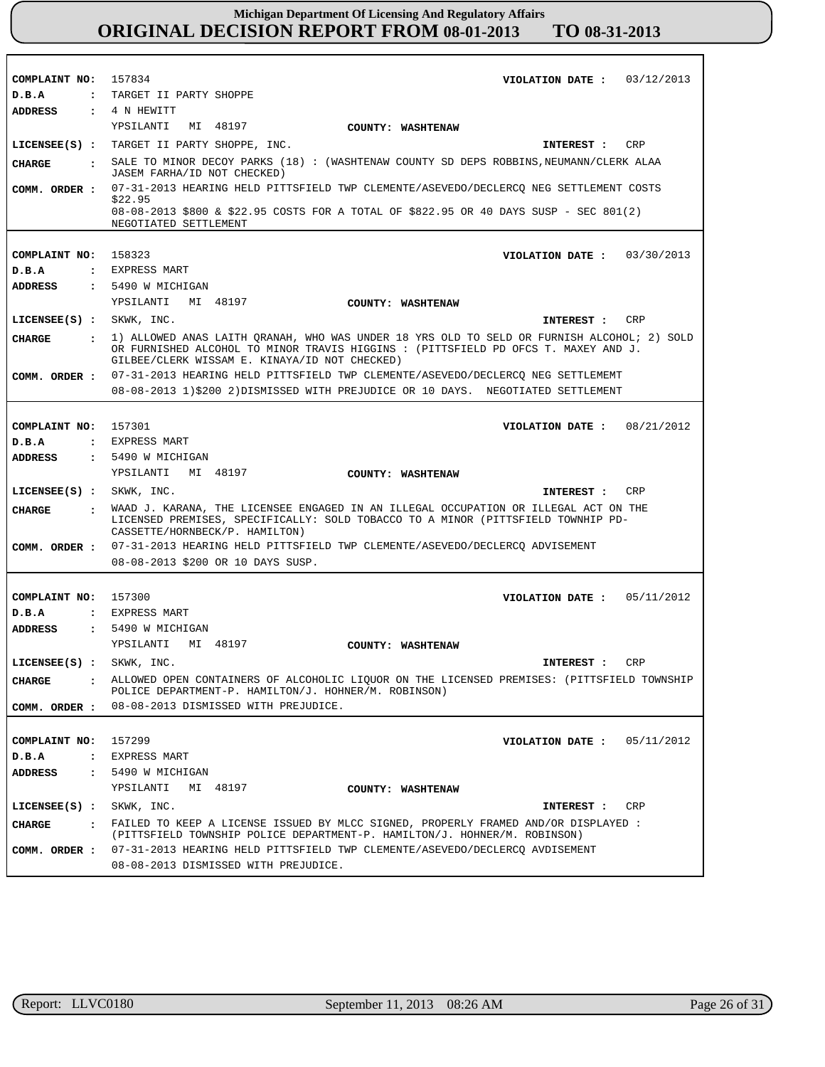| COMPLAINT NO: 157834       | VIOLATION DATE: $03/12/2013$                                                                                                                                                                                                        |  |  |  |  |
|----------------------------|-------------------------------------------------------------------------------------------------------------------------------------------------------------------------------------------------------------------------------------|--|--|--|--|
| D.B.A                      | : TARGET II PARTY SHOPPE                                                                                                                                                                                                            |  |  |  |  |
| ADDRESS                    | $\pm$ 4 N HEWITT                                                                                                                                                                                                                    |  |  |  |  |
|                            | YPSILANTI<br>MI 48197<br>COUNTY: WASHTENAW                                                                                                                                                                                          |  |  |  |  |
|                            | LICENSEE(S) : TARGET II PARTY SHOPPE, INC.<br>CRP<br>INTEREST :                                                                                                                                                                     |  |  |  |  |
| CHARGE                     | . SALE TO MINOR DECOY PARKS (18) : (WASHTENAW COUNTY SD DEPS ROBBINS, NEUMANN/CLERK ALAA<br>JASEM FARHA/ID NOT CHECKED)                                                                                                             |  |  |  |  |
| COMM. ORDER :              | 07-31-2013 HEARING HELD PITTSFIELD TWP CLEMENTE/ASEVEDO/DECLERCQ NEG SETTLEMENT COSTS                                                                                                                                               |  |  |  |  |
|                            | \$22.95<br>08-08-2013 \$800 & \$22.95 COSTS FOR A TOTAL OF \$822.95 OR 40 DAYS SUSP - SEC 801(2)<br>NEGOTIATED SETTLEMENT                                                                                                           |  |  |  |  |
|                            |                                                                                                                                                                                                                                     |  |  |  |  |
| COMPLAINT NO: 158323       | VIOLATION DATE: $03/30/2013$                                                                                                                                                                                                        |  |  |  |  |
| D.B.A                      | : EXPRESS MART                                                                                                                                                                                                                      |  |  |  |  |
| <b>ADDRESS</b>             | : 5490 W MICHIGAN                                                                                                                                                                                                                   |  |  |  |  |
|                            | YPSILANTI MI 48197<br><b>COUNTY: WASHTENAW</b>                                                                                                                                                                                      |  |  |  |  |
| $LICENSEE(S):$ SKWK, INC.  | CRP<br>INTEREST :                                                                                                                                                                                                                   |  |  |  |  |
| <b>CHARGE</b>              | : 1) ALLOWED ANAS LAITH QRANAH, WHO WAS UNDER 18 YRS OLD TO SELD OR FURNISH ALCOHOL; 2) SOLD<br>OR FURNISHED ALCOHOL TO MINOR TRAVIS HIGGINS : (PITTSFIELD PD OFCS T. MAXEY AND J.<br>GILBEE/CLERK WISSAM E. KINAYA/ID NOT CHECKED) |  |  |  |  |
| COMM. ORDER :              | 07-31-2013 HEARING HELD PITTSFIELD TWP CLEMENTE/ASEVEDO/DECLERCO NEG SETTLEMEMT                                                                                                                                                     |  |  |  |  |
|                            | 08-08-2013 1)\$200 2)DISMISSED WITH PREJUDICE OR 10 DAYS. NEGOTIATED SETTLEMENT                                                                                                                                                     |  |  |  |  |
|                            |                                                                                                                                                                                                                                     |  |  |  |  |
| COMPLAINT NO: 157301       | VIOLATION DATE: 08/21/2012                                                                                                                                                                                                          |  |  |  |  |
| D.B.A                      | : EXPRESS MART                                                                                                                                                                                                                      |  |  |  |  |
| <b>ADDRESS</b>             | : 5490 W MICHIGAN                                                                                                                                                                                                                   |  |  |  |  |
|                            | YPSILANTI MI 48197<br>COUNTY: WASHTENAW                                                                                                                                                                                             |  |  |  |  |
|                            |                                                                                                                                                                                                                                     |  |  |  |  |
| $LICENSEE(S)$ : SKWK, INC. | CRP<br>INTEREST :                                                                                                                                                                                                                   |  |  |  |  |
|                            |                                                                                                                                                                                                                                     |  |  |  |  |
| <b>CHARGE</b>              | : WAAD J. KARANA, THE LICENSEE ENGAGED IN AN ILLEGAL OCCUPATION OR ILLEGAL ACT ON THE<br>LICENSED PREMISES, SPECIFICALLY: SOLD TOBACCO TO A MINOR (PITTSFIELD TOWNHIP PD-<br>CASSETTE/HORNBECK/P. HAMILTON)                         |  |  |  |  |
| COMM. ORDER :              | 07-31-2013 HEARING HELD PITTSFIELD TWP CLEMENTE/ASEVEDO/DECLERCQ ADVISEMENT                                                                                                                                                         |  |  |  |  |
|                            | 08-08-2013 \$200 OR 10 DAYS SUSP.                                                                                                                                                                                                   |  |  |  |  |
|                            |                                                                                                                                                                                                                                     |  |  |  |  |
| COMPLAINT NO: 157300       | VIOLATION DATE: $05/11/2012$                                                                                                                                                                                                        |  |  |  |  |
| D.B.A                      | : EXPRESS MART                                                                                                                                                                                                                      |  |  |  |  |
| <b>ADDRESS</b>             | $: 5490$ W MICHIGAN                                                                                                                                                                                                                 |  |  |  |  |
|                            | YPSILANTI MI 48197<br>COUNTY: WASHTENAW                                                                                                                                                                                             |  |  |  |  |
| LICENSEE(S) : SKWK, INC.   | CRP<br>INTEREST :                                                                                                                                                                                                                   |  |  |  |  |
| <b>CHARGE</b>              | ALLOWED OPEN CONTAINERS OF ALCOHOLIC LIOUOR ON THE LICENSED PREMISES: (PITTSFIELD TOWNSHIP<br>POLICE DEPARTMENT-P. HAMILTON/J. HOHNER/M. ROBINSON)                                                                                  |  |  |  |  |
| COMM. ORDER :              | 08-08-2013 DISMISSED WITH PREJUDICE.                                                                                                                                                                                                |  |  |  |  |
|                            |                                                                                                                                                                                                                                     |  |  |  |  |
| COMPLAINT NO:              | 157299<br>VIOLATION DATE: $05/11/2012$                                                                                                                                                                                              |  |  |  |  |
|                            | : EXPRESS MART                                                                                                                                                                                                                      |  |  |  |  |
| D.B.A<br><b>ADDRESS</b>    | : 5490 W MICHIGAN                                                                                                                                                                                                                   |  |  |  |  |
|                            | YPSILANTI<br>MI 48197                                                                                                                                                                                                               |  |  |  |  |
|                            | COUNTY: WASHTENAW                                                                                                                                                                                                                   |  |  |  |  |
| $LICENSEE(S)$ :            | SKWK, INC.<br>CRP<br>INTEREST :                                                                                                                                                                                                     |  |  |  |  |
| CHARGE                     | : FAILED TO KEEP A LICENSE ISSUED BY MLCC SIGNED, PROPERLY FRAMED AND/OR DISPLAYED :<br>(PITTSFIELD TOWNSHIP POLICE DEPARTMENT-P. HAMILTON/J. HOHNER/M. ROBINSON)                                                                   |  |  |  |  |
| COMM. ORDER :              | 07-31-2013 HEARING HELD PITTSFIELD TWP CLEMENTE/ASEVEDO/DECLERCQ AVDISEMENT<br>08-08-2013 DISMISSED WITH PREJUDICE.                                                                                                                 |  |  |  |  |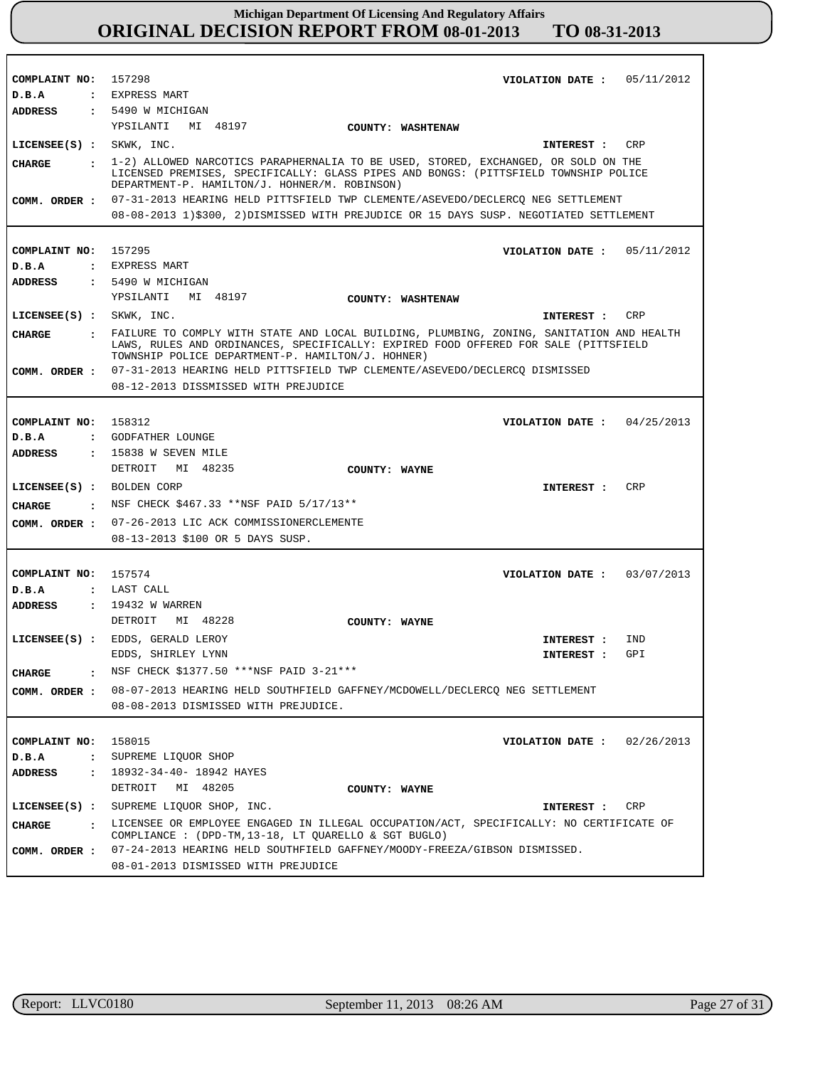| COMPLAINT NO: 157298<br>D.B.A    | VIOLATION DATE : $05/11/2012$<br>: EXPRESS MART                                                                                                                                                                              |  |  |  |  |
|----------------------------------|------------------------------------------------------------------------------------------------------------------------------------------------------------------------------------------------------------------------------|--|--|--|--|
| <b>ADDRESS</b>                   | : 5490 W MICHIGAN                                                                                                                                                                                                            |  |  |  |  |
|                                  | YPSILANTI MI 48197<br>COUNTY: WASHTENAW                                                                                                                                                                                      |  |  |  |  |
| LICENSEE(S) : SKWK, INC.         | CRP<br>INTEREST :                                                                                                                                                                                                            |  |  |  |  |
|                                  |                                                                                                                                                                                                                              |  |  |  |  |
| CHARGE                           | : 1-2) ALLOWED NARCOTICS PARAPHERNALIA TO BE USED, STORED, EXCHANGED, OR SOLD ON THE<br>LICENSED PREMISES, SPECIFICALLY: GLASS PIPES AND BONGS: (PITTSFIELD TOWNSHIP POLICE<br>DEPARTMENT-P. HAMILTON/J. HOHNER/M. ROBINSON) |  |  |  |  |
|                                  | COMM. ORDER: 07-31-2013 HEARING HELD PITTSFIELD TWP CLEMENTE/ASEVEDO/DECLERCO NEG SETTLEMENT                                                                                                                                 |  |  |  |  |
|                                  | 08-08-2013 1)\$300, 2)DISMISSED WITH PREJUDICE OR 15 DAYS SUSP. NEGOTIATED SETTLEMENT                                                                                                                                        |  |  |  |  |
|                                  |                                                                                                                                                                                                                              |  |  |  |  |
| COMPLAINT NO: 157295             | VIOLATION DATE : $05/11/2012$                                                                                                                                                                                                |  |  |  |  |
| D.B.A                            | : EXPRESS MART                                                                                                                                                                                                               |  |  |  |  |
| <b>ADDRESS</b>                   | : 5490 W MICHIGAN                                                                                                                                                                                                            |  |  |  |  |
|                                  | YPSILANTI MI 48197<br>COUNTY: WASHTENAW                                                                                                                                                                                      |  |  |  |  |
| $LICENSEE(S) :$ SKWK, INC.       | INTEREST : CRP                                                                                                                                                                                                               |  |  |  |  |
| CIIARGE                          | : FAILURE TO COMPLY WITH STATE AND LOCAL BUILDING, PLUMBING, ZONING, SANITATION AND HEALTH<br>LAWS, RULES AND ORDINANCES, SPECIFICALLY: EXPIRED FOOD OFFERED FOR SALE (PITTSFIELD                                            |  |  |  |  |
|                                  | TOWNSHIP POLICE DEPARTMENT-P. HAMILTON/J. HOHNER)                                                                                                                                                                            |  |  |  |  |
|                                  | COMM. ORDER: 07-31-2013 HEARING HELD PITTSFIELD TWP CLEMENTE/ASEVEDO/DECLERCQ DISMISSED                                                                                                                                      |  |  |  |  |
|                                  | 08-12-2013 DISSMISSED WITH PREJUDICE                                                                                                                                                                                         |  |  |  |  |
|                                  |                                                                                                                                                                                                                              |  |  |  |  |
| COMPLAINT NO: 158312             | VIOLATION DATE: $04/25/2013$                                                                                                                                                                                                 |  |  |  |  |
| D.B.A                            | : GODFATHER LOUNGE                                                                                                                                                                                                           |  |  |  |  |
| ADDRESS                          | $: 15838$ W SEVEN MILE                                                                                                                                                                                                       |  |  |  |  |
|                                  | DETROIT MI 48235<br>COUNTY: WAYNE                                                                                                                                                                                            |  |  |  |  |
| LICENSEE(S) : BOLDEN CORP        | <b>CRP</b><br>INTEREST :                                                                                                                                                                                                     |  |  |  |  |
| CHARGE                           | : NSF CHECK \$467.33 **NSF PAID 5/17/13**                                                                                                                                                                                    |  |  |  |  |
|                                  | COMM. ORDER : 07-26-2013 LIC ACK COMMISSIONERCLEMENTE                                                                                                                                                                        |  |  |  |  |
|                                  | 08-13-2013 \$100 OR 5 DAYS SUSP.                                                                                                                                                                                             |  |  |  |  |
|                                  |                                                                                                                                                                                                                              |  |  |  |  |
| COMPLAINT NO: 157574             | VIOLATION DATE: $03/07/2013$                                                                                                                                                                                                 |  |  |  |  |
| D.B.A                            | : LAST CALL                                                                                                                                                                                                                  |  |  |  |  |
| ADDRESS                          | : 19432 W WARREN                                                                                                                                                                                                             |  |  |  |  |
|                                  | DETROIT<br>MI 48228<br>COUNTY: WAYNE                                                                                                                                                                                         |  |  |  |  |
|                                  | LICENSEE(S) : EDDS, GERALD LEROY<br>IND<br>INTEREST :                                                                                                                                                                        |  |  |  |  |
|                                  | EDDS, SHIRLEY LYNN<br>GPI<br>INTEREST:                                                                                                                                                                                       |  |  |  |  |
| <b>CHARGE</b>                    | NSF CHECK \$1377.50 ***NSF PAID 3-21***                                                                                                                                                                                      |  |  |  |  |
| COMM. ORDER :                    | 08-07-2013 HEARING HELD SOUTHFIELD GAFFNEY/MCDOWELL/DECLERCQ NEG SETTLEMENT                                                                                                                                                  |  |  |  |  |
|                                  | 08-08-2013 DISMISSED WITH PREJUDICE.                                                                                                                                                                                         |  |  |  |  |
|                                  |                                                                                                                                                                                                                              |  |  |  |  |
| COMPLAINT NO:                    | 158015<br>VIOLATION DATE: $02/26/2013$                                                                                                                                                                                       |  |  |  |  |
| $D$ . B. A<br>$\mathbf{r}$       | SUPREME LIQUOR SHOP                                                                                                                                                                                                          |  |  |  |  |
| <b>ADDRESS</b><br>$\ddot{\cdot}$ | 18932-34-40- 18942 HAYES                                                                                                                                                                                                     |  |  |  |  |
|                                  | DETROIT MI 48205<br>COUNTY: WAYNE                                                                                                                                                                                            |  |  |  |  |
|                                  | LICENSEE(S) : SUPREME LIQUOR SHOP, INC.<br>INTEREST : CRP                                                                                                                                                                    |  |  |  |  |
| <b>CHARGE</b>                    | . LICENSEE OR EMPLOYEE ENGAGED IN ILLEGAL OCCUPATION/ACT, SPECIFICALLY: NO CERTIFICATE OF<br>COMPLIANCE : $(DPD-TM, 13-18, LT QUARELLO & SGT BUGLO)$                                                                         |  |  |  |  |
| COMM. ORDER :                    | 07-24-2013 HEARING HELD SOUTHFIELD GAFFNEY/MOODY-FREEZA/GIBSON DISMISSED.                                                                                                                                                    |  |  |  |  |
|                                  | 08-01-2013 DISMISSED WITH PREJUDICE                                                                                                                                                                                          |  |  |  |  |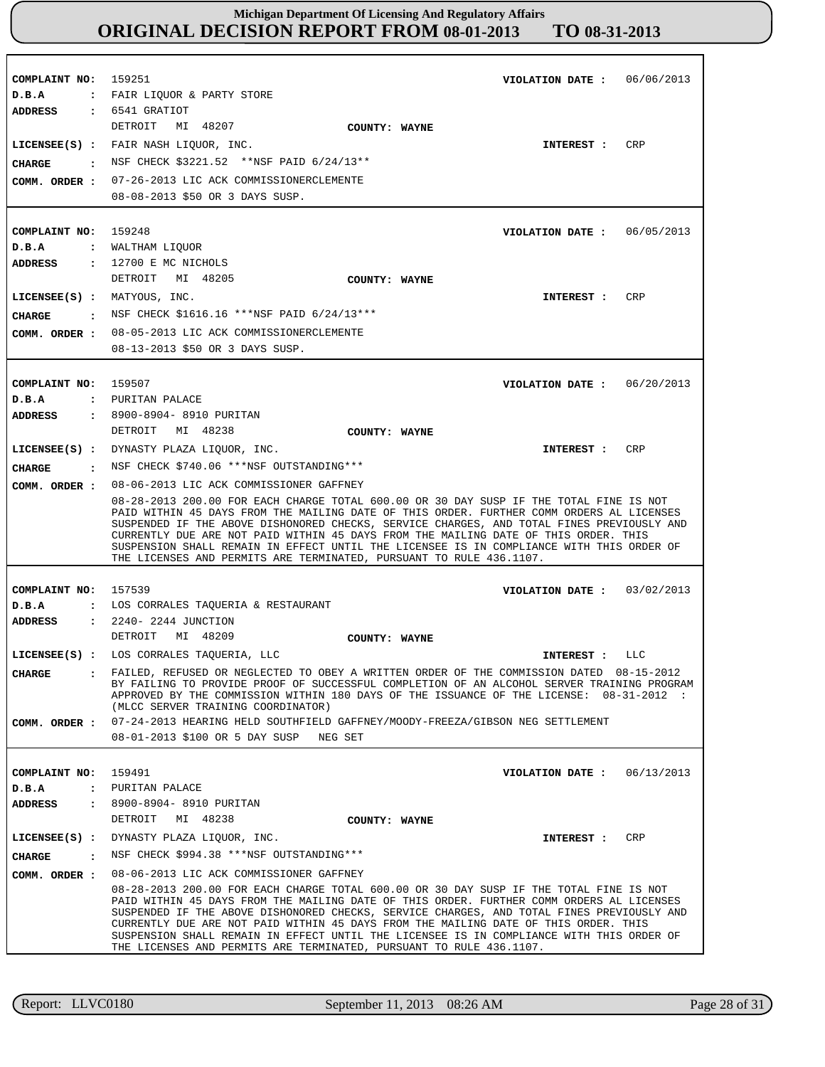**COMPLAINT NO:** 159251 **COMPLAINT NO:** 159248 **COMPLAINT NO:** 159507 **COMPLAINT NO:** 157539 **COMPLAINT NO:** 159491 **VIOLATION DATE : VIOLATION DATE :** 06/05/2013 **VIOLATION DATE : VIOLATION DATE : VIOLATION DATE :** 06/13/2013 06/06/2013 06/20/2013 03/02/2013 **D.B.A : D.B.A : D.B.A : D.B.A : D.B.A :** FAIR LIQUOR & PARTY STORE WALTHAM LIQUOR PURITAN PALACE LOS CORRALES TAQUERIA & RESTAURANT PURITAN PALACE **ADDRESS : ADDRESS : ADDRESS : ADDRESS : ADDRESS :** 6541 GRATIOT 12700 E MC NICHOLS 8900-8904- 8910 PURITAN 2240- 2244 JUNCTION 8900-8904- 8910 PURITAN DETROIT MI 48207 DETROIT MI 48205 DETROIT MI 48238 DETROIT MI 48209 DETROIT MI 48238 07-26-2013 LIC ACK COMMISSIONERCLEMENTE 08-08-2013 \$50 OR 3 DAYS SUSP. 08-05-2013 LIC ACK COMMISSIONERCLEMENTE **COMM. ORDER :** 08-13-2013 \$50 OR 3 DAYS SUSP. 08-06-2013 LIC ACK COMMISSIONER GAFFNEY **COMM. ORDER :** 08-28-2013 200.00 FOR EACH CHARGE TOTAL 600.00 OR 30 DAY SUSP IF THE TOTAL FINE IS NOT PAID WITHIN 45 DAYS FROM THE MAILING DATE OF THIS ORDER. FURTHER COMM ORDERS AL LICENSES SUSPENDED IF THE ABOVE DISHONORED CHECKS, SERVICE CHARGES, AND TOTAL FINES PREVIOUSLY AND CURRENTLY DUE ARE NOT PAID WITHIN 45 DAYS FROM THE MAILING DATE OF THIS ORDER. THIS SUSPENSION SHALL REMAIN IN EFFECT UNTIL THE LICENSEE IS IN COMPLIANCE WITH THIS ORDER OF THE LICENSES AND PERMITS ARE TERMINATED, PURSUANT TO RULE 436.1107. 07-24-2013 HEARING HELD SOUTHFIELD GAFFNEY/MOODY-FREEZA/GIBSON NEG SETTLEMENT 08-01-2013 \$100 OR 5 DAY SUSP NEG SET 08-06-2013 LIC ACK COMMISSIONER GAFFNEY 08-28-2013 200.00 FOR EACH CHARGE TOTAL 600.00 OR 30 DAY SUSP IF THE TOTAL FINE IS NOT PAID WITHIN 45 DAYS FROM THE MAILING DATE OF THIS ORDER. FURTHER COMM ORDERS AL LICENSES SUSPENDED IF THE ABOVE DISHONORED CHECKS, SERVICE CHARGES, AND TOTAL FINES PREVIOUSLY AND CURRENTLY DUE ARE NOT PAID WITHIN 45 DAYS FROM THE MAILING DATE OF THIS ORDER. THIS SUSPENSION SHALL REMAIN IN EFFECT UNTIL THE LICENSEE IS IN COMPLIANCE WITH THIS ORDER OF THE LICENSES AND PERMITS ARE TERMINATED, PURSUANT TO RULE 436.1107. **LICENSEE(S) :** FAIR NASH LIQUOR, INC. **LICENSEE(S) :** MATYOUS, INC. **LICENSEE(S) :** DYNASTY PLAZA LIQUOR, INC. **LICENSEE(S) :** LOS CORRALES TAQUERIA, LLC **LICENSEE(S) :** DYNASTY PLAZA LIQUOR, INC. CRP CR<sub>P</sub> CRP LLC CRP **CHARGE : CHARGE : CHARGE : CHARGE : CHARGE :** NSF CHECK \$3221.52 \*\*NSF PAID 6/24/13\*\* : NSF CHECK \$1616.16 \*\*\*NSF PAID 6/24/13\*\*\* NSF CHECK \$740.06 \*\*\*NSF OUTSTANDING\*\*\* FAILED, REFUSED OR NEGLECTED TO OBEY A WRITTEN ORDER OF THE COMMISSION DATED 08-15-2012 BY FAILING TO PROVIDE PROOF OF SUCCESSFUL COMPLETION OF AN ALCOHOL SERVER TRAINING PROGRAM APPROVED BY THE COMMISSION WITHIN 180 DAYS OF THE ISSUANCE OF THE LICENSE: 08-31-2012 : (MLCC SERVER TRAINING COORDINATOR) NSF CHECK \$994.38 \*\*\*NSF OUTSTANDING\*\*\* **INTEREST : INTEREST : INTEREST : INTEREST : INTEREST : COMM. ORDER : COMM. ORDER : COMM. ORDER : COUNTY: WAYNE COUNTY: WAYNE COUNTY: WAYNE COUNTY: WAYNE COUNTY: WAYNE**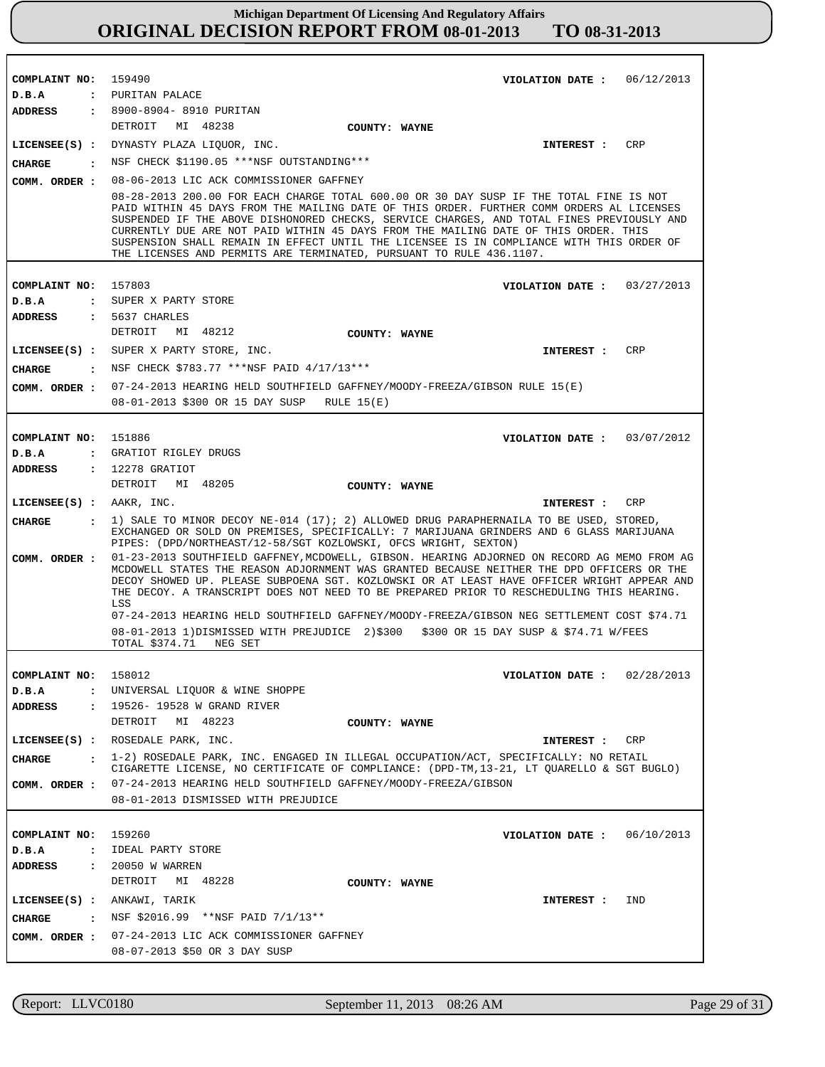| COMPLAINT NO:<br>159490<br>VIOLATION DATE: $06/12/2013$<br>: PURITAN PALACE<br>D.B.A                                                                                                         |                                                                                                                                                                                                                                                                                                                                                                                                                                                                                                                                                                          |  |  |  |  |
|----------------------------------------------------------------------------------------------------------------------------------------------------------------------------------------------|--------------------------------------------------------------------------------------------------------------------------------------------------------------------------------------------------------------------------------------------------------------------------------------------------------------------------------------------------------------------------------------------------------------------------------------------------------------------------------------------------------------------------------------------------------------------------|--|--|--|--|
|                                                                                                                                                                                              |                                                                                                                                                                                                                                                                                                                                                                                                                                                                                                                                                                          |  |  |  |  |
|                                                                                                                                                                                              |                                                                                                                                                                                                                                                                                                                                                                                                                                                                                                                                                                          |  |  |  |  |
| : 8900-8904- 8910 PURITAN<br>ADDRESS<br>DETROIT MI 48238                                                                                                                                     |                                                                                                                                                                                                                                                                                                                                                                                                                                                                                                                                                                          |  |  |  |  |
| COUNTY: WAYNE<br>LICENSEE(S) : DYNASTY PLAZA LIOUOR, INC.                                                                                                                                    | CRP                                                                                                                                                                                                                                                                                                                                                                                                                                                                                                                                                                      |  |  |  |  |
| INTEREST :                                                                                                                                                                                   |                                                                                                                                                                                                                                                                                                                                                                                                                                                                                                                                                                          |  |  |  |  |
| NSF CHECK \$1190.05 ***NSF OUTSTANDING***<br>CIIARGE<br>$\sim$ $\sim$ $\sim$                                                                                                                 |                                                                                                                                                                                                                                                                                                                                                                                                                                                                                                                                                                          |  |  |  |  |
| COMM. ORDER :<br>THE LICENSES AND PERMITS ARE TERMINATED, PURSUANT TO RULE 436.1107.                                                                                                         | 08-06-2013 LIC ACK COMMISSIONER GAFFNEY<br>08-28-2013 200.00 FOR EACH CHARGE TOTAL 600.00 OR 30 DAY SUSP IF THE TOTAL FINE IS NOT<br>PAID WITHIN 45 DAYS FROM THE MAILING DATE OF THIS ORDER. FURTHER COMM ORDERS AL LICENSES<br>SUSPENDED IF THE ABOVE DISHONORED CHECKS, SERVICE CHARGES, AND TOTAL FINES PREVIOUSLY AND<br>CURRENTLY DUE ARE NOT PAID WITHIN 45 DAYS FROM THE MAILING DATE OF THIS ORDER. THIS<br>SUSPENSION SHALL REMAIN IN EFFECT UNTIL THE LICENSEE IS IN COMPLIANCE WITH THIS ORDER OF                                                            |  |  |  |  |
| COMPLAINT NO:<br>157803<br>VIOLATION DATE: $03/27/2013$                                                                                                                                      |                                                                                                                                                                                                                                                                                                                                                                                                                                                                                                                                                                          |  |  |  |  |
| : SUPER X PARTY STORE<br>D.B.A                                                                                                                                                               |                                                                                                                                                                                                                                                                                                                                                                                                                                                                                                                                                                          |  |  |  |  |
| $: 5637$ CHARLES<br>ADDRESS                                                                                                                                                                  |                                                                                                                                                                                                                                                                                                                                                                                                                                                                                                                                                                          |  |  |  |  |
| DETROIT MI 48212<br>COUNTY: WAYNE                                                                                                                                                            |                                                                                                                                                                                                                                                                                                                                                                                                                                                                                                                                                                          |  |  |  |  |
| LICENSEE(S) : SUPER X PARTY STORE, INC.<br>INTEREST :                                                                                                                                        | CRP                                                                                                                                                                                                                                                                                                                                                                                                                                                                                                                                                                      |  |  |  |  |
| : NSF CHECK \$783.77 ***NSF PAID 4/17/13***<br>CIIARGE                                                                                                                                       |                                                                                                                                                                                                                                                                                                                                                                                                                                                                                                                                                                          |  |  |  |  |
| 07-24-2013 HEARING HELD SOUTHFIELD GAFFNEY/MOODY-FREEZA/GIBSON RULE 15(E)<br>COMM. ORDER :<br>08-01-2013 \$300 OR 15 DAY SUSP RULE 15(E)                                                     |                                                                                                                                                                                                                                                                                                                                                                                                                                                                                                                                                                          |  |  |  |  |
|                                                                                                                                                                                              |                                                                                                                                                                                                                                                                                                                                                                                                                                                                                                                                                                          |  |  |  |  |
| COMPLAINT NO: 151886<br>VIOLATION DATE: $03/07/2012$                                                                                                                                         |                                                                                                                                                                                                                                                                                                                                                                                                                                                                                                                                                                          |  |  |  |  |
| : GRATIOT RIGLEY DRUGS<br>D.B.A                                                                                                                                                              |                                                                                                                                                                                                                                                                                                                                                                                                                                                                                                                                                                          |  |  |  |  |
| : 12278 GRATIOT<br><b>ADDRESS</b>                                                                                                                                                            |                                                                                                                                                                                                                                                                                                                                                                                                                                                                                                                                                                          |  |  |  |  |
| DETROIT MI 48205<br>COUNTY: WAYNE                                                                                                                                                            |                                                                                                                                                                                                                                                                                                                                                                                                                                                                                                                                                                          |  |  |  |  |
| $LICENSEE(S)$ : AAKR, INC.<br>INTEREST : CRP                                                                                                                                                 |                                                                                                                                                                                                                                                                                                                                                                                                                                                                                                                                                                          |  |  |  |  |
| <b>CHARGE</b><br>PIPES: (DPD/NORTHEAST/12-58/SGT KOZLOWSKI, OFCS WRIGHT, SEXTON)                                                                                                             | : 1) SALE TO MINOR DECOY NE-014 (17); 2) ALLOWED DRUG PARAPHERNAILA TO BE USED, STORED,<br>EXCHANGED OR SOLD ON PREMISES, SPECIFICALLY: 7 MARIJUANA GRINDERS AND 6 GLASS MARIJUANA                                                                                                                                                                                                                                                                                                                                                                                       |  |  |  |  |
| COMM. ORDER :<br>LSS                                                                                                                                                                         | 01-23-2013 SOUTHFIELD GAFFNEY, MCDOWELL, GIBSON. HEARING ADJORNED ON RECORD AG MEMO FROM AG<br>MCDOWELL STATES THE REASON ADJORNMENT WAS GRANTED BECAUSE NEITHER THE DPD OFFICERS OR THE<br>DECOY SHOWED UP. PLEASE SUBPOENA SGT. KOZLOWSKI OR AT LEAST HAVE OFFICER WRIGHT APPEAR AND<br>THE DECOY. A TRANSCRIPT DOES NOT NEED TO BE PREPARED PRIOR TO RESCHEDULING THIS HEARING.<br>07-24-2013 HEARING HELD SOUTHFIELD GAFFNEY/MOODY-FREEZA/GIBSON NEG SETTLEMENT COST \$74.71<br>08-01-2013 1) DISMISSED WITH PREJUDICE 2) \$300 6300 OR 15 DAY SUSP & \$74.71 W/FEES |  |  |  |  |
| TOTAL \$374.71 NEG SET                                                                                                                                                                       |                                                                                                                                                                                                                                                                                                                                                                                                                                                                                                                                                                          |  |  |  |  |
| COMPLAINT NO: 158012<br>VIOLATION DATE: $02/28/2013$                                                                                                                                         |                                                                                                                                                                                                                                                                                                                                                                                                                                                                                                                                                                          |  |  |  |  |
| D.B.A<br>: UNIVERSAL LIQUOR & WINE SHOPPE                                                                                                                                                    |                                                                                                                                                                                                                                                                                                                                                                                                                                                                                                                                                                          |  |  |  |  |
| : 19526-19528 W GRAND RIVER<br>ADDRESS                                                                                                                                                       |                                                                                                                                                                                                                                                                                                                                                                                                                                                                                                                                                                          |  |  |  |  |
| DETROIT MI 48223<br>COUNTY: WAYNE                                                                                                                                                            |                                                                                                                                                                                                                                                                                                                                                                                                                                                                                                                                                                          |  |  |  |  |
| LICENSEE(S) : ROSEDALE PARK, INC.<br>INTEREST : CRP                                                                                                                                          |                                                                                                                                                                                                                                                                                                                                                                                                                                                                                                                                                                          |  |  |  |  |
| : 1-2) ROSEDALE PARK, INC. ENGAGED IN ILLEGAL OCCUPATION/ACT, SPECIFICALLY: NO RETAIL<br>CHARGE<br>CIGARETTE LICENSE, NO CERTIFICATE OF COMPLIANCE: (DPD-TM, 13-21, LT QUARELLO & SGT BUGLO) |                                                                                                                                                                                                                                                                                                                                                                                                                                                                                                                                                                          |  |  |  |  |
| COMM. ORDER : 07-24-2013 HEARING HELD SOUTHFIELD GAFFNEY/MOODY-FREEZA/GIBSON<br>08-01-2013 DISMISSED WITH PREJUDICE                                                                          |                                                                                                                                                                                                                                                                                                                                                                                                                                                                                                                                                                          |  |  |  |  |
|                                                                                                                                                                                              |                                                                                                                                                                                                                                                                                                                                                                                                                                                                                                                                                                          |  |  |  |  |
| 159260<br>COMPLAINT NO:<br>VIOLATION DATE: $06/10/2013$                                                                                                                                      |                                                                                                                                                                                                                                                                                                                                                                                                                                                                                                                                                                          |  |  |  |  |
| : IDEAL PARTY STORE<br>D.B.A                                                                                                                                                                 |                                                                                                                                                                                                                                                                                                                                                                                                                                                                                                                                                                          |  |  |  |  |
| : 20050 W WARREN<br>ADDRESS<br>DETROIT MI 48228                                                                                                                                              |                                                                                                                                                                                                                                                                                                                                                                                                                                                                                                                                                                          |  |  |  |  |
| COUNTY: WAYNE                                                                                                                                                                                |                                                                                                                                                                                                                                                                                                                                                                                                                                                                                                                                                                          |  |  |  |  |
| LICENSEE(S) : ANKAWI, TARIK<br>INTEREST :<br>: NSF \$2016.99 **NSF PAID 7/1/13**                                                                                                             | IND                                                                                                                                                                                                                                                                                                                                                                                                                                                                                                                                                                      |  |  |  |  |
| CHARGE                                                                                                                                                                                       |                                                                                                                                                                                                                                                                                                                                                                                                                                                                                                                                                                          |  |  |  |  |
| 07-24-2013 LIC ACK COMMISSIONER GAFFNEY<br>COMM. ORDER :<br>08-07-2013 \$50 OR 3 DAY SUSP                                                                                                    |                                                                                                                                                                                                                                                                                                                                                                                                                                                                                                                                                                          |  |  |  |  |

Report: LLVC0180 September 11, 2013 08:26 AM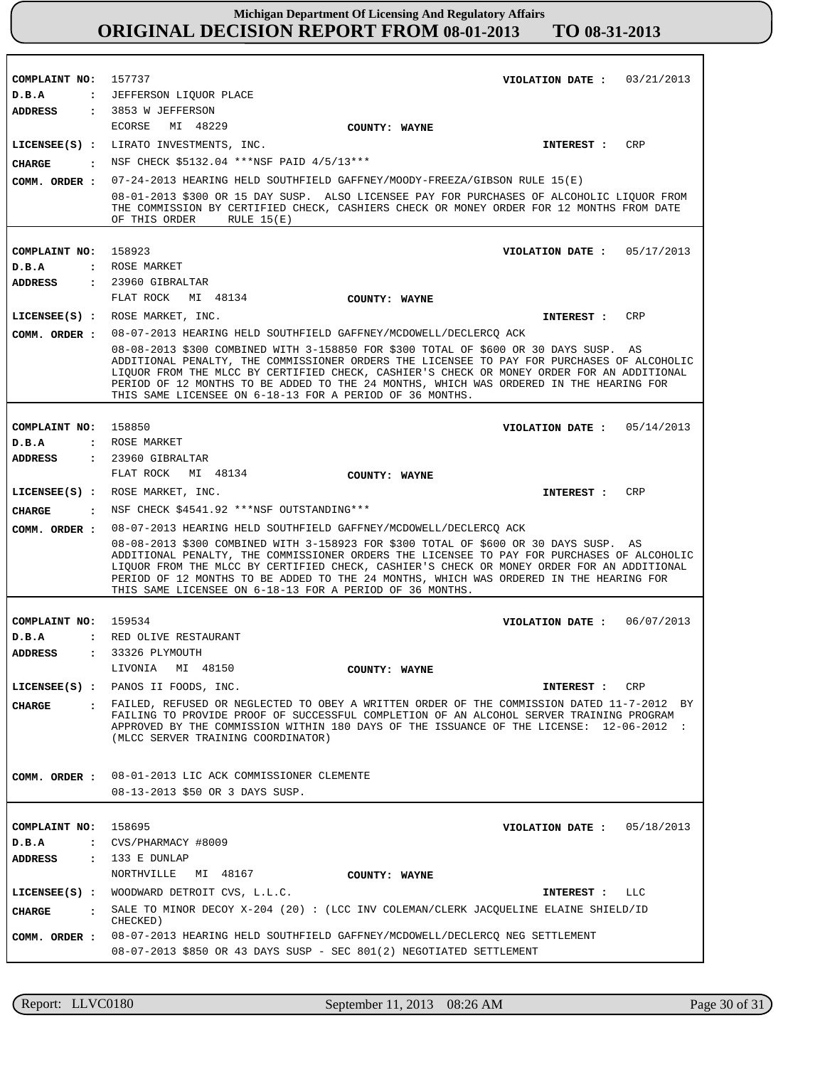**COMPLAINT NO:** 157737 **COMPLAINT NO: COMPLAINT NO:** 158850 **COMPLAINT NO:** 159534 **COMPLAINT NO:** 158695 158923 **VIOLATION DATE : VIOLATION DATE : VIOLATION DATE : VIOLATION DATE : VIOLATION DATE :** 03/21/2013 05/17/2013 05/14/2013 06/07/2013 05/18/2013 **D.B.A : D.B.A : D.B.A : D.B.A : D.B.A :** JEFFERSON LIQUOR PLACE ROSE MARKET ROSE MARKET RED OLIVE RESTAURANT CVS/PHARMACY #8009 **ADDRESS : ADDRESS : ADDRESS : ADDRESS : ADDRESS :** 3853 W JEFFERSON 23960 GIBRALTAR 23960 GIBRALTAR 33326 PLYMOUTH 133 E DUNLAP ECORSE MI 48229 FLAT ROCK MI 48134 FLAT ROCK MI 48134 LIVONIA MI 48150 NORTHVILLE MI 48167 07-24-2013 HEARING HELD SOUTHFIELD GAFFNEY/MOODY-FREEZA/GIBSON RULE 15(E) 08-01-2013 \$300 OR 15 DAY SUSP. ALSO LICENSEE PAY FOR PURCHASES OF ALCOHOLIC LIQUOR FROM THE COMMISSION BY CERTIFIED CHECK, CASHIERS CHECK OR MONEY ORDER FOR 12 MONTHS FROM DATE OF THIS ORDER RULE 15(E) 08-07-2013 HEARING HELD SOUTHFIELD GAFFNEY/MCDOWELL/DECLERCQ ACK 08-08-2013 \$300 COMBINED WITH 3-158850 FOR \$300 TOTAL OF \$600 OR 30 DAYS SUSP. AS ADDITIONAL PENALTY, THE COMMISSIONER ORDERS THE LICENSEE TO PAY FOR PURCHASES OF ALCOHOLIC LIQUOR FROM THE MLCC BY CERTIFIED CHECK, CASHIER'S CHECK OR MONEY ORDER FOR AN ADDITIONAL PERIOD OF 12 MONTHS TO BE ADDED TO THE 24 MONTHS, WHICH WAS ORDERED IN THE HEARING FOR THIS SAME LICENSEE ON 6-18-13 FOR A PERIOD OF 36 MONTHS. 08-07-2013 HEARING HELD SOUTHFIELD GAFFNEY/MCDOWELL/DECLERCQ ACK 08-08-2013 \$300 COMBINED WITH 3-158923 FOR \$300 TOTAL OF \$600 OR 30 DAYS SUSP. AS ADDITIONAL PENALTY, THE COMMISSIONER ORDERS THE LICENSEE TO PAY FOR PURCHASES OF ALCOHOLIC LIQUOR FROM THE MLCC BY CERTIFIED CHECK, CASHIER'S CHECK OR MONEY ORDER FOR AN ADDITIONAL PERIOD OF 12 MONTHS TO BE ADDED TO THE 24 MONTHS, WHICH WAS ORDERED IN THE HEARING FOR THIS SAME LICENSEE ON 6-18-13 FOR A PERIOD OF 36 MONTHS. 08-01-2013 LIC ACK COMMISSIONER CLEMENTE **COMM. ORDER :** 08-13-2013 \$50 OR 3 DAYS SUSP. 08-07-2013 HEARING HELD SOUTHFIELD GAFFNEY/MCDOWELL/DECLERCQ NEG SETTLEMENT **COMM. ORDER :** 08-07-2013 \$850 OR 43 DAYS SUSP - SEC 801(2) NEGOTIATED SETTLEMENT **LICENSEE(S) :** LIRATO INVESTMENTS, INC. **LICENSEE(S) :** ROSE MARKET, INC. **LICENSEE(S) :** ROSE MARKET, INC. **LICENSEE(S) :** PANOS II FOODS, INC. **LICENSEE(S) :** WOODWARD DETROIT CVS, L.L.C. CRP CRP CRP **CRP** LLC **CHARGE : CHARGE : CHARGE : CHARGE :** NSF CHECK \$5132.04 \*\*\*NSF PAID 4/5/13\*\*\* NSF CHECK \$4541.92 \*\*\*NSF OUTSTANDING\*\*\* FAILED, REFUSED OR NEGLECTED TO OBEY A WRITTEN ORDER OF THE COMMISSION DATED 11-7-2012 BY FAILING TO PROVIDE PROOF OF SUCCESSFUL COMPLETION OF AN ALCOHOL SERVER TRAINING PROGRAM APPROVED BY THE COMMISSION WITHIN 180 DAYS OF THE ISSUANCE OF THE LICENSE: 12-06-2012 : (MLCC SERVER TRAINING COORDINATOR) SALE TO MINOR DECOY X-204 (20) : (LCC INV COLEMAN/CLERK JACQUELINE ELAINE SHIELD/ID CHECKED) **INTEREST : INTEREST : INTEREST : INTEREST : INTEREST : COMM. ORDER : COMM. ORDER : COMM. ORDER : COUNTY: WAYNE COUNTY: WAYNE COUNTY: WAYNE COUNTY: WAYNE COUNTY: WAYNE**

Report: LLVC0180 September 11, 2013 08:26 AM